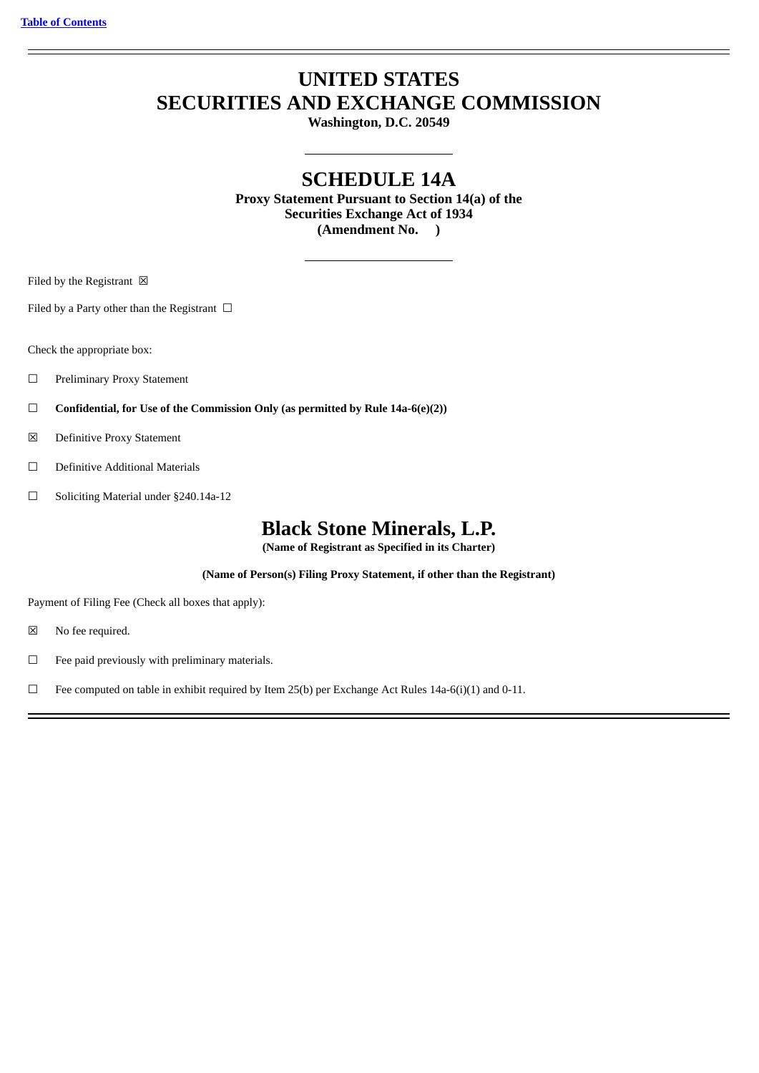# **UNITED STATES SECURITIES AND EXCHANGE COMMISSION**

**Washington, D.C. 20549**

## **SCHEDULE 14A**

**Proxy Statement Pursuant to Section 14(a) of the Securities Exchange Act of 1934 (Amendment No. )**

Filed by the Registrant  $\boxtimes$ 

Filed by a Party other than the Registrant  $\Box$ 

Check the appropriate box:

- ☐ Preliminary Proxy Statement
- ☐ **Confidential, for Use of the Commission Only (as permitted by Rule 14a-6(e)(2))**
- ☒ Definitive Proxy Statement
- ☐ Definitive Additional Materials
- ☐ Soliciting Material under §240.14a-12

## **Black Stone Minerals, L.P.**

**(Name of Registrant as Specified in its Charter)**

**(Name of Person(s) Filing Proxy Statement, if other than the Registrant)**

Payment of Filing Fee (Check all boxes that apply):

- ☒ No fee required.
- ☐ Fee paid previously with preliminary materials.

□ Fee computed on table in exhibit required by Item 25(b) per Exchange Act Rules 14a-6(i)(1) and 0-11.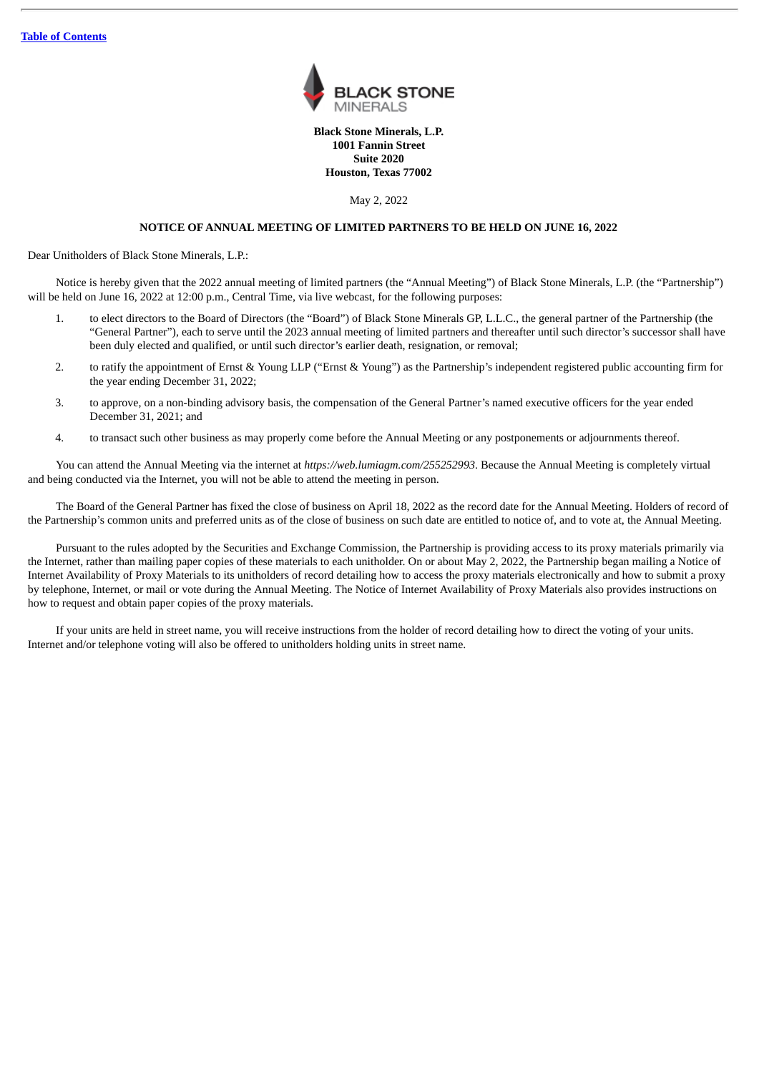

**Black Stone Minerals, L.P. 1001 Fannin Street Suite 2020 Houston, Texas 77002**

May 2, 2022

#### **NOTICE OF ANNUAL MEETING OF LIMITED PARTNERS TO BE HELD ON JUNE 16, 2022**

Dear Unitholders of Black Stone Minerals, L.P.:

Notice is hereby given that the 2022 annual meeting of limited partners (the "Annual Meeting") of Black Stone Minerals, L.P. (the "Partnership") will be held on June 16, 2022 at 12:00 p.m., Central Time, via live webcast, for the following purposes:

- 1. to elect directors to the Board of Directors (the "Board") of Black Stone Minerals GP, L.L.C., the general partner of the Partnership (the "General Partner"), each to serve until the 2023 annual meeting of limited partners and thereafter until such director's successor shall have been duly elected and qualified, or until such director's earlier death, resignation, or removal;
- 2. to ratify the appointment of Ernst & Young LLP ("Ernst & Young") as the Partnership's independent registered public accounting firm for the year ending December 31, 2022;
- 3. to approve, on a non-binding advisory basis, the compensation of the General Partner's named executive officers for the year ended December 31, 2021; and
- 4. to transact such other business as may properly come before the Annual Meeting or any postponements or adjournments thereof.

You can attend the Annual Meeting via the internet at *https://web.lumiagm.com/255252993*. Because the Annual Meeting is completely virtual and being conducted via the Internet, you will not be able to attend the meeting in person.

The Board of the General Partner has fixed the close of business on April 18, 2022 as the record date for the Annual Meeting. Holders of record of the Partnership's common units and preferred units as of the close of business on such date are entitled to notice of, and to vote at, the Annual Meeting.

Pursuant to the rules adopted by the Securities and Exchange Commission, the Partnership is providing access to its proxy materials primarily via the Internet, rather than mailing paper copies of these materials to each unitholder. On or about May 2, 2022, the Partnership began mailing a Notice of Internet Availability of Proxy Materials to its unitholders of record detailing how to access the proxy materials electronically and how to submit a proxy by telephone, Internet, or mail or vote during the Annual Meeting. The Notice of Internet Availability of Proxy Materials also provides instructions on how to request and obtain paper copies of the proxy materials.

If your units are held in street name, you will receive instructions from the holder of record detailing how to direct the voting of your units. Internet and/or telephone voting will also be offered to unitholders holding units in street name.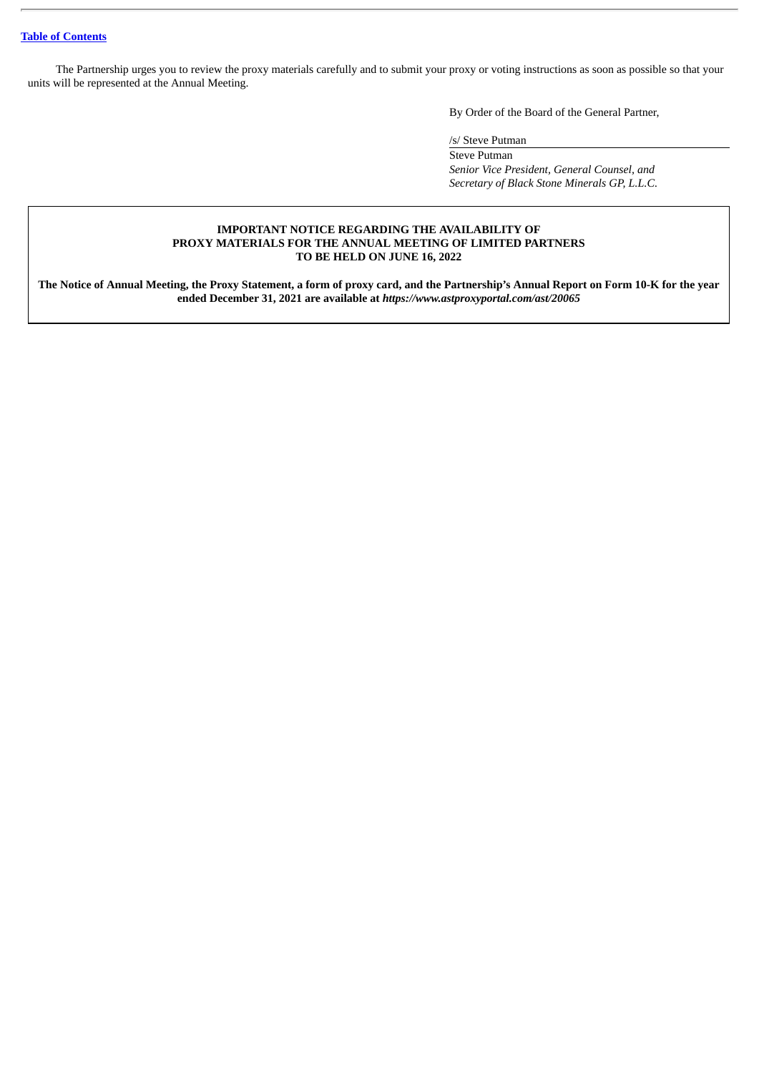The Partnership urges you to review the proxy materials carefully and to submit your proxy or voting instructions as soon as possible so that your units will be represented at the Annual Meeting.

By Order of the Board of the General Partner,

/s/ Steve Putman

Steve Putman *Senior Vice President, General Counsel, and Secretary of Black Stone Minerals GP, L.L.C.*

## **IMPORTANT NOTICE REGARDING THE AVAILABILITY OF PROXY MATERIALS FOR THE ANNUAL MEETING OF LIMITED PARTNERS TO BE HELD ON JUNE 16, 2022**

The Notice of Annual Meeting, the Proxy Statement, a form of proxy card, and the Partnership's Annual Report on Form 10-K for the year **ended December 31, 2021 are available at** *https://www.astproxyportal.com/ast/20065*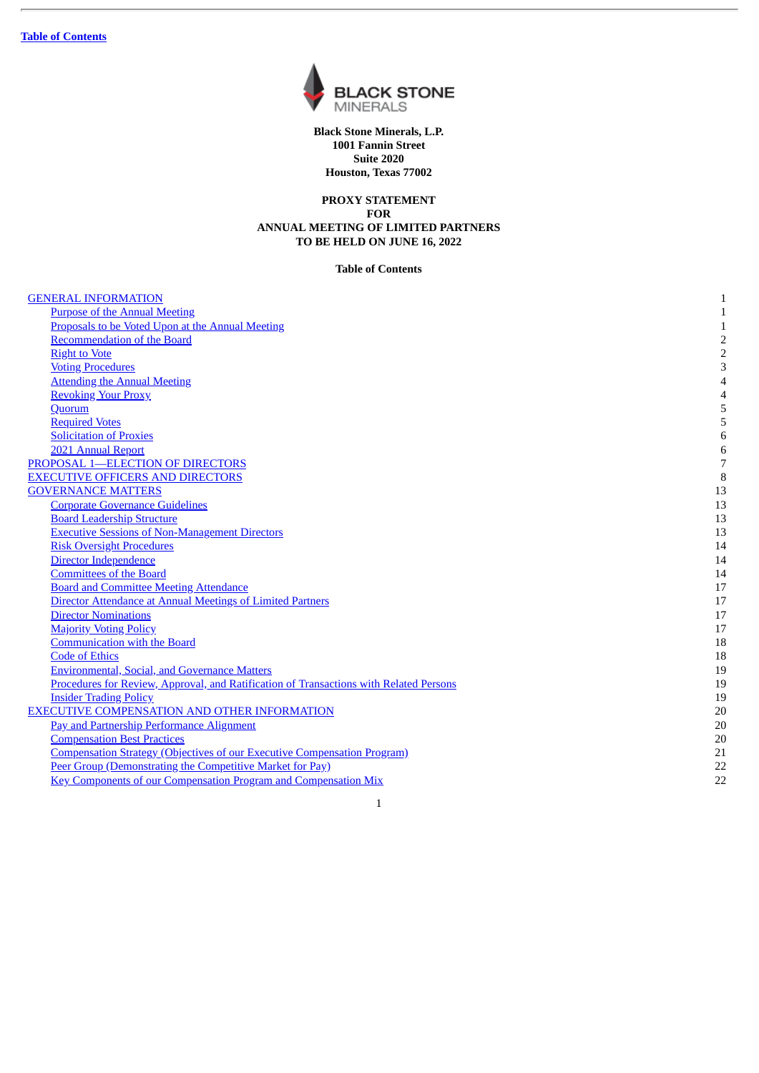

**Black Stone Minerals, L.P. 1001 Fannin Street Suite 2020 Houston, Texas 77002**

**PROXY STATEMENT FOR ANNUAL MEETING OF LIMITED PARTNERS TO BE HELD ON JUNE 16, 2022**

## **Table of Contents**

<span id="page-3-0"></span>

| <b>GENERAL INFORMATION</b>                                                             | $\mathbf{1}$   |
|----------------------------------------------------------------------------------------|----------------|
| <b>Purpose of the Annual Meeting</b>                                                   | $\mathbf{1}$   |
| Proposals to be Voted Upon at the Annual Meeting                                       | $\mathbf{1}$   |
| <b>Recommendation of the Board</b>                                                     | $\overline{2}$ |
| <b>Right to Vote</b>                                                                   | $\overline{2}$ |
| <b>Voting Procedures</b>                                                               | 3              |
| <b>Attending the Annual Meeting</b>                                                    | 4              |
| <b>Revoking Your Proxy</b>                                                             | $\overline{4}$ |
| Quorum                                                                                 | 5              |
| <b>Required Votes</b>                                                                  | 5              |
| <b>Solicitation of Proxies</b>                                                         | 6              |
| 2021 Annual Report                                                                     | 6              |
| PROPOSAL 1-ELECTION OF DIRECTORS                                                       | 7              |
| <b>EXECUTIVE OFFICERS AND DIRECTORS</b>                                                | 8              |
| <b>GOVERNANCE MATTERS</b>                                                              | 13             |
| <b>Corporate Governance Guidelines</b>                                                 | 13             |
| <b>Board Leadership Structure</b>                                                      | 13             |
| <b>Executive Sessions of Non-Management Directors</b>                                  | 13             |
| <b>Risk Oversight Procedures</b>                                                       | 14             |
| Director Independence                                                                  | 14             |
| <b>Committees of the Board</b>                                                         | 14             |
| <b>Board and Committee Meeting Attendance</b>                                          | 17             |
| Director Attendance at Annual Meetings of Limited Partners                             | 17             |
| <b>Director Nominations</b>                                                            | 17             |
| <b>Majority Voting Policy</b>                                                          | 17             |
| <b>Communication with the Board</b>                                                    | 18             |
| <b>Code of Ethics</b>                                                                  | 18             |
| <b>Environmental, Social, and Governance Matters</b>                                   | 19             |
| Procedures for Review, Approval, and Ratification of Transactions with Related Persons | 19             |
| <b>Insider Trading Policy</b>                                                          | 19             |
| EXECUTIVE COMPENSATION AND OTHER INFORMATION                                           | $20\,$         |
| <b>Pay and Partnership Performance Alignment</b>                                       | $20\,$         |
| <b>Compensation Best Practices</b>                                                     | 20             |
| <b>Compensation Strategy (Objectives of our Executive Compensation Program)</b>        | 21             |
| Peer Group (Demonstrating the Competitive Market for Pay)                              | 22             |
| <b>Key Components of our Compensation Program and Compensation Mix</b>                 | 22             |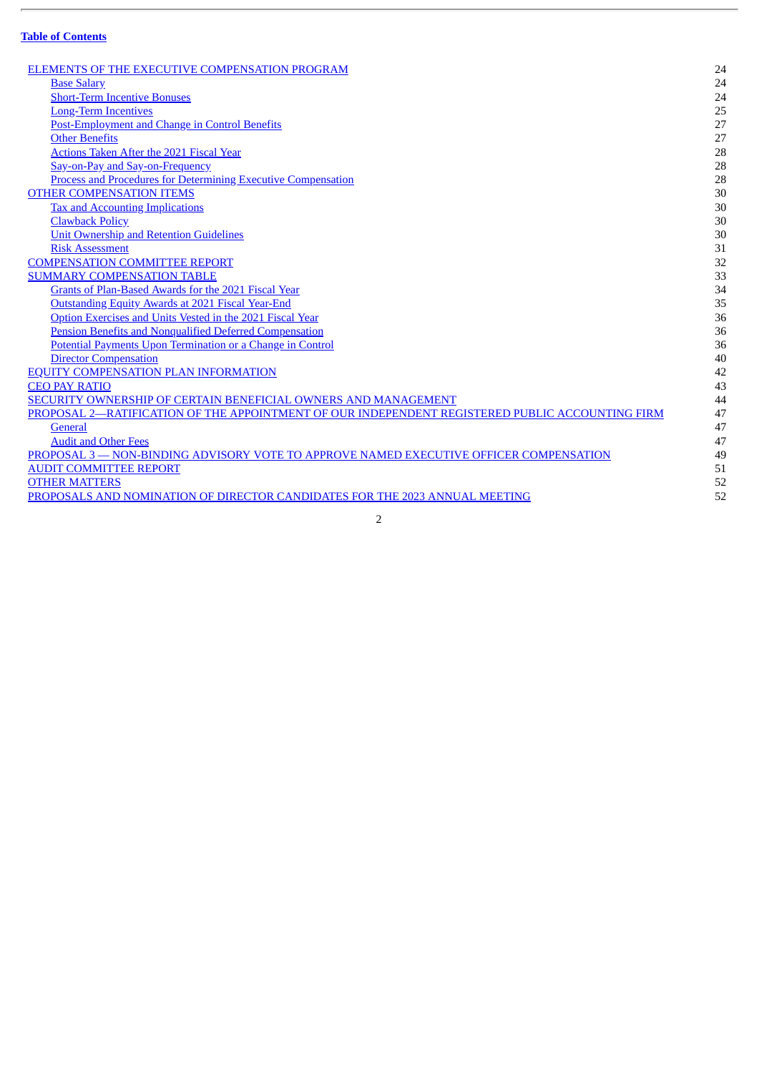$\overline{a}$ 

| ELEMENTS OF THE EXECUTIVE COMPENSATION PROGRAM                                                  | 24 |
|-------------------------------------------------------------------------------------------------|----|
| <b>Base Salary</b>                                                                              | 24 |
| <b>Short-Term Incentive Bonuses</b>                                                             | 24 |
| <b>Long-Term Incentives</b>                                                                     | 25 |
| Post-Employment and Change in Control Benefits                                                  | 27 |
| <b>Other Benefits</b>                                                                           | 27 |
| <b>Actions Taken After the 2021 Fiscal Year</b>                                                 | 28 |
| Say-on-Pay and Say-on-Frequency                                                                 | 28 |
| <b>Process and Procedures for Determining Executive Compensation</b>                            | 28 |
| <b>OTHER COMPENSATION ITEMS</b>                                                                 | 30 |
| <b>Tax and Accounting Implications</b>                                                          | 30 |
| <b>Clawback Policy</b>                                                                          | 30 |
| <b>Unit Ownership and Retention Guidelines</b>                                                  | 30 |
| <b>Risk Assessment</b>                                                                          | 31 |
| <b>COMPENSATION COMMITTEE REPORT</b>                                                            | 32 |
| <b>SUMMARY COMPENSATION TABLE</b>                                                               | 33 |
| <b>Grants of Plan-Based Awards for the 2021 Fiscal Year</b>                                     | 34 |
| <b>Outstanding Equity Awards at 2021 Fiscal Year-End</b>                                        | 35 |
| Option Exercises and Units Vested in the 2021 Fiscal Year                                       | 36 |
| Pension Benefits and Nonqualified Deferred Compensation                                         | 36 |
| Potential Payments Upon Termination or a Change in Control                                      | 36 |
| <b>Director Compensation</b>                                                                    | 40 |
| EQUITY COMPENSATION PLAN INFORMATION                                                            | 42 |
| <b>CEO PAY RATIO</b>                                                                            | 43 |
| SECURITY OWNERSHIP OF CERTAIN BENEFICIAL OWNERS AND MANAGEMENT                                  | 44 |
| PROPOSAL 2-RATIFICATION OF THE APPOINTMENT OF OUR INDEPENDENT REGISTERED PUBLIC ACCOUNTING FIRM | 47 |
| <b>General</b>                                                                                  | 47 |
| <b>Audit and Other Fees</b>                                                                     | 47 |
| PROPOSAL 3 - NON-BINDING ADVISORY VOTE TO APPROVE NAMED EXECUTIVE OFFICER COMPENSATION          | 49 |
| <b>AUDIT COMMITTEE REPORT</b>                                                                   | 51 |
| <b>OTHER MATTERS</b>                                                                            | 52 |
| PROPOSALS AND NOMINATION OF DIRECTOR CANDIDATES FOR THE 2023 ANNUAL MEETING                     | 52 |
|                                                                                                 |    |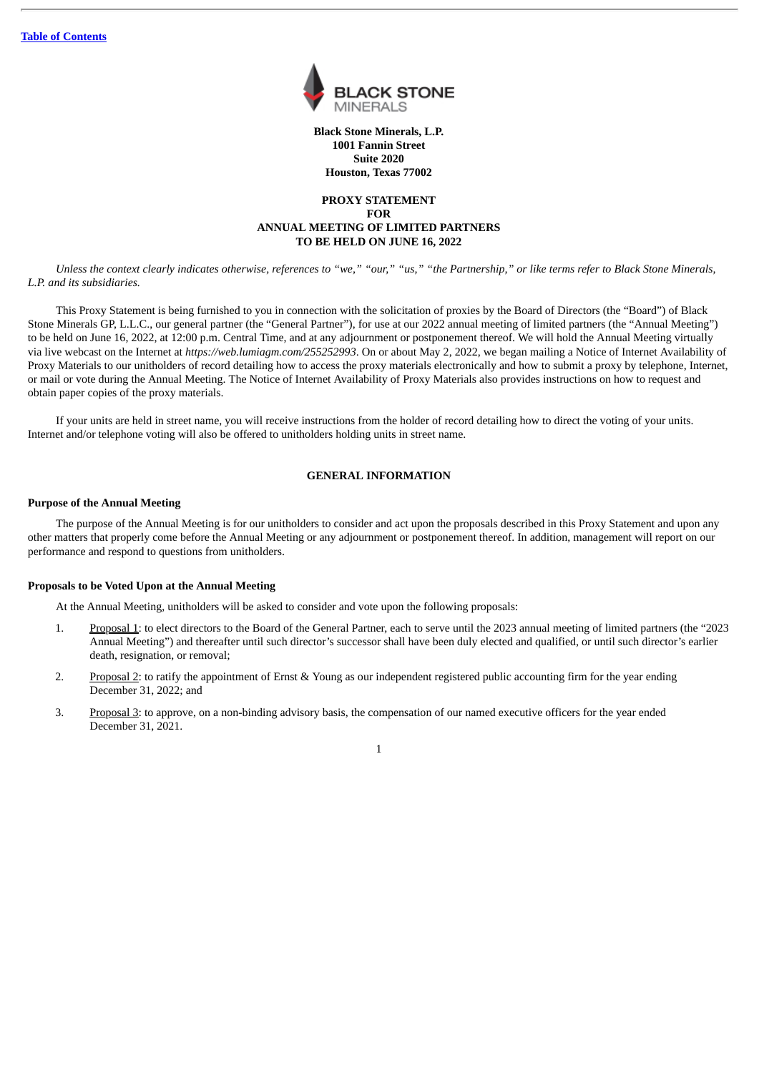

**Black Stone Minerals, L.P. 1001 Fannin Street Suite 2020 Houston, Texas 77002**

#### **PROXY STATEMENT FOR ANNUAL MEETING OF LIMITED PARTNERS TO BE HELD ON JUNE 16, 2022**

Unless the context clearly indicates otherwise, references to "we," "our," "us," "the Partnership," or like terms refer to Black Stone Minerals, *L.P. and its subsidiaries.*

This Proxy Statement is being furnished to you in connection with the solicitation of proxies by the Board of Directors (the "Board") of Black Stone Minerals GP, L.L.C., our general partner (the "General Partner"), for use at our 2022 annual meeting of limited partners (the "Annual Meeting") to be held on June 16, 2022, at 12:00 p.m. Central Time, and at any adjournment or postponement thereof. We will hold the Annual Meeting virtually via live webcast on the Internet at *https://web.lumiagm.com/255252993*. On or about May 2, 2022, we began mailing a Notice of Internet Availability of Proxy Materials to our unitholders of record detailing how to access the proxy materials electronically and how to submit a proxy by telephone, Internet, or mail or vote during the Annual Meeting. The Notice of Internet Availability of Proxy Materials also provides instructions on how to request and obtain paper copies of the proxy materials.

If your units are held in street name, you will receive instructions from the holder of record detailing how to direct the voting of your units. Internet and/or telephone voting will also be offered to unitholders holding units in street name.

#### **GENERAL INFORMATION**

#### <span id="page-5-1"></span><span id="page-5-0"></span>**Purpose of the Annual Meeting**

The purpose of the Annual Meeting is for our unitholders to consider and act upon the proposals described in this Proxy Statement and upon any other matters that properly come before the Annual Meeting or any adjournment or postponement thereof. In addition, management will report on our performance and respond to questions from unitholders.

#### <span id="page-5-2"></span>**Proposals to be Voted Upon at the Annual Meeting**

At the Annual Meeting, unitholders will be asked to consider and vote upon the following proposals:

- 1. Proposal 1: to elect directors to the Board of the General Partner, each to serve until the 2023 annual meeting of limited partners (the "2023 Annual Meeting") and thereafter until such director's successor shall have been duly elected and qualified, or until such director's earlier death, resignation, or removal;
- 2. Proposal 2: to ratify the appointment of Ernst & Young as our independent registered public accounting firm for the year ending December 31, 2022; and
- 3. Proposal 3: to approve, on a non-binding advisory basis, the compensation of our named executive officers for the year ended December 31, 2021.

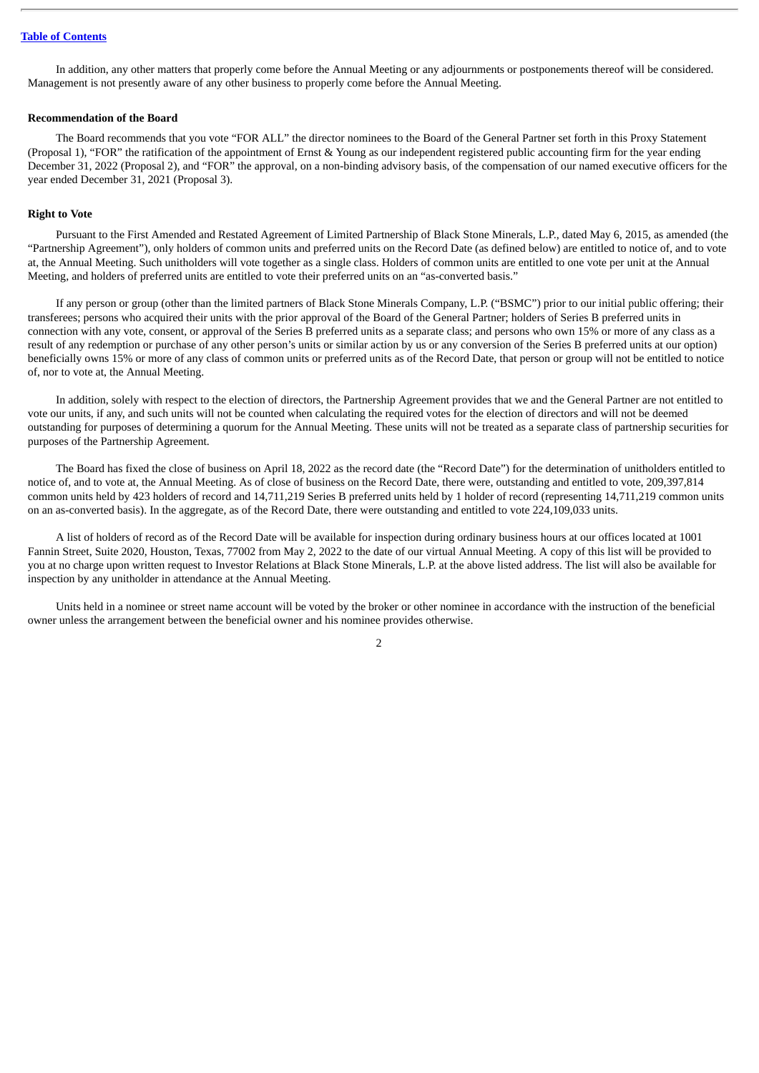In addition, any other matters that properly come before the Annual Meeting or any adjournments or postponements thereof will be considered. Management is not presently aware of any other business to properly come before the Annual Meeting.

#### <span id="page-6-0"></span>**Recommendation of the Board**

The Board recommends that you vote "FOR ALL" the director nominees to the Board of the General Partner set forth in this Proxy Statement (Proposal 1), "FOR" the ratification of the appointment of Ernst & Young as our independent registered public accounting firm for the year ending December 31, 2022 (Proposal 2), and "FOR" the approval, on a non-binding advisory basis, of the compensation of our named executive officers for the year ended December 31, 2021 (Proposal 3).

#### <span id="page-6-1"></span>**Right to Vote**

Pursuant to the First Amended and Restated Agreement of Limited Partnership of Black Stone Minerals, L.P., dated May 6, 2015, as amended (the "Partnership Agreement"), only holders of common units and preferred units on the Record Date (as defined below) are entitled to notice of, and to vote at, the Annual Meeting. Such unitholders will vote together as a single class. Holders of common units are entitled to one vote per unit at the Annual Meeting, and holders of preferred units are entitled to vote their preferred units on an "as-converted basis."

If any person or group (other than the limited partners of Black Stone Minerals Company, L.P. ("BSMC") prior to our initial public offering; their transferees; persons who acquired their units with the prior approval of the Board of the General Partner; holders of Series B preferred units in connection with any vote, consent, or approval of the Series B preferred units as a separate class; and persons who own 15% or more of any class as a result of any redemption or purchase of any other person's units or similar action by us or any conversion of the Series B preferred units at our option) beneficially owns 15% or more of any class of common units or preferred units as of the Record Date, that person or group will not be entitled to notice of, nor to vote at, the Annual Meeting.

In addition, solely with respect to the election of directors, the Partnership Agreement provides that we and the General Partner are not entitled to vote our units, if any, and such units will not be counted when calculating the required votes for the election of directors and will not be deemed outstanding for purposes of determining a quorum for the Annual Meeting. These units will not be treated as a separate class of partnership securities for purposes of the Partnership Agreement.

The Board has fixed the close of business on April 18, 2022 as the record date (the "Record Date") for the determination of unitholders entitled to notice of, and to vote at, the Annual Meeting. As of close of business on the Record Date, there were, outstanding and entitled to vote, 209,397,814 common units held by 423 holders of record and 14,711,219 Series B preferred units held by 1 holder of record (representing 14,711,219 common units on an as-converted basis). In the aggregate, as of the Record Date, there were outstanding and entitled to vote 224,109,033 units.

A list of holders of record as of the Record Date will be available for inspection during ordinary business hours at our offices located at 1001 Fannin Street, Suite 2020, Houston, Texas, 77002 from May 2, 2022 to the date of our virtual Annual Meeting. A copy of this list will be provided to you at no charge upon written request to Investor Relations at Black Stone Minerals, L.P. at the above listed address. The list will also be available for inspection by any unitholder in attendance at the Annual Meeting.

Units held in a nominee or street name account will be voted by the broker or other nominee in accordance with the instruction of the beneficial owner unless the arrangement between the beneficial owner and his nominee provides otherwise.

 $\overline{2}$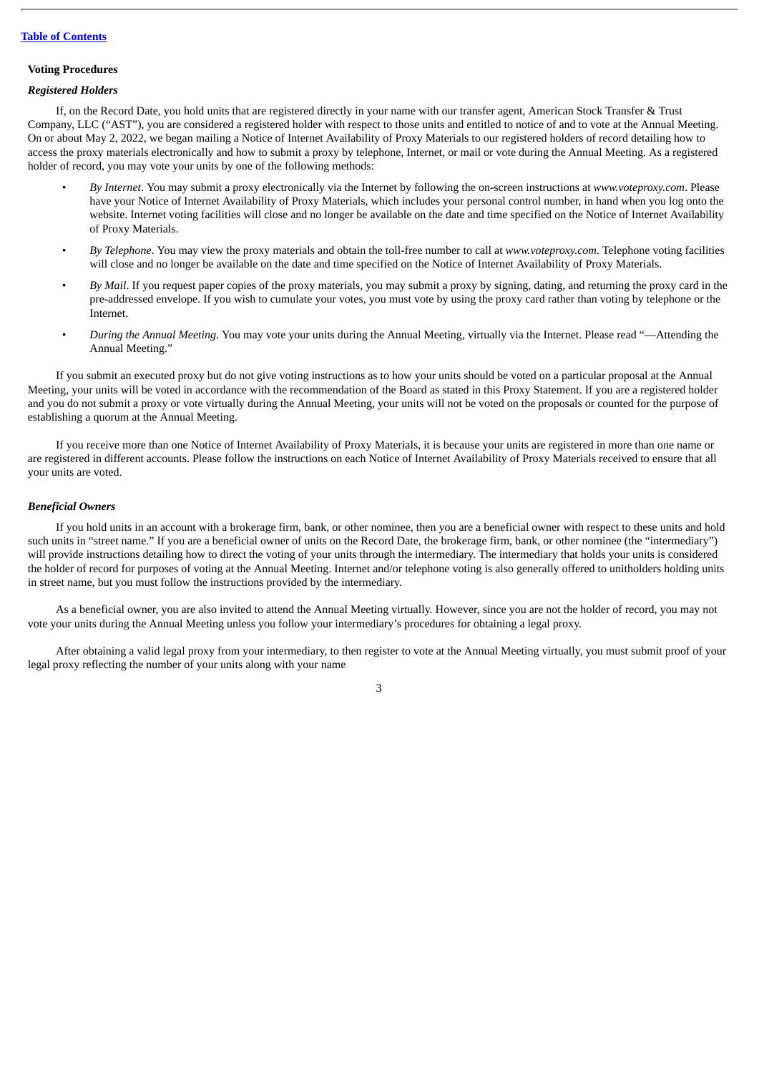#### <span id="page-7-0"></span>**Voting Procedures**

#### *Registered Holders*

If, on the Record Date, you hold units that are registered directly in your name with our transfer agent, American Stock Transfer & Trust Company, LLC ("AST"), you are considered a registered holder with respect to those units and entitled to notice of and to vote at the Annual Meeting. On or about May 2, 2022, we began mailing a Notice of Internet Availability of Proxy Materials to our registered holders of record detailing how to access the proxy materials electronically and how to submit a proxy by telephone, Internet, or mail or vote during the Annual Meeting. As a registered holder of record, you may vote your units by one of the following methods:

- *By Internet*. You may submit a proxy electronically via the Internet by following the on-screen instructions at *www.voteproxy.com*. Please have your Notice of Internet Availability of Proxy Materials, which includes your personal control number, in hand when you log onto the website. Internet voting facilities will close and no longer be available on the date and time specified on the Notice of Internet Availability of Proxy Materials.
- *By Telephone*. You may view the proxy materials and obtain the toll-free number to call at *www.voteproxy.com*. Telephone voting facilities will close and no longer be available on the date and time specified on the Notice of Internet Availability of Proxy Materials.
- *By Mail*. If you request paper copies of the proxy materials, you may submit a proxy by signing, dating, and returning the proxy card in the pre-addressed envelope. If you wish to cumulate your votes, you must vote by using the proxy card rather than voting by telephone or the Internet.
- *During the Annual Meeting*. You may vote your units during the Annual Meeting, virtually via the Internet. Please read "—Attending the Annual Meeting."

If you submit an executed proxy but do not give voting instructions as to how your units should be voted on a particular proposal at the Annual Meeting, your units will be voted in accordance with the recommendation of the Board as stated in this Proxy Statement. If you are a registered holder and you do not submit a proxy or vote virtually during the Annual Meeting, your units will not be voted on the proposals or counted for the purpose of establishing a quorum at the Annual Meeting.

If you receive more than one Notice of Internet Availability of Proxy Materials, it is because your units are registered in more than one name or are registered in different accounts. Please follow the instructions on each Notice of Internet Availability of Proxy Materials received to ensure that all your units are voted.

#### *Beneficial Owners*

If you hold units in an account with a brokerage firm, bank, or other nominee, then you are a beneficial owner with respect to these units and hold such units in "street name." If you are a beneficial owner of units on the Record Date, the brokerage firm, bank, or other nominee (the "intermediary") will provide instructions detailing how to direct the voting of your units through the intermediary. The intermediary that holds your units is considered the holder of record for purposes of voting at the Annual Meeting. Internet and/or telephone voting is also generally offered to unitholders holding units in street name, but you must follow the instructions provided by the intermediary.

As a beneficial owner, you are also invited to attend the Annual Meeting virtually. However, since you are not the holder of record, you may not vote your units during the Annual Meeting unless you follow your intermediary's procedures for obtaining a legal proxy.

After obtaining a valid legal proxy from your intermediary, to then register to vote at the Annual Meeting virtually, you must submit proof of your legal proxy reflecting the number of your units along with your name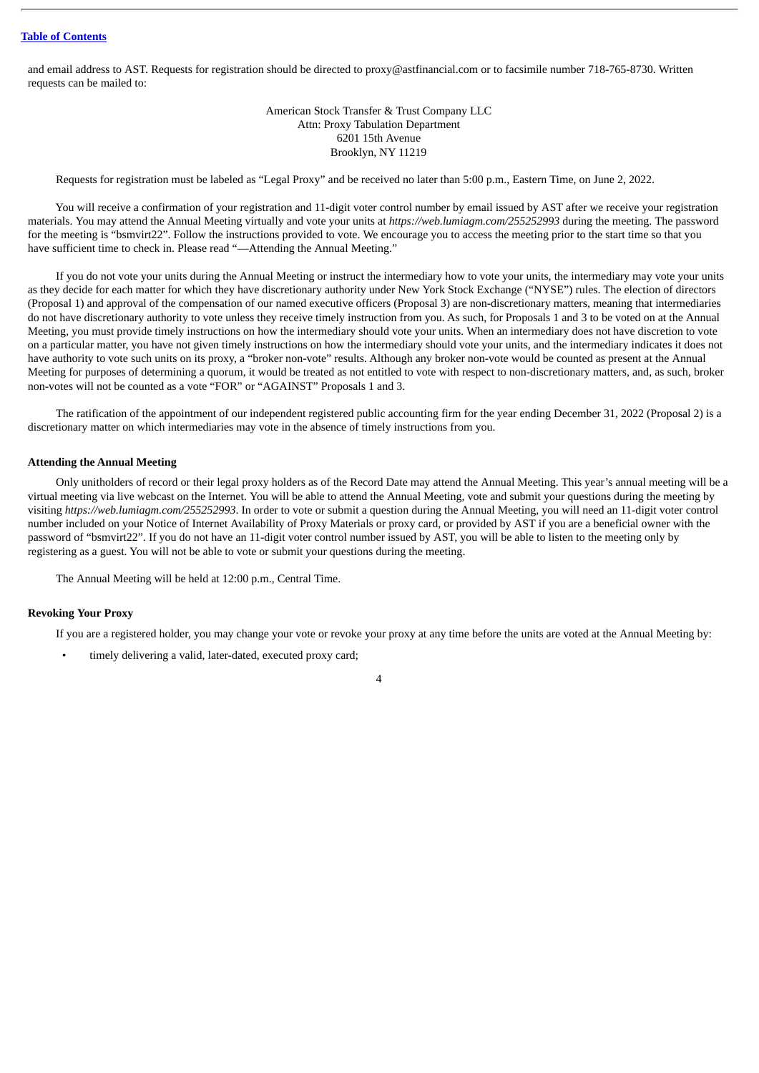and email address to AST. Requests for registration should be directed to proxy@astfinancial.com or to facsimile number 718-765-8730. Written requests can be mailed to:

> American Stock Transfer & Trust Company LLC Attn: Proxy Tabulation Department 6201 15th Avenue Brooklyn, NY 11219

Requests for registration must be labeled as "Legal Proxy" and be received no later than 5:00 p.m., Eastern Time, on June 2, 2022.

You will receive a confirmation of your registration and 11-digit voter control number by email issued by AST after we receive your registration materials. You may attend the Annual Meeting virtually and vote your units at *https://web.lumiagm.com/255252993* during the meeting. The password for the meeting is "bsmvirt22". Follow the instructions provided to vote. We encourage you to access the meeting prior to the start time so that you have sufficient time to check in. Please read "---Attending the Annual Meeting."

If you do not vote your units during the Annual Meeting or instruct the intermediary how to vote your units, the intermediary may vote your units as they decide for each matter for which they have discretionary authority under New York Stock Exchange ("NYSE") rules. The election of directors (Proposal 1) and approval of the compensation of our named executive officers (Proposal 3) are non-discretionary matters, meaning that intermediaries do not have discretionary authority to vote unless they receive timely instruction from you. As such, for Proposals 1 and 3 to be voted on at the Annual Meeting, you must provide timely instructions on how the intermediary should vote your units. When an intermediary does not have discretion to vote on a particular matter, you have not given timely instructions on how the intermediary should vote your units, and the intermediary indicates it does not have authority to vote such units on its proxy, a "broker non-vote" results. Although any broker non-vote would be counted as present at the Annual Meeting for purposes of determining a quorum, it would be treated as not entitled to vote with respect to non-discretionary matters, and, as such, broker non-votes will not be counted as a vote "FOR" or "AGAINST" Proposals 1 and 3.

The ratification of the appointment of our independent registered public accounting firm for the year ending December 31, 2022 (Proposal 2) is a discretionary matter on which intermediaries may vote in the absence of timely instructions from you.

#### <span id="page-8-0"></span>**Attending the Annual Meeting**

Only unitholders of record or their legal proxy holders as of the Record Date may attend the Annual Meeting. This year's annual meeting will be a virtual meeting via live webcast on the Internet. You will be able to attend the Annual Meeting, vote and submit your questions during the meeting by visiting *https://web.lumiagm.com/255252993*. In order to vote or submit a question during the Annual Meeting, you will need an 11-digit voter control number included on your Notice of Internet Availability of Proxy Materials or proxy card, or provided by AST if you are a beneficial owner with the password of "bsmvirt22". If you do not have an 11-digit voter control number issued by AST, you will be able to listen to the meeting only by registering as a guest. You will not be able to vote or submit your questions during the meeting.

The Annual Meeting will be held at 12:00 p.m., Central Time.

#### <span id="page-8-1"></span>**Revoking Your Proxy**

If you are a registered holder, you may change your vote or revoke your proxy at any time before the units are voted at the Annual Meeting by:

4

timely delivering a valid, later-dated, executed proxy card;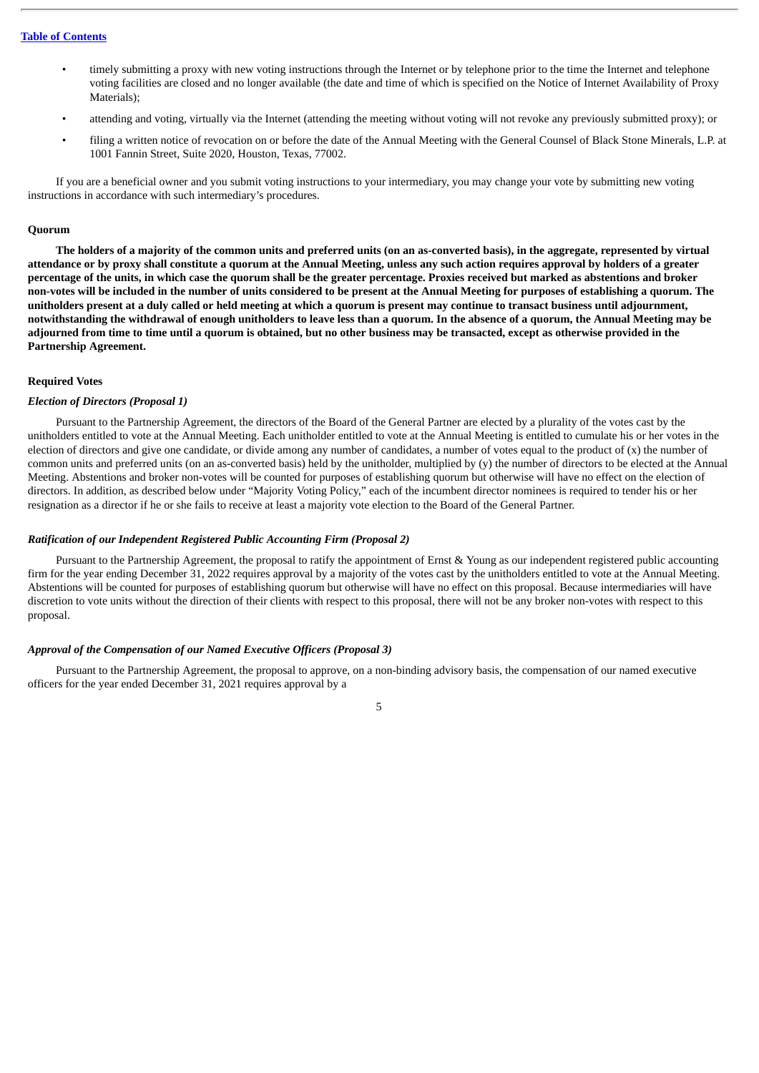- timely submitting a proxy with new voting instructions through the Internet or by telephone prior to the time the Internet and telephone voting facilities are closed and no longer available (the date and time of which is specified on the Notice of Internet Availability of Proxy Materials);
- attending and voting, virtually via the Internet (attending the meeting without voting will not revoke any previously submitted proxy); or
- filing a written notice of revocation on or before the date of the Annual Meeting with the General Counsel of Black Stone Minerals, L.P. at 1001 Fannin Street, Suite 2020, Houston, Texas, 77002.

If you are a beneficial owner and you submit voting instructions to your intermediary, you may change your vote by submitting new voting instructions in accordance with such intermediary's procedures.

#### <span id="page-9-0"></span>**Quorum**

The holders of a majority of the common units and preferred units (on an as-converted basis), in the aggregate, represented by virtual attendance or by proxy shall constitute a quorum at the Annual Meeting, unless any such action requires approval by holders of a greater percentage of the units, in which case the quorum shall be the greater percentage. Proxies received but marked as abstentions and broker non-votes will be included in the number of units considered to be present at the Annual Meeting for purposes of establishing a quorum. The unitholders present at a duly called or held meeting at which a quorum is present may continue to transact business until adjournment, notwithstanding the withdrawal of enough unitholders to leave less than a quorum. In the absence of a quorum, the Annual Meeting may be adiourned from time to time until a quorum is obtained, but no other business may be transacted, except as otherwise provided in the **Partnership Agreement.**

#### <span id="page-9-1"></span>**Required Votes**

## *Election of Directors (Proposal 1)*

Pursuant to the Partnership Agreement, the directors of the Board of the General Partner are elected by a plurality of the votes cast by the unitholders entitled to vote at the Annual Meeting. Each unitholder entitled to vote at the Annual Meeting is entitled to cumulate his or her votes in the election of directors and give one candidate, or divide among any number of candidates, a number of votes equal to the product of  $(x)$  the number of common units and preferred units (on an as-converted basis) held by the unitholder, multiplied by (y) the number of directors to be elected at the Annual Meeting. Abstentions and broker non-votes will be counted for purposes of establishing quorum but otherwise will have no effect on the election of directors. In addition, as described below under "Majority Voting Policy," each of the incumbent director nominees is required to tender his or her resignation as a director if he or she fails to receive at least a majority vote election to the Board of the General Partner.

#### *Ratification of our Independent Registered Public Accounting Firm (Proposal 2)*

Pursuant to the Partnership Agreement, the proposal to ratify the appointment of Ernst & Young as our independent registered public accounting firm for the year ending December 31, 2022 requires approval by a majority of the votes cast by the unitholders entitled to vote at the Annual Meeting. Abstentions will be counted for purposes of establishing quorum but otherwise will have no effect on this proposal. Because intermediaries will have discretion to vote units without the direction of their clients with respect to this proposal, there will not be any broker non-votes with respect to this proposal.

### *Approval of the Compensation of our Named Executive Officers (Proposal 3)*

Pursuant to the Partnership Agreement, the proposal to approve, on a non-binding advisory basis, the compensation of our named executive officers for the year ended December 31, 2021 requires approval by a

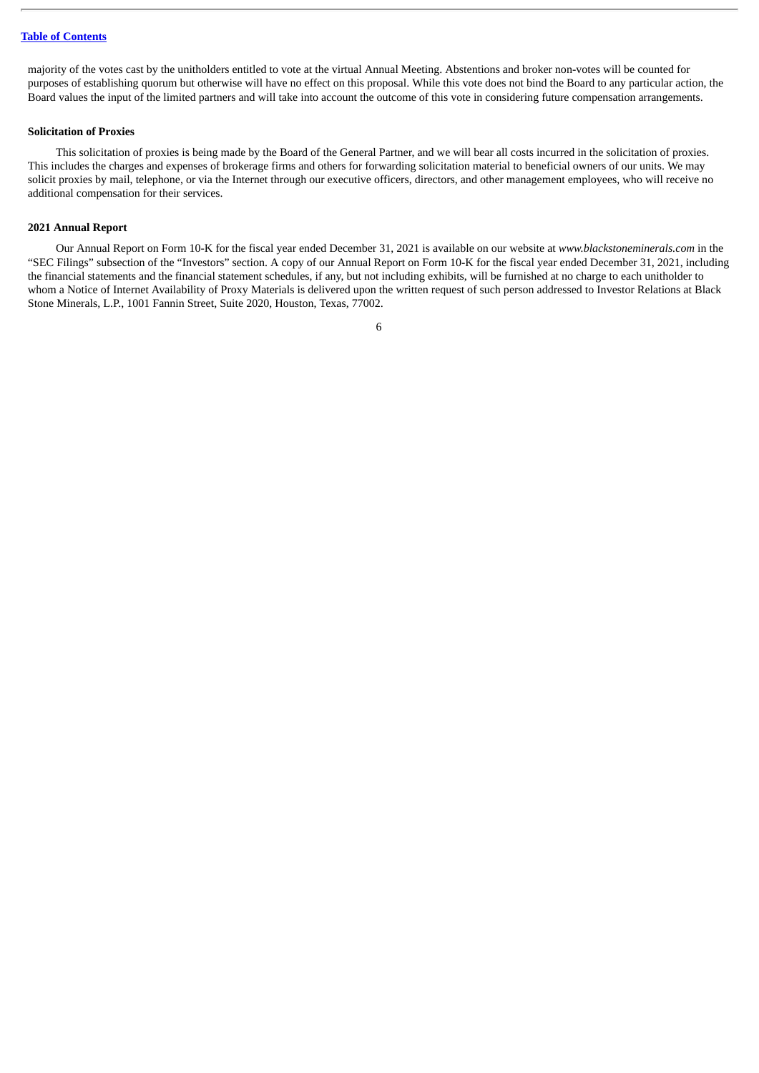majority of the votes cast by the unitholders entitled to vote at the virtual Annual Meeting. Abstentions and broker non-votes will be counted for purposes of establishing quorum but otherwise will have no effect on this proposal. While this vote does not bind the Board to any particular action, the Board values the input of the limited partners and will take into account the outcome of this vote in considering future compensation arrangements.

#### <span id="page-10-0"></span>**Solicitation of Proxies**

This solicitation of proxies is being made by the Board of the General Partner, and we will bear all costs incurred in the solicitation of proxies. This includes the charges and expenses of brokerage firms and others for forwarding solicitation material to beneficial owners of our units. We may solicit proxies by mail, telephone, or via the Internet through our executive officers, directors, and other management employees, who will receive no additional compensation for their services.

### <span id="page-10-1"></span>**2021 Annual Report**

Our Annual Report on Form 10-K for the fiscal year ended December 31, 2021 is available on our website at *www.blackstoneminerals.com* in the "SEC Filings" subsection of the "Investors" section. A copy of our Annual Report on Form 10-K for the fiscal year ended December 31, 2021, including the financial statements and the financial statement schedules, if any, but not including exhibits, will be furnished at no charge to each unitholder to whom a Notice of Internet Availability of Proxy Materials is delivered upon the written request of such person addressed to Investor Relations at Black Stone Minerals, L.P., 1001 Fannin Street, Suite 2020, Houston, Texas, 77002.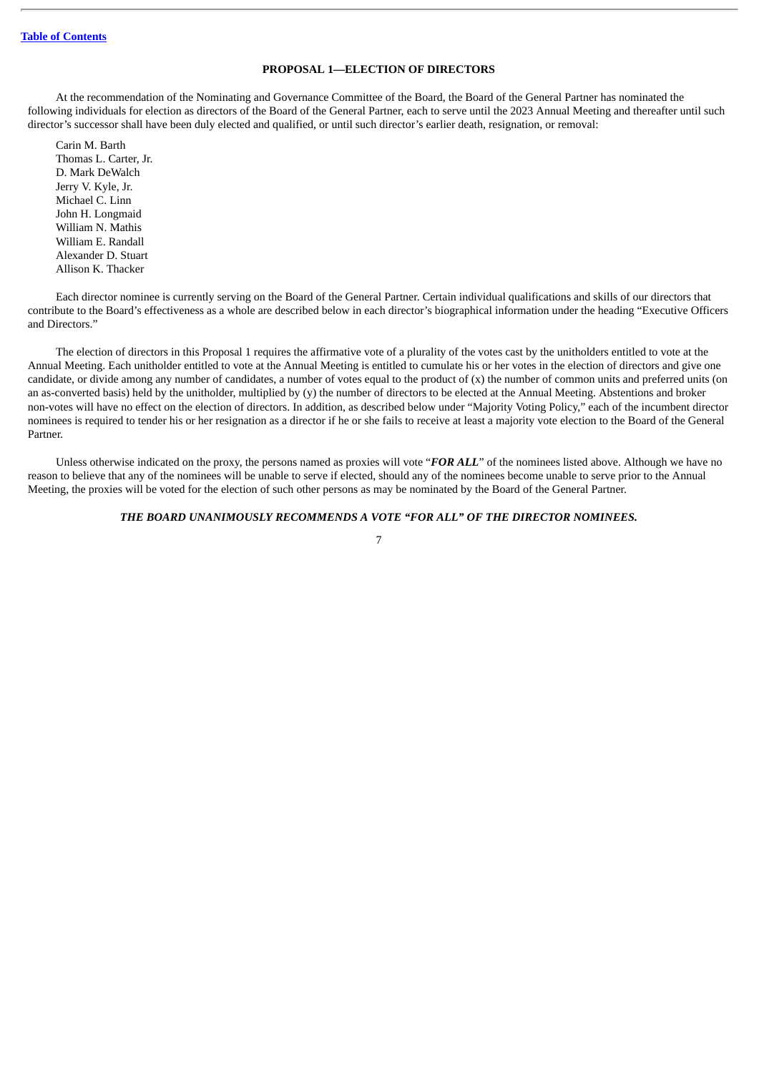#### **PROPOSAL 1—ELECTION OF DIRECTORS**

<span id="page-11-0"></span>At the recommendation of the Nominating and Governance Committee of the Board, the Board of the General Partner has nominated the following individuals for election as directors of the Board of the General Partner, each to serve until the 2023 Annual Meeting and thereafter until such director's successor shall have been duly elected and qualified, or until such director's earlier death, resignation, or removal:

Carin M. Barth Thomas L. Carter, Jr. D. Mark DeWalch Jerry V. Kyle, Jr. Michael C. Linn John H. Longmaid William N. Mathis William E. Randall Alexander D. Stuart Allison K. Thacker

Each director nominee is currently serving on the Board of the General Partner. Certain individual qualifications and skills of our directors that contribute to the Board's effectiveness as a whole are described below in each director's biographical information under the heading "Executive Officers and Directors."

The election of directors in this Proposal 1 requires the affirmative vote of a plurality of the votes cast by the unitholders entitled to vote at the Annual Meeting. Each unitholder entitled to vote at the Annual Meeting is entitled to cumulate his or her votes in the election of directors and give one candidate, or divide among any number of candidates, a number of votes equal to the product of  $(x)$  the number of common units and preferred units (on an as-converted basis) held by the unitholder, multiplied by (y) the number of directors to be elected at the Annual Meeting. Abstentions and broker non-votes will have no effect on the election of directors. In addition, as described below under "Majority Voting Policy," each of the incumbent director nominees is required to tender his or her resignation as a director if he or she fails to receive at least a majority vote election to the Board of the General Partner.

Unless otherwise indicated on the proxy, the persons named as proxies will vote "*FOR ALL*" of the nominees listed above. Although we have no reason to believe that any of the nominees will be unable to serve if elected, should any of the nominees become unable to serve prior to the Annual Meeting, the proxies will be voted for the election of such other persons as may be nominated by the Board of the General Partner.

## *THE BOARD UNANIMOUSLY RECOMMENDS A VOTE "FOR ALL" OF THE DIRECTOR NOMINEES.*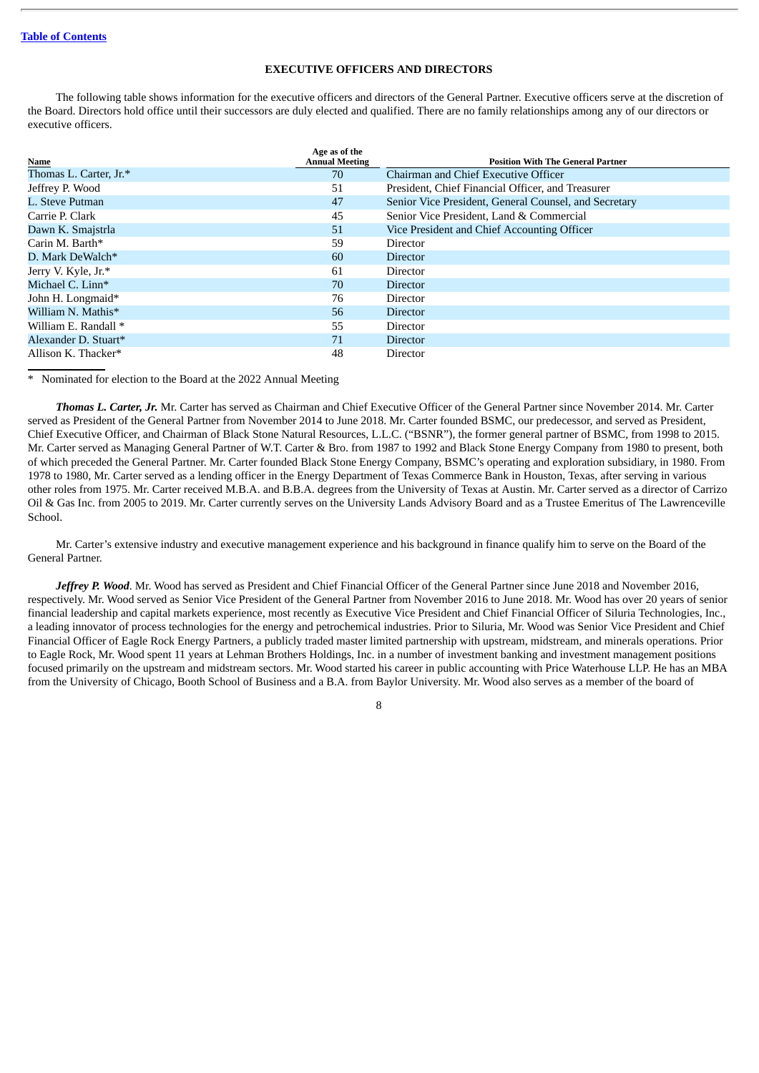## **EXECUTIVE OFFICERS AND DIRECTORS**

<span id="page-12-0"></span>The following table shows information for the executive officers and directors of the General Partner. Executive officers serve at the discretion of the Board. Directors hold office until their successors are duly elected and qualified. There are no family relationships among any of our directors or executive officers.

| Name                   | Age as of the<br><b>Annual Meeting</b> | <b>Position With The General Partner</b>              |
|------------------------|----------------------------------------|-------------------------------------------------------|
| Thomas L. Carter, Jr.* | 70                                     | Chairman and Chief Executive Officer                  |
| Jeffrey P. Wood        | 51                                     | President, Chief Financial Officer, and Treasurer     |
| L. Steve Putman        | 47                                     | Senior Vice President, General Counsel, and Secretary |
| Carrie P. Clark        | 45                                     | Senior Vice President, Land & Commercial              |
| Dawn K. Smajstrla      | 51                                     | Vice President and Chief Accounting Officer           |
| Carin M. Barth*        | 59                                     | Director                                              |
| D. Mark DeWalch*       | 60                                     | <b>Director</b>                                       |
| Jerry V. Kyle, Jr.*    | 61                                     | Director                                              |
| Michael C. Linn*       | 70                                     | <b>Director</b>                                       |
| John H. Longmaid*      | 76                                     | Director                                              |
| William N. Mathis*     | 56                                     | <b>Director</b>                                       |
| William E. Randall *   | 55                                     | Director                                              |
| Alexander D. Stuart*   | 71                                     | <b>Director</b>                                       |
| Allison K. Thacker*    | 48                                     | Director                                              |

Nominated for election to the Board at the 2022 Annual Meeting

*Thomas L. Carter, Jr.* Mr. Carter has served as Chairman and Chief Executive Officer of the General Partner since November 2014. Mr. Carter served as President of the General Partner from November 2014 to June 2018. Mr. Carter founded BSMC, our predecessor, and served as President, Chief Executive Officer, and Chairman of Black Stone Natural Resources, L.L.C. ("BSNR"), the former general partner of BSMC, from 1998 to 2015. Mr. Carter served as Managing General Partner of W.T. Carter & Bro. from 1987 to 1992 and Black Stone Energy Company from 1980 to present, both of which preceded the General Partner. Mr. Carter founded Black Stone Energy Company, BSMC's operating and exploration subsidiary, in 1980. From 1978 to 1980, Mr. Carter served as a lending officer in the Energy Department of Texas Commerce Bank in Houston, Texas, after serving in various other roles from 1975. Mr. Carter received M.B.A. and B.B.A. degrees from the University of Texas at Austin. Mr. Carter served as a director of Carrizo Oil & Gas Inc. from 2005 to 2019. Mr. Carter currently serves on the University Lands Advisory Board and as a Trustee Emeritus of The Lawrenceville School.

Mr. Carter's extensive industry and executive management experience and his background in finance qualify him to serve on the Board of the General Partner.

*Jeffrey P. Wood*. Mr. Wood has served as President and Chief Financial Officer of the General Partner since June 2018 and November 2016, respectively. Mr. Wood served as Senior Vice President of the General Partner from November 2016 to June 2018. Mr. Wood has over 20 years of senior financial leadership and capital markets experience, most recently as Executive Vice President and Chief Financial Officer of Siluria Technologies, Inc., a leading innovator of process technologies for the energy and petrochemical industries. Prior to Siluria, Mr. Wood was Senior Vice President and Chief Financial Officer of Eagle Rock Energy Partners, a publicly traded master limited partnership with upstream, midstream, and minerals operations. Prior to Eagle Rock, Mr. Wood spent 11 years at Lehman Brothers Holdings, Inc. in a number of investment banking and investment management positions focused primarily on the upstream and midstream sectors. Mr. Wood started his career in public accounting with Price Waterhouse LLP. He has an MBA from the University of Chicago, Booth School of Business and a B.A. from Baylor University. Mr. Wood also serves as a member of the board of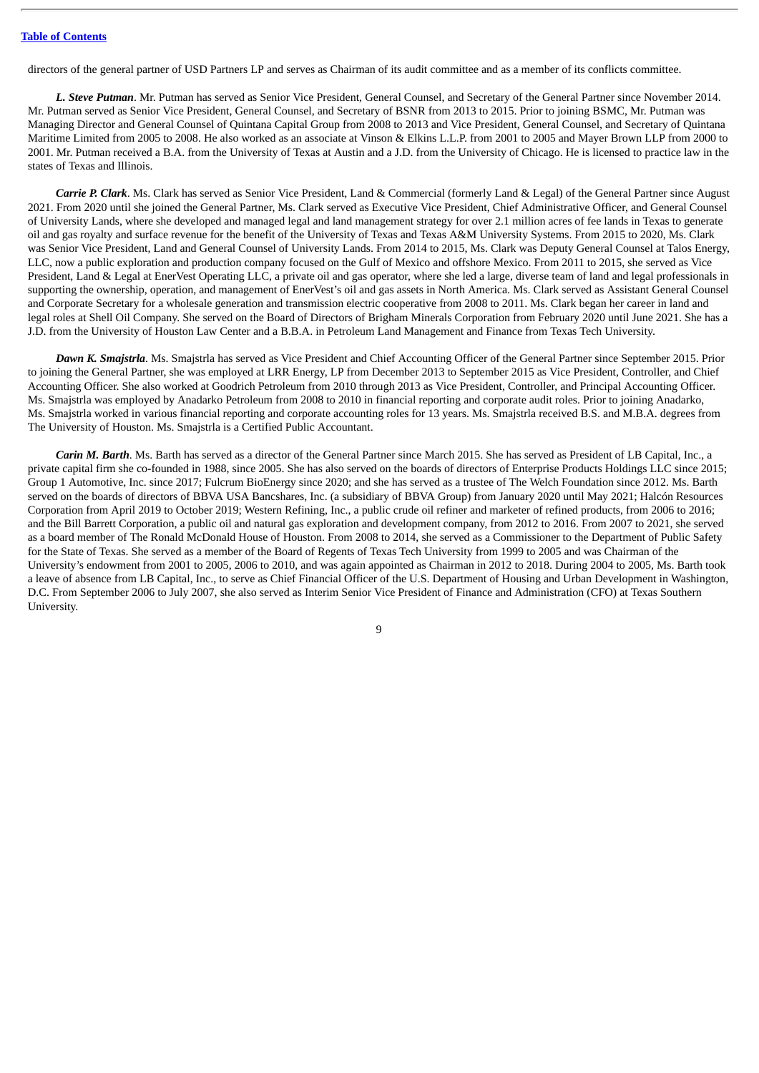directors of the general partner of USD Partners LP and serves as Chairman of its audit committee and as a member of its conflicts committee.

*L. Steve Putman*. Mr. Putman has served as Senior Vice President, General Counsel, and Secretary of the General Partner since November 2014. Mr. Putman served as Senior Vice President, General Counsel, and Secretary of BSNR from 2013 to 2015. Prior to joining BSMC, Mr. Putman was Managing Director and General Counsel of Quintana Capital Group from 2008 to 2013 and Vice President, General Counsel, and Secretary of Quintana Maritime Limited from 2005 to 2008. He also worked as an associate at Vinson & Elkins L.L.P. from 2001 to 2005 and Mayer Brown LLP from 2000 to 2001. Mr. Putman received a B.A. from the University of Texas at Austin and a J.D. from the University of Chicago. He is licensed to practice law in the states of Texas and Illinois.

*Carrie P. Clark*. Ms. Clark has served as Senior Vice President, Land & Commercial (formerly Land & Legal) of the General Partner since August 2021. From 2020 until she joined the General Partner, Ms. Clark served as Executive Vice President, Chief Administrative Officer, and General Counsel of University Lands, where she developed and managed legal and land management strategy for over 2.1 million acres of fee lands in Texas to generate oil and gas royalty and surface revenue for the benefit of the University of Texas and Texas A&M University Systems. From 2015 to 2020, Ms. Clark was Senior Vice President, Land and General Counsel of University Lands. From 2014 to 2015, Ms. Clark was Deputy General Counsel at Talos Energy, LLC, now a public exploration and production company focused on the Gulf of Mexico and offshore Mexico. From 2011 to 2015, she served as Vice President, Land & Legal at EnerVest Operating LLC, a private oil and gas operator, where she led a large, diverse team of land and legal professionals in supporting the ownership, operation, and management of EnerVest's oil and gas assets in North America. Ms. Clark served as Assistant General Counsel and Corporate Secretary for a wholesale generation and transmission electric cooperative from 2008 to 2011. Ms. Clark began her career in land and legal roles at Shell Oil Company. She served on the Board of Directors of Brigham Minerals Corporation from February 2020 until June 2021. She has a J.D. from the University of Houston Law Center and a B.B.A. in Petroleum Land Management and Finance from Texas Tech University.

*Dawn K. Smajstrla*. Ms. Smajstrla has served as Vice President and Chief Accounting Officer of the General Partner since September 2015. Prior to joining the General Partner, she was employed at LRR Energy, LP from December 2013 to September 2015 as Vice President, Controller, and Chief Accounting Officer. She also worked at Goodrich Petroleum from 2010 through 2013 as Vice President, Controller, and Principal Accounting Officer. Ms. Smajstrla was employed by Anadarko Petroleum from 2008 to 2010 in financial reporting and corporate audit roles. Prior to joining Anadarko, Ms. Smajstrla worked in various financial reporting and corporate accounting roles for 13 years. Ms. Smajstrla received B.S. and M.B.A. degrees from The University of Houston. Ms. Smajstrla is a Certified Public Accountant.

*Carin M. Barth*. Ms. Barth has served as a director of the General Partner since March 2015. She has served as President of LB Capital, Inc., a private capital firm she co-founded in 1988, since 2005. She has also served on the boards of directors of Enterprise Products Holdings LLC since 2015; Group 1 Automotive, Inc. since 2017; Fulcrum BioEnergy since 2020; and she has served as a trustee of The Welch Foundation since 2012. Ms. Barth served on the boards of directors of BBVA USA Bancshares, Inc. (a subsidiary of BBVA Group) from January 2020 until May 2021; Halcón Resources Corporation from April 2019 to October 2019; Western Refining, Inc., a public crude oil refiner and marketer of refined products, from 2006 to 2016; and the Bill Barrett Corporation, a public oil and natural gas exploration and development company, from 2012 to 2016. From 2007 to 2021, she served as a board member of The Ronald McDonald House of Houston. From 2008 to 2014, she served as a Commissioner to the Department of Public Safety for the State of Texas. She served as a member of the Board of Regents of Texas Tech University from 1999 to 2005 and was Chairman of the University's endowment from 2001 to 2005, 2006 to 2010, and was again appointed as Chairman in 2012 to 2018. During 2004 to 2005, Ms. Barth took a leave of absence from LB Capital, Inc., to serve as Chief Financial Officer of the U.S. Department of Housing and Urban Development in Washington, D.C. From September 2006 to July 2007, she also served as Interim Senior Vice President of Finance and Administration (CFO) at Texas Southern University.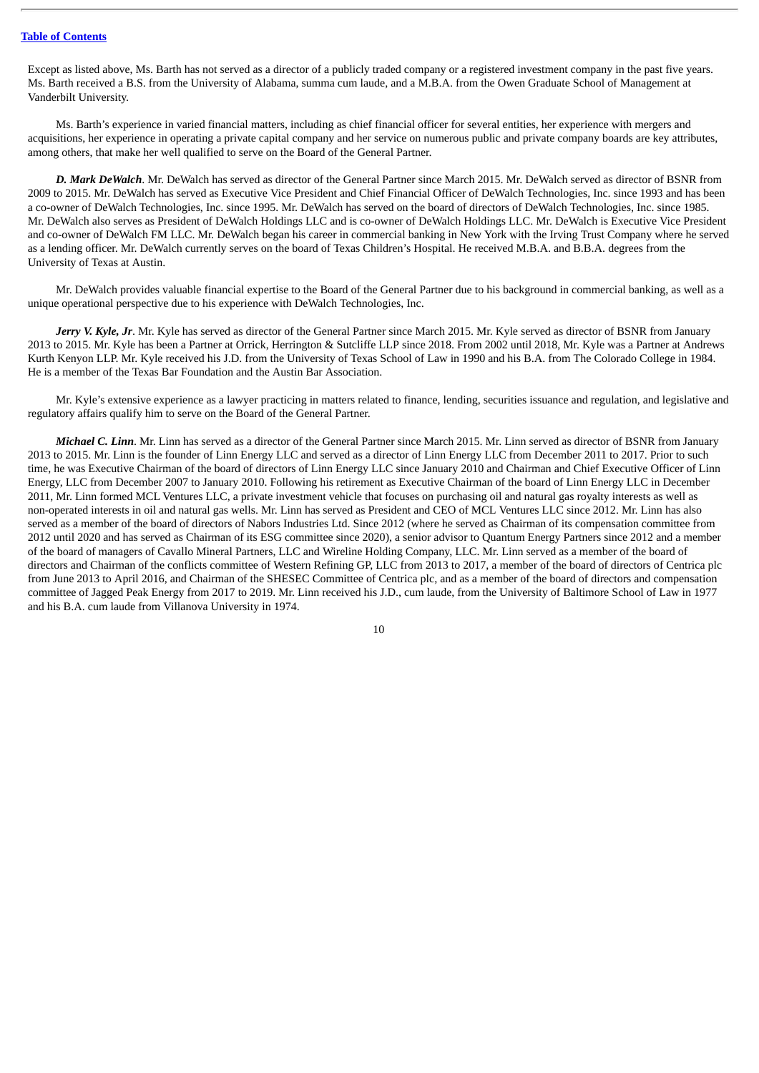Except as listed above, Ms. Barth has not served as a director of a publicly traded company or a registered investment company in the past five years. Ms. Barth received a B.S. from the University of Alabama, summa cum laude, and a M.B.A. from the Owen Graduate School of Management at Vanderbilt University.

Ms. Barth's experience in varied financial matters, including as chief financial officer for several entities, her experience with mergers and acquisitions, her experience in operating a private capital company and her service on numerous public and private company boards are key attributes, among others, that make her well qualified to serve on the Board of the General Partner.

*D. Mark DeWalch*. Mr. DeWalch has served as director of the General Partner since March 2015. Mr. DeWalch served as director of BSNR from 2009 to 2015. Mr. DeWalch has served as Executive Vice President and Chief Financial Officer of DeWalch Technologies, Inc. since 1993 and has been a co-owner of DeWalch Technologies, Inc. since 1995. Mr. DeWalch has served on the board of directors of DeWalch Technologies, Inc. since 1985. Mr. DeWalch also serves as President of DeWalch Holdings LLC and is co-owner of DeWalch Holdings LLC. Mr. DeWalch is Executive Vice President and co-owner of DeWalch FM LLC. Mr. DeWalch began his career in commercial banking in New York with the Irving Trust Company where he served as a lending officer. Mr. DeWalch currently serves on the board of Texas Children's Hospital. He received M.B.A. and B.B.A. degrees from the University of Texas at Austin.

Mr. DeWalch provides valuable financial expertise to the Board of the General Partner due to his background in commercial banking, as well as a unique operational perspective due to his experience with DeWalch Technologies, Inc.

*Jerry V. Kyle, Jr*. Mr. Kyle has served as director of the General Partner since March 2015. Mr. Kyle served as director of BSNR from January 2013 to 2015. Mr. Kyle has been a Partner at Orrick, Herrington & Sutcliffe LLP since 2018. From 2002 until 2018, Mr. Kyle was a Partner at Andrews Kurth Kenyon LLP. Mr. Kyle received his J.D. from the University of Texas School of Law in 1990 and his B.A. from The Colorado College in 1984. He is a member of the Texas Bar Foundation and the Austin Bar Association.

Mr. Kyle's extensive experience as a lawyer practicing in matters related to finance, lending, securities issuance and regulation, and legislative and regulatory affairs qualify him to serve on the Board of the General Partner.

*Michael C. Linn*. Mr. Linn has served as a director of the General Partner since March 2015. Mr. Linn served as director of BSNR from January 2013 to 2015. Mr. Linn is the founder of Linn Energy LLC and served as a director of Linn Energy LLC from December 2011 to 2017. Prior to such time, he was Executive Chairman of the board of directors of Linn Energy LLC since January 2010 and Chairman and Chief Executive Officer of Linn Energy, LLC from December 2007 to January 2010. Following his retirement as Executive Chairman of the board of Linn Energy LLC in December 2011, Mr. Linn formed MCL Ventures LLC, a private investment vehicle that focuses on purchasing oil and natural gas royalty interests as well as non-operated interests in oil and natural gas wells. Mr. Linn has served as President and CEO of MCL Ventures LLC since 2012. Mr. Linn has also served as a member of the board of directors of Nabors Industries Ltd. Since 2012 (where he served as Chairman of its compensation committee from 2012 until 2020 and has served as Chairman of its ESG committee since 2020), a senior advisor to Quantum Energy Partners since 2012 and a member of the board of managers of Cavallo Mineral Partners, LLC and Wireline Holding Company, LLC. Mr. Linn served as a member of the board of directors and Chairman of the conflicts committee of Western Refining GP, LLC from 2013 to 2017, a member of the board of directors of Centrica plc from June 2013 to April 2016, and Chairman of the SHESEC Committee of Centrica plc, and as a member of the board of directors and compensation committee of Jagged Peak Energy from 2017 to 2019. Mr. Linn received his J.D., cum laude, from the University of Baltimore School of Law in 1977 and his B.A. cum laude from Villanova University in 1974.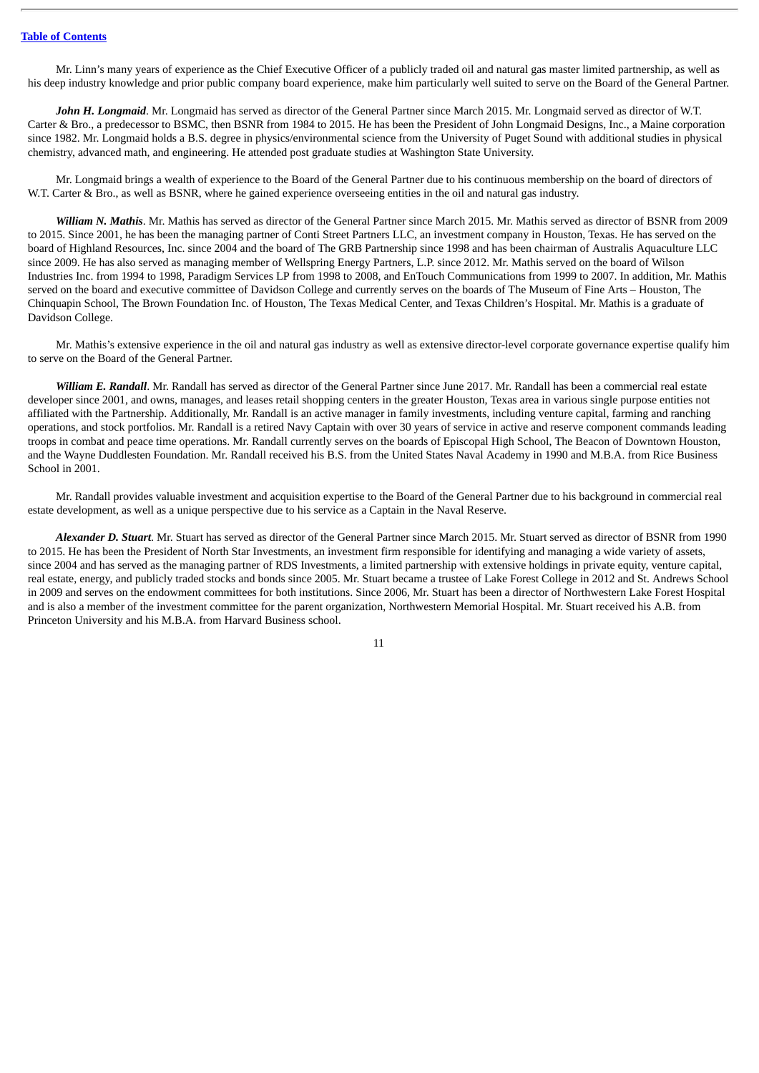Mr. Linn's many years of experience as the Chief Executive Officer of a publicly traded oil and natural gas master limited partnership, as well as his deep industry knowledge and prior public company board experience, make him particularly well suited to serve on the Board of the General Partner.

*John H. Longmaid*. Mr. Longmaid has served as director of the General Partner since March 2015. Mr. Longmaid served as director of W.T. Carter & Bro., a predecessor to BSMC, then BSNR from 1984 to 2015. He has been the President of John Longmaid Designs, Inc., a Maine corporation since 1982. Mr. Longmaid holds a B.S. degree in physics/environmental science from the University of Puget Sound with additional studies in physical chemistry, advanced math, and engineering. He attended post graduate studies at Washington State University.

Mr. Longmaid brings a wealth of experience to the Board of the General Partner due to his continuous membership on the board of directors of W.T. Carter & Bro., as well as BSNR, where he gained experience overseeing entities in the oil and natural gas industry.

*William N. Mathis*. Mr. Mathis has served as director of the General Partner since March 2015. Mr. Mathis served as director of BSNR from 2009 to 2015. Since 2001, he has been the managing partner of Conti Street Partners LLC, an investment company in Houston, Texas. He has served on the board of Highland Resources, Inc. since 2004 and the board of The GRB Partnership since 1998 and has been chairman of Australis Aquaculture LLC since 2009. He has also served as managing member of Wellspring Energy Partners, L.P. since 2012. Mr. Mathis served on the board of Wilson Industries Inc. from 1994 to 1998, Paradigm Services LP from 1998 to 2008, and EnTouch Communications from 1999 to 2007. In addition, Mr. Mathis served on the board and executive committee of Davidson College and currently serves on the boards of The Museum of Fine Arts – Houston, The Chinquapin School, The Brown Foundation Inc. of Houston, The Texas Medical Center, and Texas Children's Hospital. Mr. Mathis is a graduate of Davidson College.

Mr. Mathis's extensive experience in the oil and natural gas industry as well as extensive director-level corporate governance expertise qualify him to serve on the Board of the General Partner.

*William E. Randall*. Mr. Randall has served as director of the General Partner since June 2017. Mr. Randall has been a commercial real estate developer since 2001, and owns, manages, and leases retail shopping centers in the greater Houston, Texas area in various single purpose entities not affiliated with the Partnership. Additionally, Mr. Randall is an active manager in family investments, including venture capital, farming and ranching operations, and stock portfolios. Mr. Randall is a retired Navy Captain with over 30 years of service in active and reserve component commands leading troops in combat and peace time operations. Mr. Randall currently serves on the boards of Episcopal High School, The Beacon of Downtown Houston, and the Wayne Duddlesten Foundation. Mr. Randall received his B.S. from the United States Naval Academy in 1990 and M.B.A. from Rice Business School in 2001.

Mr. Randall provides valuable investment and acquisition expertise to the Board of the General Partner due to his background in commercial real estate development, as well as a unique perspective due to his service as a Captain in the Naval Reserve.

*Alexander D. Stuart*. Mr. Stuart has served as director of the General Partner since March 2015. Mr. Stuart served as director of BSNR from 1990 to 2015. He has been the President of North Star Investments, an investment firm responsible for identifying and managing a wide variety of assets, since 2004 and has served as the managing partner of RDS Investments, a limited partnership with extensive holdings in private equity, venture capital, real estate, energy, and publicly traded stocks and bonds since 2005. Mr. Stuart became a trustee of Lake Forest College in 2012 and St. Andrews School in 2009 and serves on the endowment committees for both institutions. Since 2006, Mr. Stuart has been a director of Northwestern Lake Forest Hospital and is also a member of the investment committee for the parent organization, Northwestern Memorial Hospital. Mr. Stuart received his A.B. from Princeton University and his M.B.A. from Harvard Business school.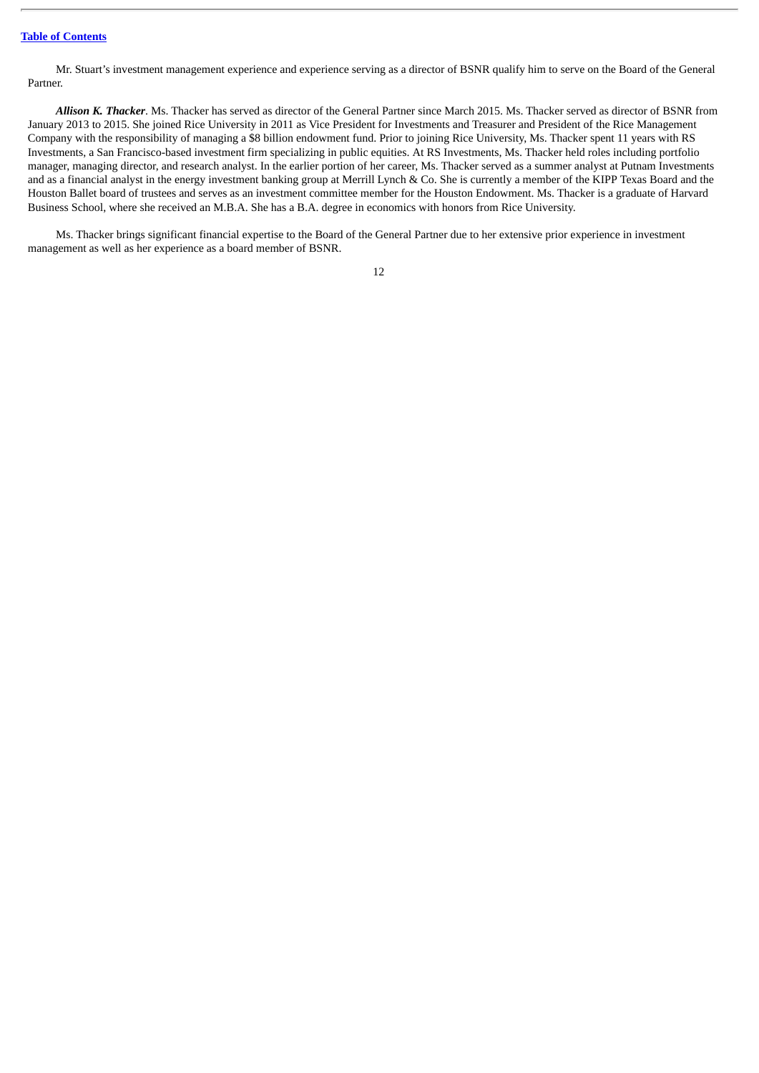Mr. Stuart's investment management experience and experience serving as a director of BSNR qualify him to serve on the Board of the General Partner.

*Allison K. Thacker*. Ms. Thacker has served as director of the General Partner since March 2015. Ms. Thacker served as director of BSNR from January 2013 to 2015. She joined Rice University in 2011 as Vice President for Investments and Treasurer and President of the Rice Management Company with the responsibility of managing a \$8 billion endowment fund. Prior to joining Rice University, Ms. Thacker spent 11 years with RS Investments, a San Francisco-based investment firm specializing in public equities. At RS Investments, Ms. Thacker held roles including portfolio manager, managing director, and research analyst. In the earlier portion of her career, Ms. Thacker served as a summer analyst at Putnam Investments and as a financial analyst in the energy investment banking group at Merrill Lynch & Co. She is currently a member of the KIPP Texas Board and the Houston Ballet board of trustees and serves as an investment committee member for the Houston Endowment. Ms. Thacker is a graduate of Harvard Business School, where she received an M.B.A. She has a B.A. degree in economics with honors from Rice University.

Ms. Thacker brings significant financial expertise to the Board of the General Partner due to her extensive prior experience in investment management as well as her experience as a board member of BSNR.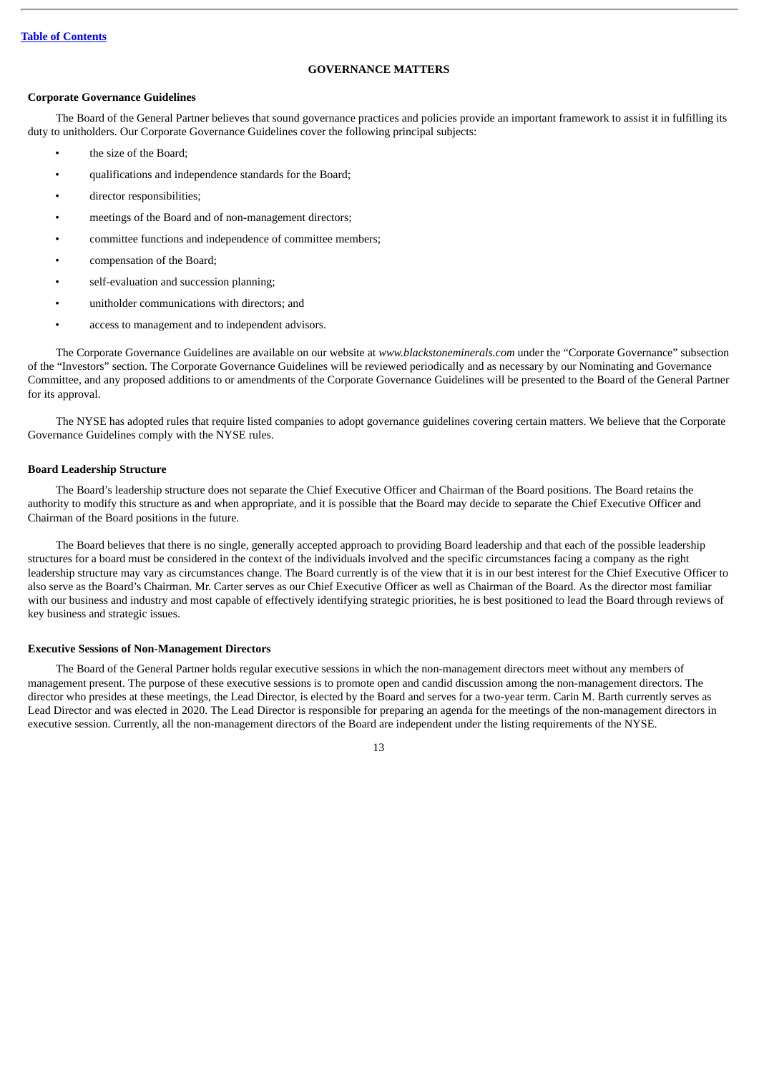#### **GOVERNANCE MATTERS**

#### <span id="page-17-1"></span><span id="page-17-0"></span>**Corporate Governance Guidelines**

The Board of the General Partner believes that sound governance practices and policies provide an important framework to assist it in fulfilling its duty to unitholders. Our Corporate Governance Guidelines cover the following principal subjects:

- the size of the Board;
- qualifications and independence standards for the Board;
- director responsibilities;
- meetings of the Board and of non-management directors;
- committee functions and independence of committee members;
- compensation of the Board;
- self-evaluation and succession planning;
- unitholder communications with directors; and
- access to management and to independent advisors.

The Corporate Governance Guidelines are available on our website at *www.blackstoneminerals.com* under the "Corporate Governance" subsection of the "Investors" section. The Corporate Governance Guidelines will be reviewed periodically and as necessary by our Nominating and Governance Committee, and any proposed additions to or amendments of the Corporate Governance Guidelines will be presented to the Board of the General Partner for its approval.

The NYSE has adopted rules that require listed companies to adopt governance guidelines covering certain matters. We believe that the Corporate Governance Guidelines comply with the NYSE rules.

#### <span id="page-17-2"></span>**Board Leadership Structure**

The Board's leadership structure does not separate the Chief Executive Officer and Chairman of the Board positions. The Board retains the authority to modify this structure as and when appropriate, and it is possible that the Board may decide to separate the Chief Executive Officer and Chairman of the Board positions in the future.

The Board believes that there is no single, generally accepted approach to providing Board leadership and that each of the possible leadership structures for a board must be considered in the context of the individuals involved and the specific circumstances facing a company as the right leadership structure may vary as circumstances change. The Board currently is of the view that it is in our best interest for the Chief Executive Officer to also serve as the Board's Chairman. Mr. Carter serves as our Chief Executive Officer as well as Chairman of the Board. As the director most familiar with our business and industry and most capable of effectively identifying strategic priorities, he is best positioned to lead the Board through reviews of key business and strategic issues.

#### <span id="page-17-3"></span>**Executive Sessions of Non-Management Directors**

The Board of the General Partner holds regular executive sessions in which the non-management directors meet without any members of management present. The purpose of these executive sessions is to promote open and candid discussion among the non-management directors. The director who presides at these meetings, the Lead Director, is elected by the Board and serves for a two-year term. Carin M. Barth currently serves as Lead Director and was elected in 2020. The Lead Director is responsible for preparing an agenda for the meetings of the non-management directors in executive session. Currently, all the non-management directors of the Board are independent under the listing requirements of the NYSE.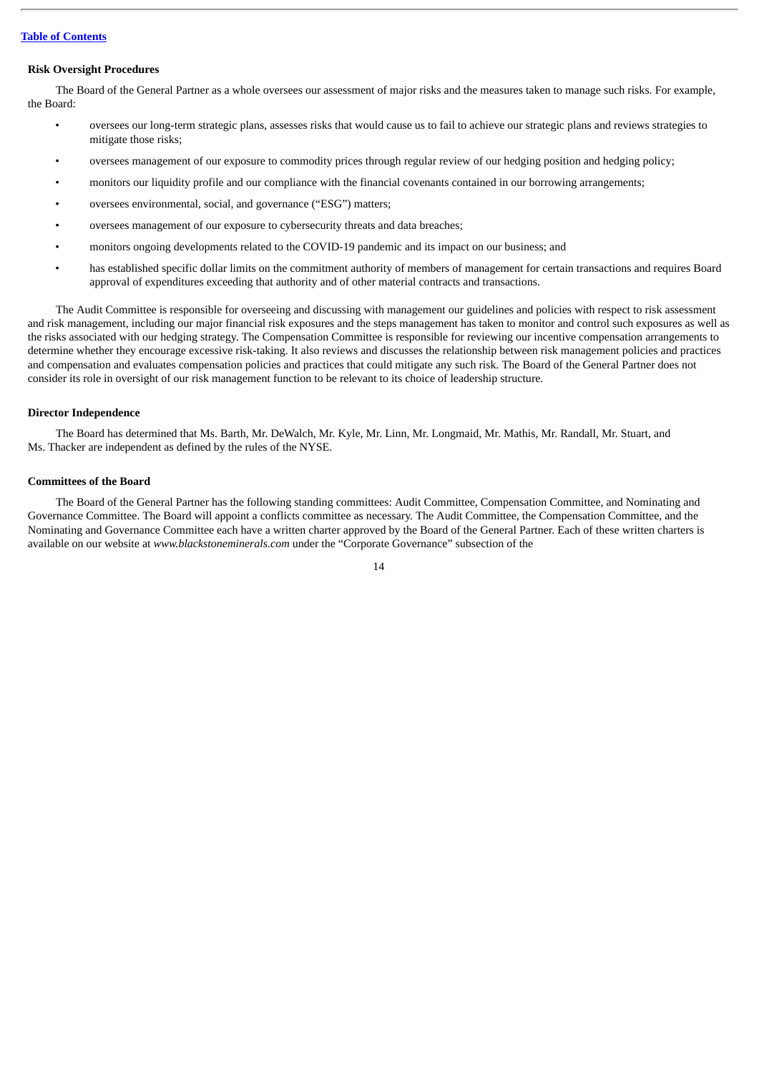#### <span id="page-18-0"></span>**Risk Oversight Procedures**

The Board of the General Partner as a whole oversees our assessment of major risks and the measures taken to manage such risks. For example, the Board:

- oversees our long-term strategic plans, assesses risks that would cause us to fail to achieve our strategic plans and reviews strategies to mitigate those risks;
- oversees management of our exposure to commodity prices through regular review of our hedging position and hedging policy;
- monitors our liquidity profile and our compliance with the financial covenants contained in our borrowing arrangements;
- oversees environmental, social, and governance ("ESG") matters;
- oversees management of our exposure to cybersecurity threats and data breaches;
- monitors ongoing developments related to the COVID-19 pandemic and its impact on our business; and
- has established specific dollar limits on the commitment authority of members of management for certain transactions and requires Board approval of expenditures exceeding that authority and of other material contracts and transactions.

The Audit Committee is responsible for overseeing and discussing with management our guidelines and policies with respect to risk assessment and risk management, including our major financial risk exposures and the steps management has taken to monitor and control such exposures as well as the risks associated with our hedging strategy. The Compensation Committee is responsible for reviewing our incentive compensation arrangements to determine whether they encourage excessive risk-taking. It also reviews and discusses the relationship between risk management policies and practices and compensation and evaluates compensation policies and practices that could mitigate any such risk. The Board of the General Partner does not consider its role in oversight of our risk management function to be relevant to its choice of leadership structure.

#### <span id="page-18-1"></span>**Director Independence**

The Board has determined that Ms. Barth, Mr. DeWalch, Mr. Kyle, Mr. Linn, Mr. Longmaid, Mr. Mathis, Mr. Randall, Mr. Stuart, and Ms. Thacker are independent as defined by the rules of the NYSE.

#### <span id="page-18-2"></span>**Committees of the Board**

The Board of the General Partner has the following standing committees: Audit Committee, Compensation Committee, and Nominating and Governance Committee. The Board will appoint a conflicts committee as necessary. The Audit Committee, the Compensation Committee, and the Nominating and Governance Committee each have a written charter approved by the Board of the General Partner. Each of these written charters is available on our website at *www.blackstoneminerals.com* under the "Corporate Governance" subsection of the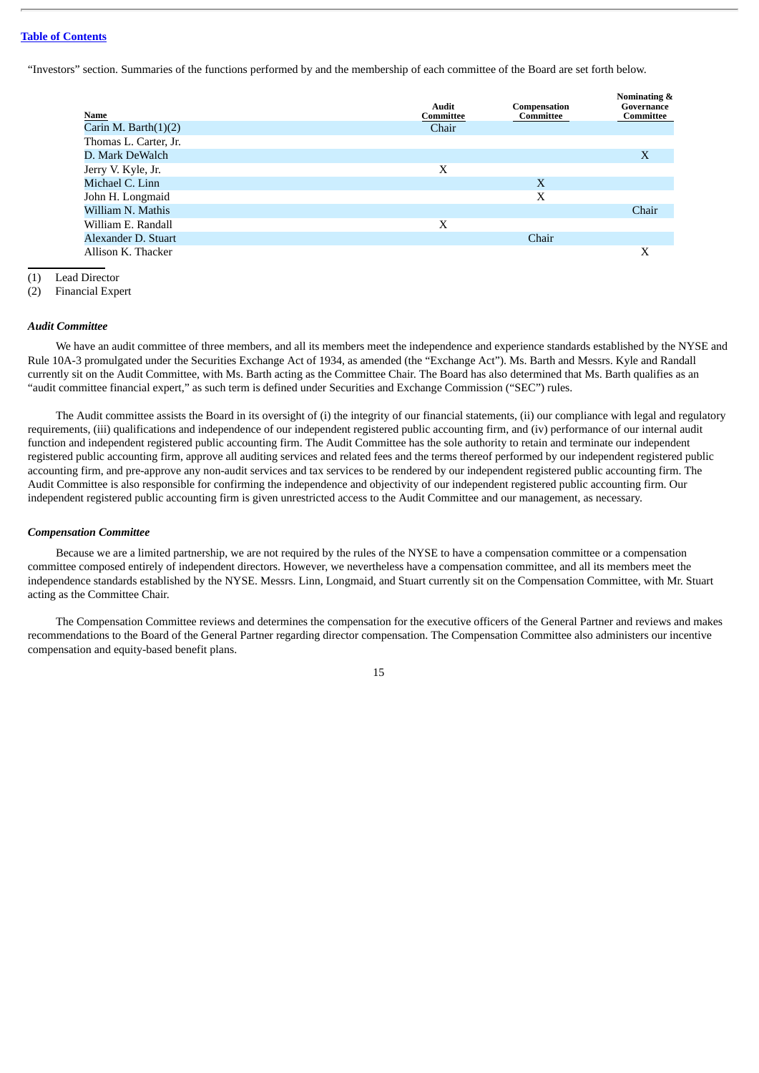"Investors" section. Summaries of the functions performed by and the membership of each committee of the Board are set forth below.

| Name                    | Audit<br>Committee | Compensation<br>Committee | Nominating &<br>Governance<br>Committee |
|-------------------------|--------------------|---------------------------|-----------------------------------------|
| Carin M. Barth $(1)(2)$ | Chair              |                           |                                         |
| Thomas L. Carter, Jr.   |                    |                           |                                         |
| D. Mark DeWalch         |                    |                           | X                                       |
| Jerry V. Kyle, Jr.      | Х                  |                           |                                         |
| Michael C. Linn         |                    | $\boldsymbol{X}$          |                                         |
| John H. Longmaid        |                    | X                         |                                         |
| William N. Mathis       |                    |                           | Chair                                   |
| William E. Randall      | Х                  |                           |                                         |
| Alexander D. Stuart     |                    | Chair                     |                                         |
| Allison K. Thacker      |                    |                           | X                                       |

(1) Lead Director

(2) Financial Expert

#### *Audit Committee*

We have an audit committee of three members, and all its members meet the independence and experience standards established by the NYSE and Rule 10A-3 promulgated under the Securities Exchange Act of 1934, as amended (the "Exchange Act"). Ms. Barth and Messrs. Kyle and Randall currently sit on the Audit Committee, with Ms. Barth acting as the Committee Chair. The Board has also determined that Ms. Barth qualifies as an "audit committee financial expert," as such term is defined under Securities and Exchange Commission ("SEC") rules.

The Audit committee assists the Board in its oversight of (i) the integrity of our financial statements, (ii) our compliance with legal and regulatory requirements, (iii) qualifications and independence of our independent registered public accounting firm, and (iv) performance of our internal audit function and independent registered public accounting firm. The Audit Committee has the sole authority to retain and terminate our independent registered public accounting firm, approve all auditing services and related fees and the terms thereof performed by our independent registered public accounting firm, and pre-approve any non-audit services and tax services to be rendered by our independent registered public accounting firm. The Audit Committee is also responsible for confirming the independence and objectivity of our independent registered public accounting firm. Our independent registered public accounting firm is given unrestricted access to the Audit Committee and our management, as necessary.

#### *Compensation Committee*

Because we are a limited partnership, we are not required by the rules of the NYSE to have a compensation committee or a compensation committee composed entirely of independent directors. However, we nevertheless have a compensation committee, and all its members meet the independence standards established by the NYSE. Messrs. Linn, Longmaid, and Stuart currently sit on the Compensation Committee, with Mr. Stuart acting as the Committee Chair.

The Compensation Committee reviews and determines the compensation for the executive officers of the General Partner and reviews and makes recommendations to the Board of the General Partner regarding director compensation. The Compensation Committee also administers our incentive compensation and equity-based benefit plans.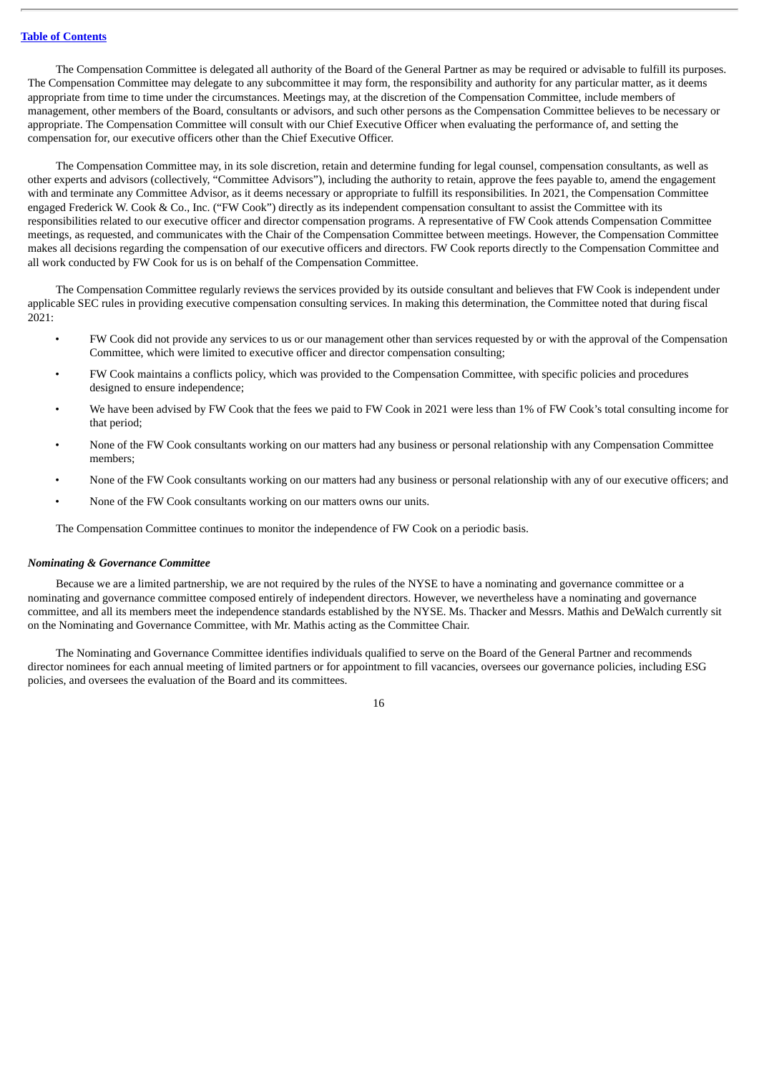The Compensation Committee is delegated all authority of the Board of the General Partner as may be required or advisable to fulfill its purposes. The Compensation Committee may delegate to any subcommittee it may form, the responsibility and authority for any particular matter, as it deems appropriate from time to time under the circumstances. Meetings may, at the discretion of the Compensation Committee, include members of management, other members of the Board, consultants or advisors, and such other persons as the Compensation Committee believes to be necessary or appropriate. The Compensation Committee will consult with our Chief Executive Officer when evaluating the performance of, and setting the compensation for, our executive officers other than the Chief Executive Officer.

The Compensation Committee may, in its sole discretion, retain and determine funding for legal counsel, compensation consultants, as well as other experts and advisors (collectively, "Committee Advisors"), including the authority to retain, approve the fees payable to, amend the engagement with and terminate any Committee Advisor, as it deems necessary or appropriate to fulfill its responsibilities. In 2021, the Compensation Committee engaged Frederick W. Cook & Co., Inc. ("FW Cook") directly as its independent compensation consultant to assist the Committee with its responsibilities related to our executive officer and director compensation programs. A representative of FW Cook attends Compensation Committee meetings, as requested, and communicates with the Chair of the Compensation Committee between meetings. However, the Compensation Committee makes all decisions regarding the compensation of our executive officers and directors. FW Cook reports directly to the Compensation Committee and all work conducted by FW Cook for us is on behalf of the Compensation Committee.

The Compensation Committee regularly reviews the services provided by its outside consultant and believes that FW Cook is independent under applicable SEC rules in providing executive compensation consulting services. In making this determination, the Committee noted that during fiscal 2021:

- FW Cook did not provide any services to us or our management other than services requested by or with the approval of the Compensation Committee, which were limited to executive officer and director compensation consulting;
- FW Cook maintains a conflicts policy, which was provided to the Compensation Committee, with specific policies and procedures designed to ensure independence;
- We have been advised by FW Cook that the fees we paid to FW Cook in 2021 were less than 1% of FW Cook's total consulting income for that period;
- None of the FW Cook consultants working on our matters had any business or personal relationship with any Compensation Committee members;
- None of the FW Cook consultants working on our matters had any business or personal relationship with any of our executive officers; and
- None of the FW Cook consultants working on our matters owns our units.

The Compensation Committee continues to monitor the independence of FW Cook on a periodic basis.

#### *Nominating & Governance Committee*

Because we are a limited partnership, we are not required by the rules of the NYSE to have a nominating and governance committee or a nominating and governance committee composed entirely of independent directors. However, we nevertheless have a nominating and governance committee, and all its members meet the independence standards established by the NYSE. Ms. Thacker and Messrs. Mathis and DeWalch currently sit on the Nominating and Governance Committee, with Mr. Mathis acting as the Committee Chair.

The Nominating and Governance Committee identifies individuals qualified to serve on the Board of the General Partner and recommends director nominees for each annual meeting of limited partners or for appointment to fill vacancies, oversees our governance policies, including ESG policies, and oversees the evaluation of the Board and its committees.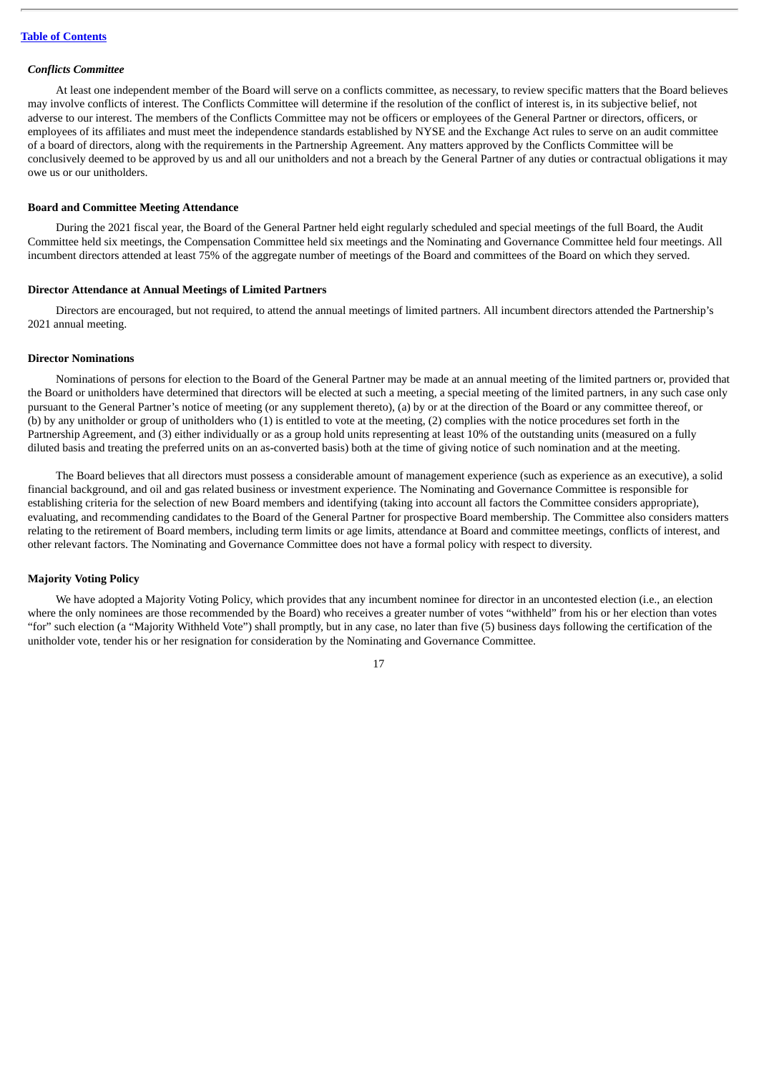#### *Conflicts Committee*

At least one independent member of the Board will serve on a conflicts committee, as necessary, to review specific matters that the Board believes may involve conflicts of interest. The Conflicts Committee will determine if the resolution of the conflict of interest is, in its subjective belief, not adverse to our interest. The members of the Conflicts Committee may not be officers or employees of the General Partner or directors, officers, or employees of its affiliates and must meet the independence standards established by NYSE and the Exchange Act rules to serve on an audit committee of a board of directors, along with the requirements in the Partnership Agreement. Any matters approved by the Conflicts Committee will be conclusively deemed to be approved by us and all our unitholders and not a breach by the General Partner of any duties or contractual obligations it may owe us or our unitholders.

#### <span id="page-21-0"></span>**Board and Committee Meeting Attendance**

During the 2021 fiscal year, the Board of the General Partner held eight regularly scheduled and special meetings of the full Board, the Audit Committee held six meetings, the Compensation Committee held six meetings and the Nominating and Governance Committee held four meetings. All incumbent directors attended at least 75% of the aggregate number of meetings of the Board and committees of the Board on which they served.

#### <span id="page-21-1"></span>**Director Attendance at Annual Meetings of Limited Partners**

Directors are encouraged, but not required, to attend the annual meetings of limited partners. All incumbent directors attended the Partnership's 2021 annual meeting.

#### <span id="page-21-2"></span>**Director Nominations**

Nominations of persons for election to the Board of the General Partner may be made at an annual meeting of the limited partners or, provided that the Board or unitholders have determined that directors will be elected at such a meeting, a special meeting of the limited partners, in any such case only pursuant to the General Partner's notice of meeting (or any supplement thereto), (a) by or at the direction of the Board or any committee thereof, or (b) by any unitholder or group of unitholders who (1) is entitled to vote at the meeting, (2) complies with the notice procedures set forth in the Partnership Agreement, and (3) either individually or as a group hold units representing at least 10% of the outstanding units (measured on a fully diluted basis and treating the preferred units on an as-converted basis) both at the time of giving notice of such nomination and at the meeting.

The Board believes that all directors must possess a considerable amount of management experience (such as experience as an executive), a solid financial background, and oil and gas related business or investment experience. The Nominating and Governance Committee is responsible for establishing criteria for the selection of new Board members and identifying (taking into account all factors the Committee considers appropriate), evaluating, and recommending candidates to the Board of the General Partner for prospective Board membership. The Committee also considers matters relating to the retirement of Board members, including term limits or age limits, attendance at Board and committee meetings, conflicts of interest, and other relevant factors. The Nominating and Governance Committee does not have a formal policy with respect to diversity.

### <span id="page-21-3"></span>**Majority Voting Policy**

We have adopted a Majority Voting Policy, which provides that any incumbent nominee for director in an uncontested election (i.e., an election where the only nominees are those recommended by the Board) who receives a greater number of votes "withheld" from his or her election than votes "for" such election (a "Majority Withheld Vote") shall promptly, but in any case, no later than five (5) business days following the certification of the unitholder vote, tender his or her resignation for consideration by the Nominating and Governance Committee.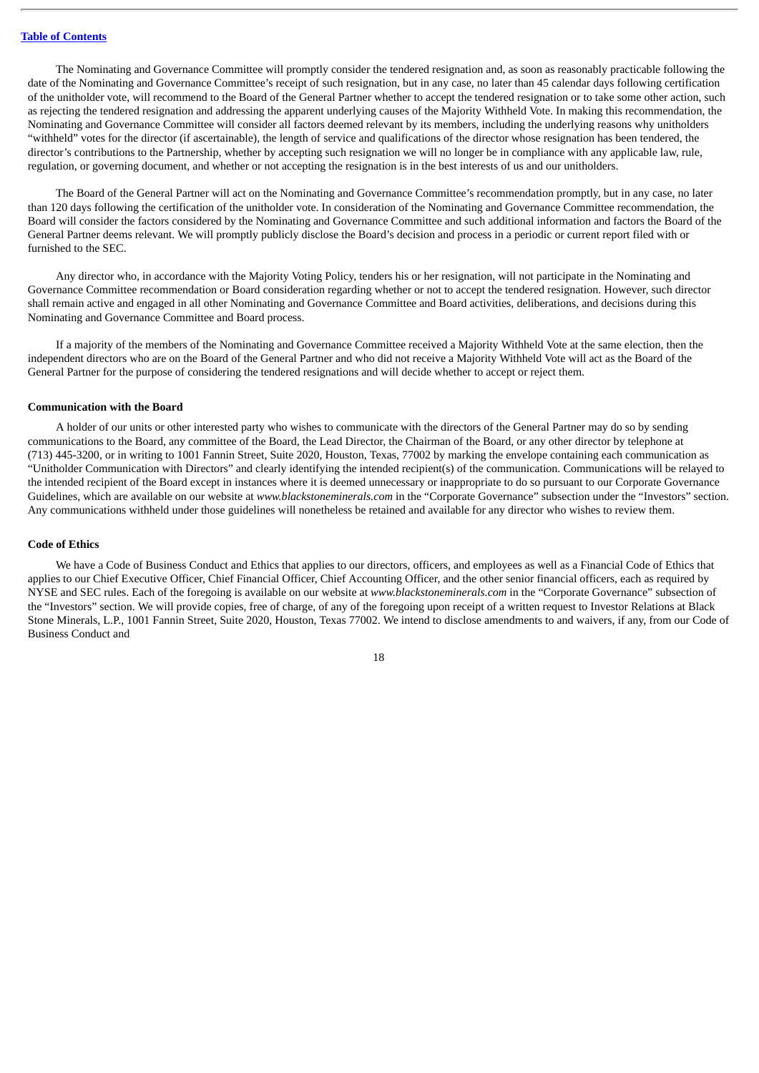The Nominating and Governance Committee will promptly consider the tendered resignation and, as soon as reasonably practicable following the date of the Nominating and Governance Committee's receipt of such resignation, but in any case, no later than 45 calendar days following certification of the unitholder vote, will recommend to the Board of the General Partner whether to accept the tendered resignation or to take some other action, such as rejecting the tendered resignation and addressing the apparent underlying causes of the Majority Withheld Vote. In making this recommendation, the Nominating and Governance Committee will consider all factors deemed relevant by its members, including the underlying reasons why unitholders "withheld" votes for the director (if ascertainable), the length of service and qualifications of the director whose resignation has been tendered, the director's contributions to the Partnership, whether by accepting such resignation we will no longer be in compliance with any applicable law, rule, regulation, or governing document, and whether or not accepting the resignation is in the best interests of us and our unitholders.

The Board of the General Partner will act on the Nominating and Governance Committee's recommendation promptly, but in any case, no later than 120 days following the certification of the unitholder vote. In consideration of the Nominating and Governance Committee recommendation, the Board will consider the factors considered by the Nominating and Governance Committee and such additional information and factors the Board of the General Partner deems relevant. We will promptly publicly disclose the Board's decision and process in a periodic or current report filed with or furnished to the SEC.

Any director who, in accordance with the Majority Voting Policy, tenders his or her resignation, will not participate in the Nominating and Governance Committee recommendation or Board consideration regarding whether or not to accept the tendered resignation. However, such director shall remain active and engaged in all other Nominating and Governance Committee and Board activities, deliberations, and decisions during this Nominating and Governance Committee and Board process.

If a majority of the members of the Nominating and Governance Committee received a Majority Withheld Vote at the same election, then the independent directors who are on the Board of the General Partner and who did not receive a Majority Withheld Vote will act as the Board of the General Partner for the purpose of considering the tendered resignations and will decide whether to accept or reject them.

#### <span id="page-22-0"></span>**Communication with the Board**

A holder of our units or other interested party who wishes to communicate with the directors of the General Partner may do so by sending communications to the Board, any committee of the Board, the Lead Director, the Chairman of the Board, or any other director by telephone at (713) 445-3200, or in writing to 1001 Fannin Street, Suite 2020, Houston, Texas, 77002 by marking the envelope containing each communication as "Unitholder Communication with Directors" and clearly identifying the intended recipient(s) of the communication. Communications will be relayed to the intended recipient of the Board except in instances where it is deemed unnecessary or inappropriate to do so pursuant to our Corporate Governance Guidelines, which are available on our website at *www.blackstoneminerals.com* in the "Corporate Governance" subsection under the "Investors" section. Any communications withheld under those guidelines will nonetheless be retained and available for any director who wishes to review them.

#### <span id="page-22-1"></span>**Code of Ethics**

We have a Code of Business Conduct and Ethics that applies to our directors, officers, and employees as well as a Financial Code of Ethics that applies to our Chief Executive Officer, Chief Financial Officer, Chief Accounting Officer, and the other senior financial officers, each as required by NYSE and SEC rules. Each of the foregoing is available on our website at *www.blackstoneminerals.com* in the "Corporate Governance" subsection of the "Investors" section. We will provide copies, free of charge, of any of the foregoing upon receipt of a written request to Investor Relations at Black Stone Minerals, L.P., 1001 Fannin Street, Suite 2020, Houston, Texas 77002. We intend to disclose amendments to and waivers, if any, from our Code of Business Conduct and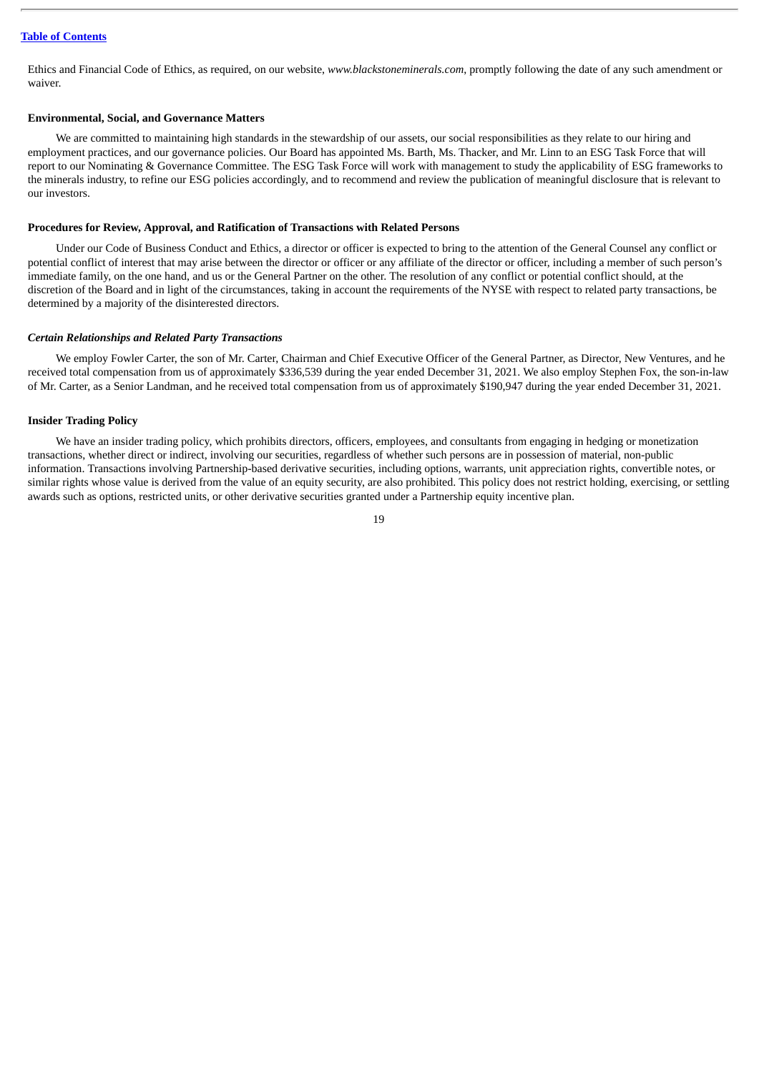Ethics and Financial Code of Ethics, as required, on our website, *www.blackstoneminerals.com*, promptly following the date of any such amendment or waiver.

## <span id="page-23-0"></span>**Environmental, Social, and Governance Matters**

We are committed to maintaining high standards in the stewardship of our assets, our social responsibilities as they relate to our hiring and employment practices, and our governance policies. Our Board has appointed Ms. Barth, Ms. Thacker, and Mr. Linn to an ESG Task Force that will report to our Nominating & Governance Committee. The ESG Task Force will work with management to study the applicability of ESG frameworks to the minerals industry, to refine our ESG policies accordingly, and to recommend and review the publication of meaningful disclosure that is relevant to our investors.

#### <span id="page-23-1"></span>**Procedures for Review, Approval, and Ratification of Transactions with Related Persons**

Under our Code of Business Conduct and Ethics, a director or officer is expected to bring to the attention of the General Counsel any conflict or potential conflict of interest that may arise between the director or officer or any affiliate of the director or officer, including a member of such person's immediate family, on the one hand, and us or the General Partner on the other. The resolution of any conflict or potential conflict should, at the discretion of the Board and in light of the circumstances, taking in account the requirements of the NYSE with respect to related party transactions, be determined by a majority of the disinterested directors.

#### *Certain Relationships and Related Party Transactions*

We employ Fowler Carter, the son of Mr. Carter, Chairman and Chief Executive Officer of the General Partner, as Director, New Ventures, and he received total compensation from us of approximately \$336,539 during the year ended December 31, 2021. We also employ Stephen Fox, the son-in-law of Mr. Carter, as a Senior Landman, and he received total compensation from us of approximately \$190,947 during the year ended December 31, 2021.

#### <span id="page-23-2"></span>**Insider Trading Policy**

We have an insider trading policy, which prohibits directors, officers, employees, and consultants from engaging in hedging or monetization transactions, whether direct or indirect, involving our securities, regardless of whether such persons are in possession of material, non-public information. Transactions involving Partnership-based derivative securities, including options, warrants, unit appreciation rights, convertible notes, or similar rights whose value is derived from the value of an equity security, are also prohibited. This policy does not restrict holding, exercising, or settling awards such as options, restricted units, or other derivative securities granted under a Partnership equity incentive plan.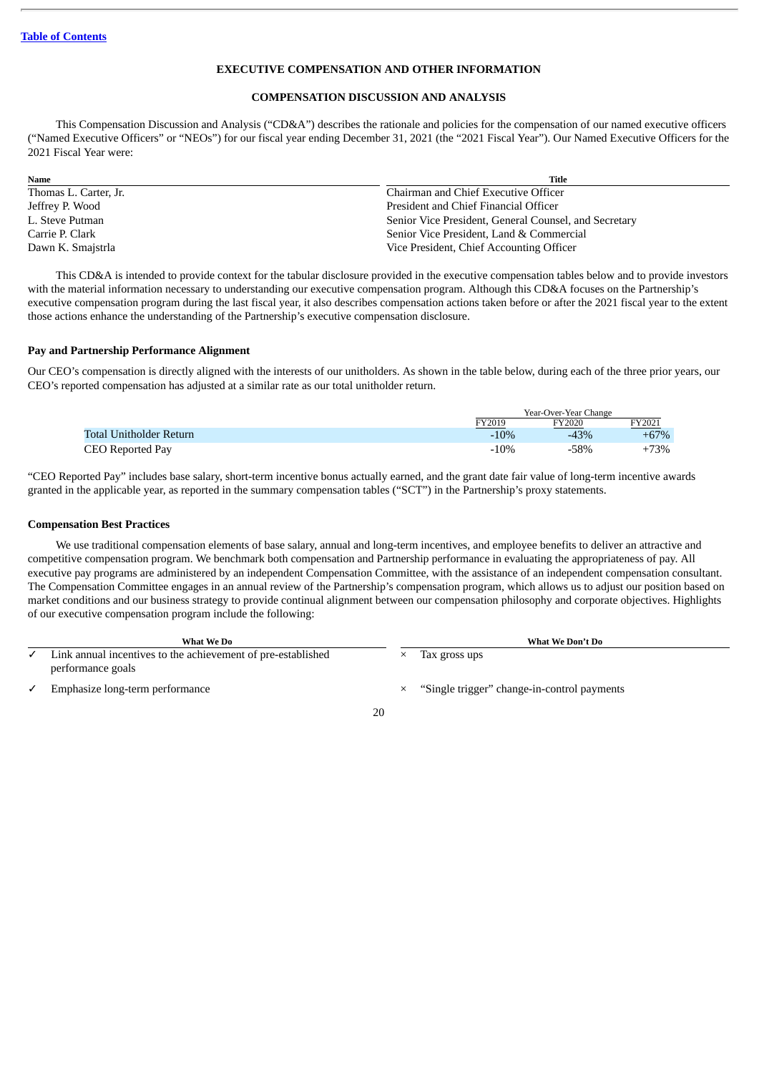## **EXECUTIVE COMPENSATION AND OTHER INFORMATION**

## **COMPENSATION DISCUSSION AND ANALYSIS**

<span id="page-24-0"></span>This Compensation Discussion and Analysis ("CD&A") describes the rationale and policies for the compensation of our named executive officers ("Named Executive Officers" or "NEOs") for our fiscal year ending December 31, 2021 (the "2021 Fiscal Year"). Our Named Executive Officers for the 2021 Fiscal Year were:

| Name                  | Title                                                 |
|-----------------------|-------------------------------------------------------|
| Thomas L. Carter, Jr. | Chairman and Chief Executive Officer                  |
| Jeffrey P. Wood       | President and Chief Financial Officer                 |
| L. Steve Putman       | Senior Vice President, General Counsel, and Secretary |
| Carrie P. Clark       | Senior Vice President, Land & Commercial              |
| Dawn K. Smajstrla     | Vice President, Chief Accounting Officer              |

This CD&A is intended to provide context for the tabular disclosure provided in the executive compensation tables below and to provide investors with the material information necessary to understanding our executive compensation program. Although this CD&A focuses on the Partnership's executive compensation program during the last fiscal year, it also describes compensation actions taken before or after the 2021 fiscal year to the extent those actions enhance the understanding of the Partnership's executive compensation disclosure.

## <span id="page-24-1"></span>**Pay and Partnership Performance Alignment**

Our CEO's compensation is directly aligned with the interests of our unitholders. As shown in the table below, during each of the three prior years, our CEO's reported compensation has adjusted at a similar rate as our total unitholder return.

|                         | Year-Over-Year Change |        |        |
|-------------------------|-----------------------|--------|--------|
|                         | FY2019                | FY2020 | FY2021 |
| Total Unitholder Return | $-10%$                | $-43%$ | $+67%$ |
| <b>CEO Reported Pay</b> | $-10%$                | $-58%$ | $+73%$ |

"CEO Reported Pay" includes base salary, short-term incentive bonus actually earned, and the grant date fair value of long-term incentive awards granted in the applicable year, as reported in the summary compensation tables ("SCT") in the Partnership's proxy statements.

#### <span id="page-24-2"></span>**Compensation Best Practices**

We use traditional compensation elements of base salary, annual and long-term incentives, and employee benefits to deliver an attractive and competitive compensation program. We benchmark both compensation and Partnership performance in evaluating the appropriateness of pay. All executive pay programs are administered by an independent Compensation Committee, with the assistance of an independent compensation consultant. The Compensation Committee engages in an annual review of the Partnership's compensation program, which allows us to adjust our position based on market conditions and our business strategy to provide continual alignment between our compensation philosophy and corporate objectives. Highlights of our executive compensation program include the following:

| What We Do                                                                        | What We Don't Do                                     |
|-----------------------------------------------------------------------------------|------------------------------------------------------|
| Link annual incentives to the achievement of pre-established<br>performance goals | Tax gross ups                                        |
| Emphasize long-term performance                                                   | $\times$ "Single trigger" change-in-control payments |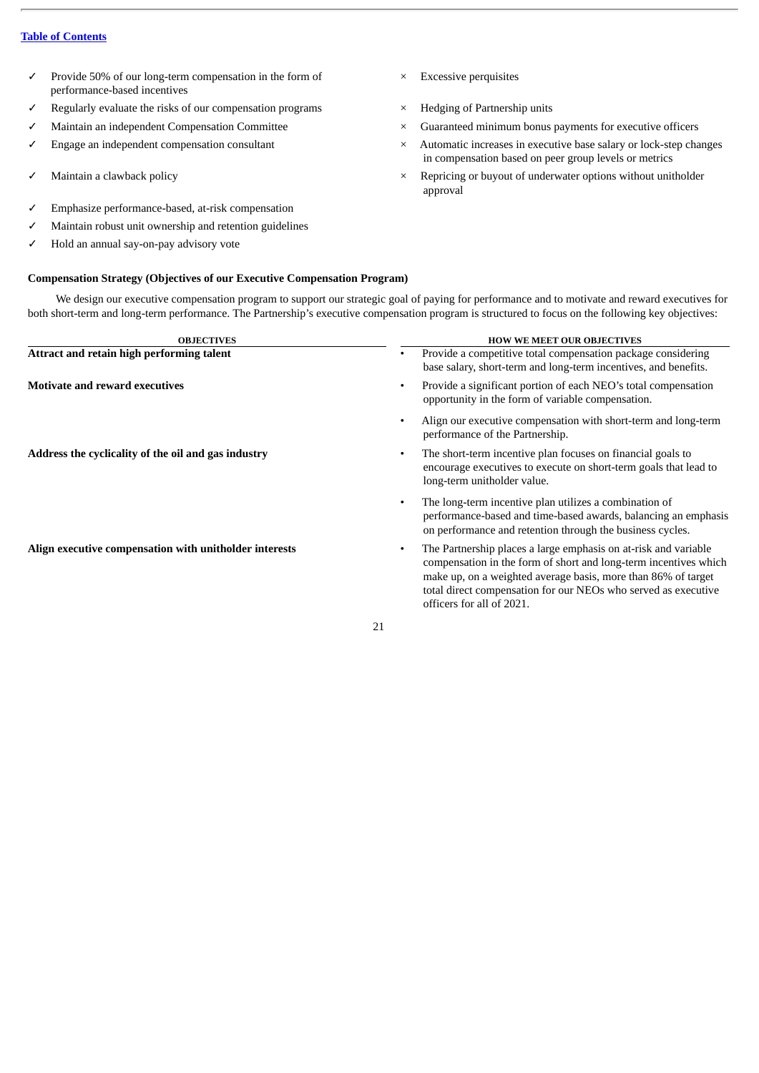- ✓ Provide 50% of our long-term compensation in the form of performance-based incentives
- Regularly evaluate the risks of our compensation programs  $\times$  Hedging of Partnership units
- 
- 
- 
- ✓ Emphasize performance-based, at-risk compensation
- ✓ Maintain robust unit ownership and retention guidelines
- ✓ Hold an annual say-on-pay advisory vote

#### <span id="page-25-0"></span>**Compensation Strategy (Objectives of our Executive Compensation Program)**

We design our executive compensation program to support our strategic goal of paying for performance and to motivate and reward executives for both short-term and long-term performance. The Partnership's executive compensation program is structured to focus on the following key objectives:

| <b>HOW WE MEET OUR OBJECTIVES</b>                                                                                                                                                                                                                                                                   |  |  |
|-----------------------------------------------------------------------------------------------------------------------------------------------------------------------------------------------------------------------------------------------------------------------------------------------------|--|--|
| Provide a competitive total compensation package considering<br>base salary, short-term and long-term incentives, and benefits.                                                                                                                                                                     |  |  |
| Provide a significant portion of each NEO's total compensation<br>opportunity in the form of variable compensation.                                                                                                                                                                                 |  |  |
| Align our executive compensation with short-term and long-term<br>performance of the Partnership.                                                                                                                                                                                                   |  |  |
| The short-term incentive plan focuses on financial goals to<br>encourage executives to execute on short-term goals that lead to<br>long-term unitholder value.                                                                                                                                      |  |  |
| The long-term incentive plan utilizes a combination of<br>performance-based and time-based awards, balancing an emphasis<br>on performance and retention through the business cycles.                                                                                                               |  |  |
| The Partnership places a large emphasis on at-risk and variable<br>compensation in the form of short and long-term incentives which<br>make up, on a weighted average basis, more than 86% of target<br>total direct compensation for our NEOs who served as executive<br>officers for all of 2021. |  |  |
|                                                                                                                                                                                                                                                                                                     |  |  |

- × Excessive perquisites
- 
- ✓ Maintain an independent Compensation Committee × Guaranteed minimum bonus payments for executive officers
- ✓ Engage an independent compensation consultant × Automatic increases in executive base salary or lock-step changes in compensation based on peer group levels or metrics
- ✓ Maintain a clawback policy × Repricing or buyout of underwater options without unitholder approval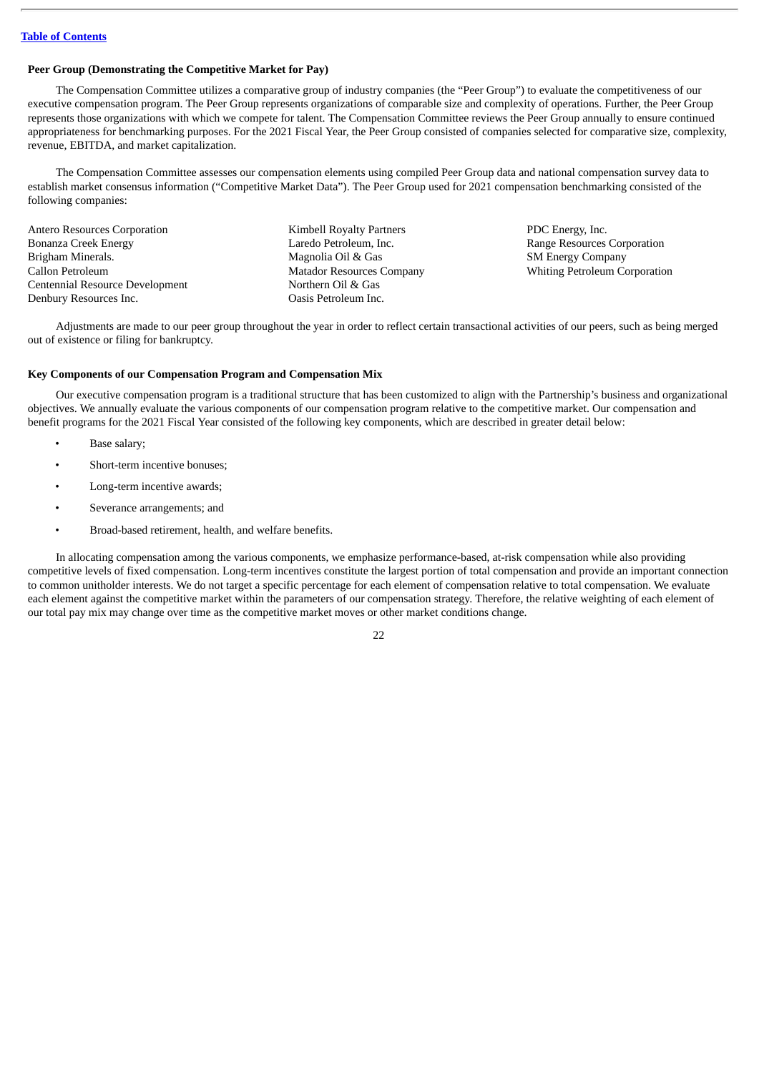## <span id="page-26-0"></span>**Peer Group (Demonstrating the Competitive Market for Pay)**

The Compensation Committee utilizes a comparative group of industry companies (the "Peer Group") to evaluate the competitiveness of our executive compensation program. The Peer Group represents organizations of comparable size and complexity of operations. Further, the Peer Group represents those organizations with which we compete for talent. The Compensation Committee reviews the Peer Group annually to ensure continued appropriateness for benchmarking purposes. For the 2021 Fiscal Year, the Peer Group consisted of companies selected for comparative size, complexity, revenue, EBITDA, and market capitalization.

The Compensation Committee assesses our compensation elements using compiled Peer Group data and national compensation survey data to establish market consensus information ("Competitive Market Data"). The Peer Group used for 2021 compensation benchmarking consisted of the following companies:

Antero Resources Corporation The Control Corporation Corporation Corporation Kimbell Royalty Partners PDC Energy, Inc. Bonanza Creek Energy Laredo Petroleum, Inc. Range Resources Corporation Brigham Minerals. The Magnolia Oil & Gas Theorem SM Energy Company Callon Petroleum Matador Resources Company Whiting Petroleum Corporation Centennial Resource Development Northern Oil & Gas Denbury Resources Inc. Oasis Petroleum Inc.

Adjustments are made to our peer group throughout the year in order to reflect certain transactional activities of our peers, such as being merged out of existence or filing for bankruptcy.

#### <span id="page-26-1"></span>**Key Components of our Compensation Program and Compensation Mix**

Our executive compensation program is a traditional structure that has been customized to align with the Partnership's business and organizational objectives. We annually evaluate the various components of our compensation program relative to the competitive market. Our compensation and benefit programs for the 2021 Fiscal Year consisted of the following key components, which are described in greater detail below:

- Base salary;
- Short-term incentive bonuses;
- Long-term incentive awards;
- Severance arrangements; and
- Broad-based retirement, health, and welfare benefits.

In allocating compensation among the various components, we emphasize performance-based, at-risk compensation while also providing competitive levels of fixed compensation. Long-term incentives constitute the largest portion of total compensation and provide an important connection to common unitholder interests. We do not target a specific percentage for each element of compensation relative to total compensation. We evaluate each element against the competitive market within the parameters of our compensation strategy. Therefore, the relative weighting of each element of our total pay mix may change over time as the competitive market moves or other market conditions change.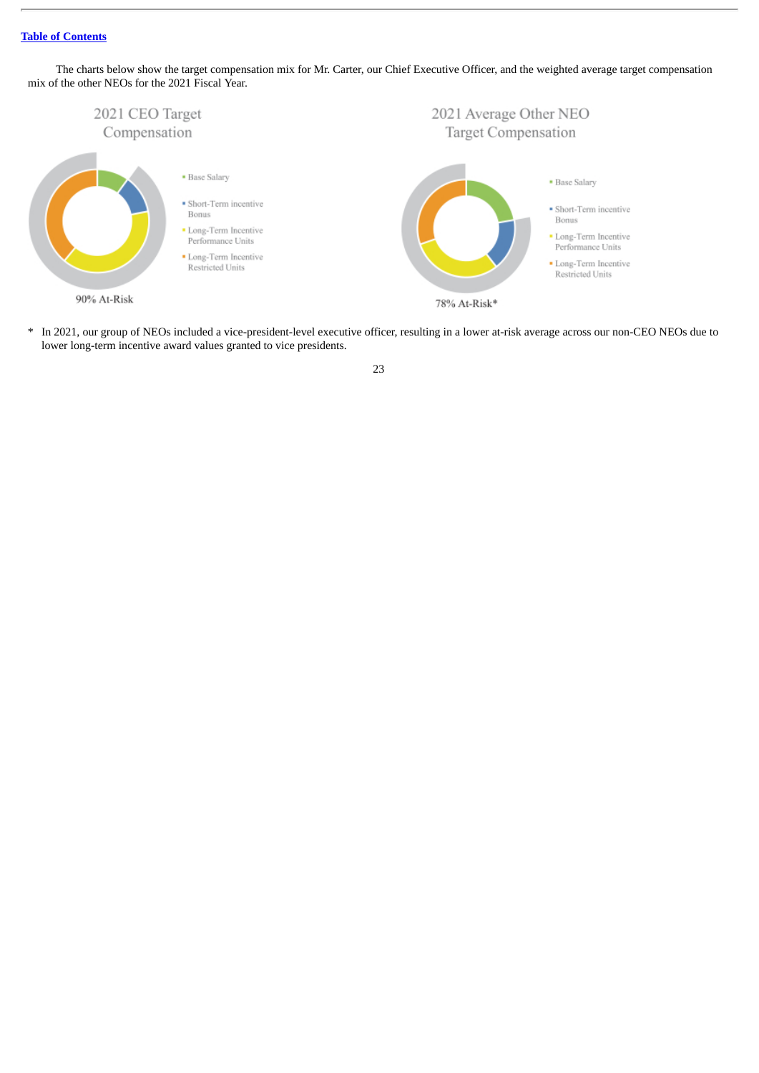The charts below show the target compensation mix for Mr. Carter, our Chief Executive Officer, and the weighted average target compensation mix of the other NEOs for the 2021 Fiscal Year.



\* In 2021, our group of NEOs included a vice-president-level executive officer, resulting in a lower at-risk average across our non-CEO NEOs due to lower long-term incentive award values granted to vice presidents.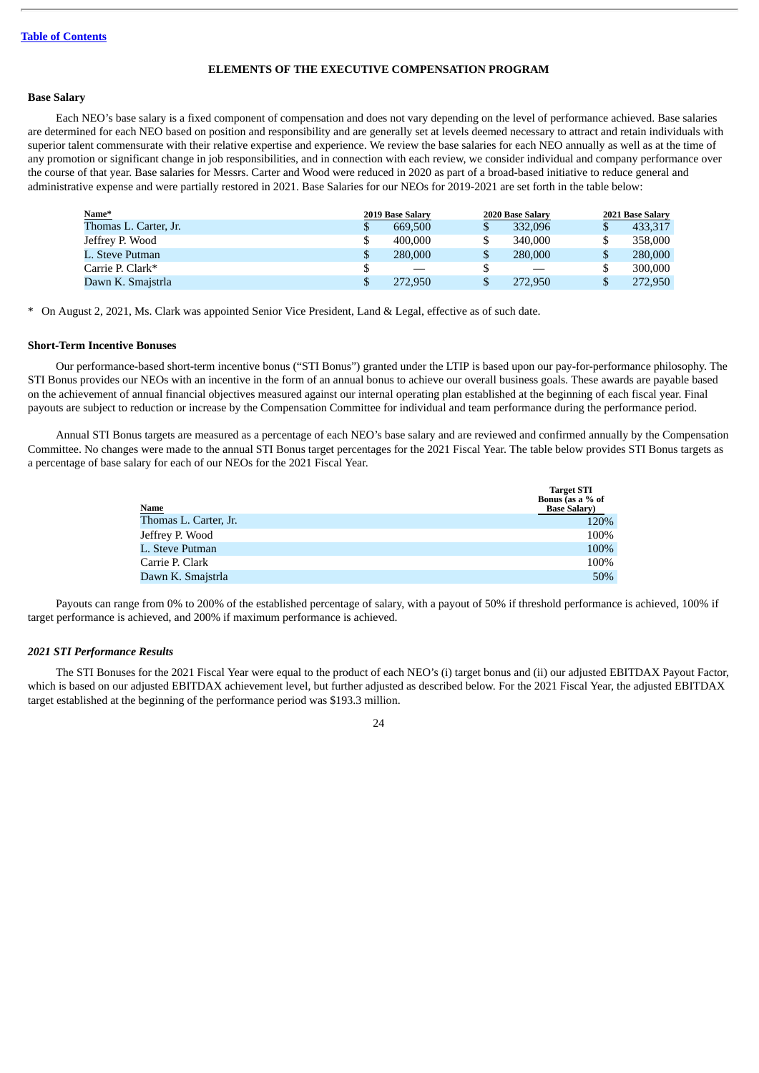## **ELEMENTS OF THE EXECUTIVE COMPENSATION PROGRAM**

## <span id="page-28-1"></span><span id="page-28-0"></span>**Base Salary**

Each NEO's base salary is a fixed component of compensation and does not vary depending on the level of performance achieved. Base salaries are determined for each NEO based on position and responsibility and are generally set at levels deemed necessary to attract and retain individuals with superior talent commensurate with their relative expertise and experience. We review the base salaries for each NEO annually as well as at the time of any promotion or significant change in job responsibilities, and in connection with each review, we consider individual and company performance over the course of that year. Base salaries for Messrs. Carter and Wood were reduced in 2020 as part of a broad-based initiative to reduce general and administrative expense and were partially restored in 2021. Base Salaries for our NEOs for 2019-2021 are set forth in the table below:

| Name*                 | 2019 Base Salary |         | 2020 Base Salary |    | 2021 Base Salary |  |
|-----------------------|------------------|---------|------------------|----|------------------|--|
| Thomas L. Carter, Jr. |                  | 669,500 | 332,096          | \$ | 433.317          |  |
| Jeffrey P. Wood       |                  | 400,000 | 340,000          | \$ | 358,000          |  |
| L. Steve Putman       |                  | 280,000 | 280,000          | \$ | 280,000          |  |
| Carrie P. Clark*      |                  |         |                  | \$ | 300,000          |  |
| Dawn K. Smajstrla     |                  | 272,950 | 272,950          | \$ | 272,950          |  |

\* On August 2, 2021, Ms. Clark was appointed Senior Vice President, Land & Legal, effective as of such date.

#### <span id="page-28-2"></span>**Short-Term Incentive Bonuses**

Our performance-based short-term incentive bonus ("STI Bonus") granted under the LTIP is based upon our pay-for-performance philosophy. The STI Bonus provides our NEOs with an incentive in the form of an annual bonus to achieve our overall business goals. These awards are payable based on the achievement of annual financial objectives measured against our internal operating plan established at the beginning of each fiscal year. Final payouts are subject to reduction or increase by the Compensation Committee for individual and team performance during the performance period.

Annual STI Bonus targets are measured as a percentage of each NEO's base salary and are reviewed and confirmed annually by the Compensation Committee. No changes were made to the annual STI Bonus target percentages for the 2021 Fiscal Year. The table below provides STI Bonus targets as a percentage of base salary for each of our NEOs for the 2021 Fiscal Year.

|                               | <b>Target STI</b><br>Bonus (as a % of<br><b>Base Salary</b> ) |
|-------------------------------|---------------------------------------------------------------|
| Name<br>Thomas L. Carter, Jr. | 120%                                                          |
| Jeffrey P. Wood               | 100%                                                          |
| L. Steve Putman               | 100%                                                          |
| Carrie P. Clark               | 100%                                                          |
| Dawn K. Smajstrla             | 50%                                                           |

Payouts can range from 0% to 200% of the established percentage of salary, with a payout of 50% if threshold performance is achieved, 100% if target performance is achieved, and 200% if maximum performance is achieved.

#### *2021 STI Performance Results*

The STI Bonuses for the 2021 Fiscal Year were equal to the product of each NEO's (i) target bonus and (ii) our adjusted EBITDAX Payout Factor, which is based on our adjusted EBITDAX achievement level, but further adjusted as described below. For the 2021 Fiscal Year, the adjusted EBITDAX target established at the beginning of the performance period was \$193.3 million.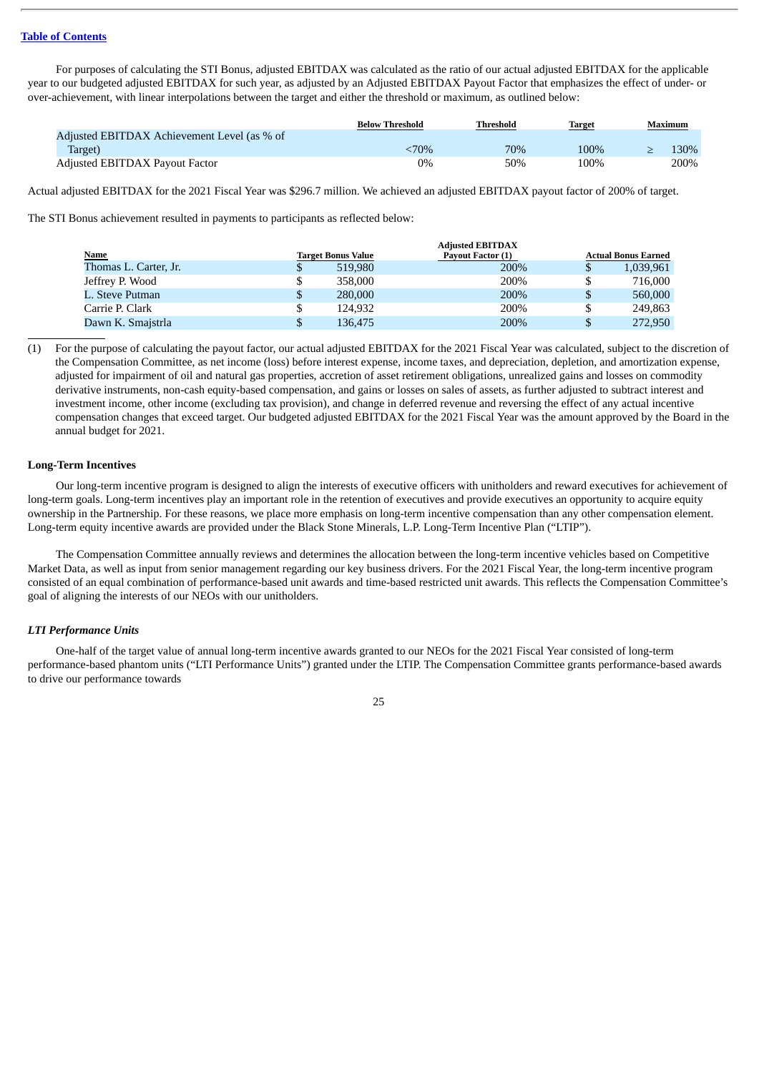For purposes of calculating the STI Bonus, adjusted EBITDAX was calculated as the ratio of our actual adjusted EBITDAX for the applicable year to our budgeted adjusted EBITDAX for such year, as adjusted by an Adjusted EBITDAX Payout Factor that emphasizes the effect of under- or over-achievement, with linear interpolations between the target and either the threshold or maximum, as outlined below:

|                                             | <b>Below Threshold</b> | <b>Threshold</b> | <b>Target</b> | Maximum |
|---------------------------------------------|------------------------|------------------|---------------|---------|
| Adjusted EBITDAX Achievement Level (as % of |                        |                  |               |         |
| Target)                                     | ፡70%                   | 70%              | 100%          | 30%     |
| Adjusted EBITDAX Payout Factor              | 0%                     | 50%              | 100%          | 200%    |

Actual adjusted EBITDAX for the 2021 Fiscal Year was \$296.7 million. We achieved an adjusted EBITDAX payout factor of 200% of target.

The STI Bonus achievement resulted in payments to participants as reflected below:

|                               |    | <b>Target Bonus Value</b> | <b>Adjusted EBITDAX</b><br>Payout Factor (1) | <b>Actual Bonus Earned</b> |
|-------------------------------|----|---------------------------|----------------------------------------------|----------------------------|
| Name<br>Thomas L. Carter, Jr. | Ф  | 519,980                   | 200%                                         | \$<br>1,039,961            |
| Jeffrey P. Wood               | \$ | 358,000                   | 200%                                         | \$<br>716.000              |
| L. Steve Putman               | \$ | 280,000                   | 200%                                         | \$<br>560,000              |
| Carrie P. Clark               | \$ | 124.932                   | 200%                                         | 249.863                    |
| Dawn K. Smajstrla             | \$ | 136,475                   | 200%                                         | \$<br>272,950              |

(1) For the purpose of calculating the payout factor, our actual adjusted EBITDAX for the 2021 Fiscal Year was calculated, subject to the discretion of the Compensation Committee, as net income (loss) before interest expense, income taxes, and depreciation, depletion, and amortization expense, adjusted for impairment of oil and natural gas properties, accretion of asset retirement obligations, unrealized gains and losses on commodity derivative instruments, non-cash equity-based compensation, and gains or losses on sales of assets, as further adjusted to subtract interest and investment income, other income (excluding tax provision), and change in deferred revenue and reversing the effect of any actual incentive compensation changes that exceed target. Our budgeted adjusted EBITDAX for the 2021 Fiscal Year was the amount approved by the Board in the annual budget for 2021.

#### <span id="page-29-0"></span>**Long-Term Incentives**

Our long-term incentive program is designed to align the interests of executive officers with unitholders and reward executives for achievement of long-term goals. Long-term incentives play an important role in the retention of executives and provide executives an opportunity to acquire equity ownership in the Partnership. For these reasons, we place more emphasis on long-term incentive compensation than any other compensation element. Long-term equity incentive awards are provided under the Black Stone Minerals, L.P. Long-Term Incentive Plan ("LTIP").

The Compensation Committee annually reviews and determines the allocation between the long-term incentive vehicles based on Competitive Market Data, as well as input from senior management regarding our key business drivers. For the 2021 Fiscal Year, the long-term incentive program consisted of an equal combination of performance-based unit awards and time-based restricted unit awards. This reflects the Compensation Committee's goal of aligning the interests of our NEOs with our unitholders.

## *LTI Performance Units*

One-half of the target value of annual long-term incentive awards granted to our NEOs for the 2021 Fiscal Year consisted of long-term performance-based phantom units ("LTI Performance Units") granted under the LTIP. The Compensation Committee grants performance-based awards to drive our performance towards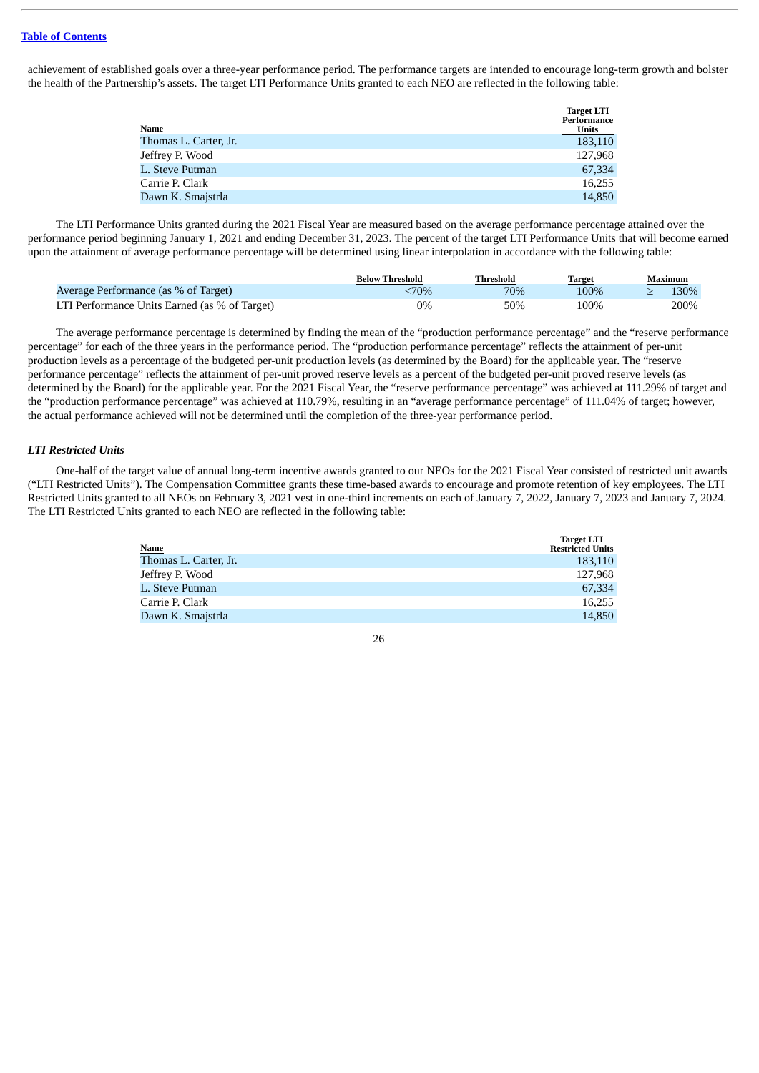achievement of established goals over a three-year performance period. The performance targets are intended to encourage long-term growth and bolster the health of the Partnership's assets. The target LTI Performance Units granted to each NEO are reflected in the following table:

| <u>Name</u>           | <b>Target LTI</b><br>Performance<br>Units |
|-----------------------|-------------------------------------------|
| Thomas L. Carter, Jr. | 183,110                                   |
| Jeffrey P. Wood       | 127,968                                   |
| L. Steve Putman       | 67,334                                    |
| Carrie P. Clark       | 16,255                                    |
| Dawn K. Smajstrla     | 14,850                                    |

The LTI Performance Units granted during the 2021 Fiscal Year are measured based on the average performance percentage attained over the performance period beginning January 1, 2021 and ending December 31, 2023. The percent of the target LTI Performance Units that will become earned upon the attainment of average performance percentage will be determined using linear interpolation in accordance with the following table:

|                                               | Below Threshold | Threshold | <b>Target</b> | Maximum |
|-----------------------------------------------|-----------------|-----------|---------------|---------|
| Average Performance (as % of Target)          | 70%             | 70%       | 100%          | .30%    |
| LTI Performance Units Earned (as % of Target) | 0%              | 50%       | 100%          | 200%    |

The average performance percentage is determined by finding the mean of the "production performance percentage" and the "reserve performance percentage" for each of the three years in the performance period. The "production performance percentage" reflects the attainment of per-unit production levels as a percentage of the budgeted per-unit production levels (as determined by the Board) for the applicable year. The "reserve performance percentage" reflects the attainment of per-unit proved reserve levels as a percent of the budgeted per-unit proved reserve levels (as determined by the Board) for the applicable year. For the 2021 Fiscal Year, the "reserve performance percentage" was achieved at 111.29% of target and the "production performance percentage" was achieved at 110.79%, resulting in an "average performance percentage" of 111.04% of target; however, the actual performance achieved will not be determined until the completion of the three-year performance period.

#### *LTI Restricted Units*

One-half of the target value of annual long-term incentive awards granted to our NEOs for the 2021 Fiscal Year consisted of restricted unit awards ("LTI Restricted Units"). The Compensation Committee grants these time-based awards to encourage and promote retention of key employees. The LTI Restricted Units granted to all NEOs on February 3, 2021 vest in one-third increments on each of January 7, 2022, January 7, 2023 and January 7, 2024. The LTI Restricted Units granted to each NEO are reflected in the following table:

|                               | <b>Target LTI</b><br><b>Restricted Units</b> |
|-------------------------------|----------------------------------------------|
| Name<br>Thomas L. Carter, Jr. | 183,110                                      |
| Jeffrey P. Wood               | 127,968                                      |
| L. Steve Putman               | 67,334                                       |
| Carrie P. Clark               | 16,255                                       |
| Dawn K. Smajstrla             | 14,850                                       |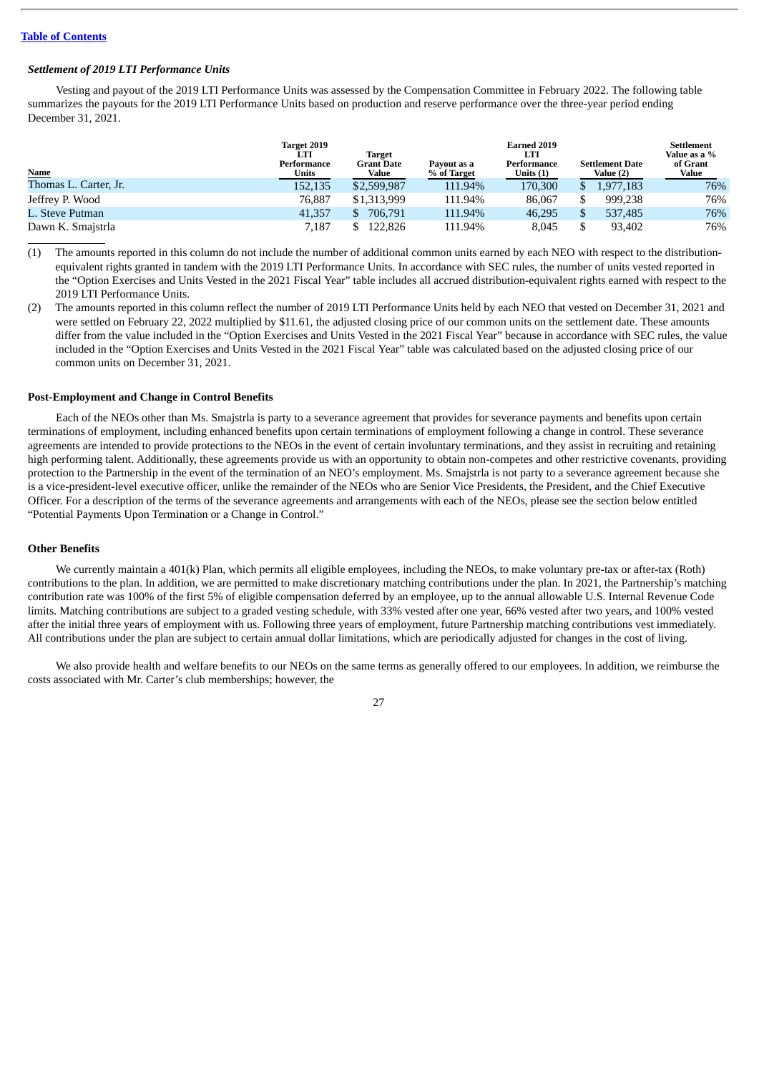### *Settlement of 2019 LTI Performance Units*

Vesting and payout of the 2019 LTI Performance Units was assessed by the Compensation Committee in February 2022. The following table summarizes the payouts for the 2019 LTI Performance Units based on production and reserve performance over the three-year period ending December 31, 2021.

| Name                  | Target 2019<br>LTI<br>Performance<br>Units | <b>Target</b><br>Grant Date<br>Value | Payout as a<br>% of Target | <b>Earned 2019</b><br>LTI<br>Performance<br>Units $(1)$ | <b>Settlement Date</b><br>Value (2) | Settlement<br>Value as a %<br>of Grant<br>Value |
|-----------------------|--------------------------------------------|--------------------------------------|----------------------------|---------------------------------------------------------|-------------------------------------|-------------------------------------------------|
| Thomas L. Carter, Jr. | 152,135                                    | \$2,599,987                          | 111.94%                    | 170.300                                                 | 1,977,183                           | 76%                                             |
| Jeffrey P. Wood       | 76.887                                     | \$1,313,999                          | 111.94%                    | 86.067                                                  | 999.238                             | 76%                                             |
| L. Steve Putman       | 41.357                                     | 706,791                              | 111.94%                    | 46.295                                                  | 537,485                             | 76%                                             |
| Dawn K. Smajstrla     | 7,187                                      | 122.826                              | 111.94%                    | 8.045                                                   | 93,402                              | 76%                                             |

(1) The amounts reported in this column do not include the number of additional common units earned by each NEO with respect to the distributionequivalent rights granted in tandem with the 2019 LTI Performance Units. In accordance with SEC rules, the number of units vested reported in the "Option Exercises and Units Vested in the 2021 Fiscal Year" table includes all accrued distribution-equivalent rights earned with respect to the 2019 LTI Performance Units.

(2) The amounts reported in this column reflect the number of 2019 LTI Performance Units held by each NEO that vested on December 31, 2021 and were settled on February 22, 2022 multiplied by \$11.61, the adjusted closing price of our common units on the settlement date. These amounts differ from the value included in the "Option Exercises and Units Vested in the 2021 Fiscal Year" because in accordance with SEC rules, the value included in the "Option Exercises and Units Vested in the 2021 Fiscal Year" table was calculated based on the adjusted closing price of our common units on December 31, 2021.

#### <span id="page-31-0"></span>**Post-Employment and Change in Control Benefits**

Each of the NEOs other than Ms. Smajstrla is party to a severance agreement that provides for severance payments and benefits upon certain terminations of employment, including enhanced benefits upon certain terminations of employment following a change in control. These severance agreements are intended to provide protections to the NEOs in the event of certain involuntary terminations, and they assist in recruiting and retaining high performing talent. Additionally, these agreements provide us with an opportunity to obtain non-competes and other restrictive covenants, providing protection to the Partnership in the event of the termination of an NEO's employment. Ms. Smajstrla is not party to a severance agreement because she is a vice-president-level executive officer, unlike the remainder of the NEOs who are Senior Vice Presidents, the President, and the Chief Executive Officer. For a description of the terms of the severance agreements and arrangements with each of the NEOs, please see the section below entitled "Potential Payments Upon Termination or a Change in Control."

#### <span id="page-31-1"></span>**Other Benefits**

We currently maintain a 401(k) Plan, which permits all eligible employees, including the NEOs, to make voluntary pre-tax or after-tax (Roth) contributions to the plan. In addition, we are permitted to make discretionary matching contributions under the plan. In 2021, the Partnership's matching contribution rate was 100% of the first 5% of eligible compensation deferred by an employee, up to the annual allowable U.S. Internal Revenue Code limits. Matching contributions are subject to a graded vesting schedule, with 33% vested after one year, 66% vested after two years, and 100% vested after the initial three years of employment with us. Following three years of employment, future Partnership matching contributions vest immediately. All contributions under the plan are subject to certain annual dollar limitations, which are periodically adjusted for changes in the cost of living.

We also provide health and welfare benefits to our NEOs on the same terms as generally offered to our employees. In addition, we reimburse the costs associated with Mr. Carter's club memberships; however, the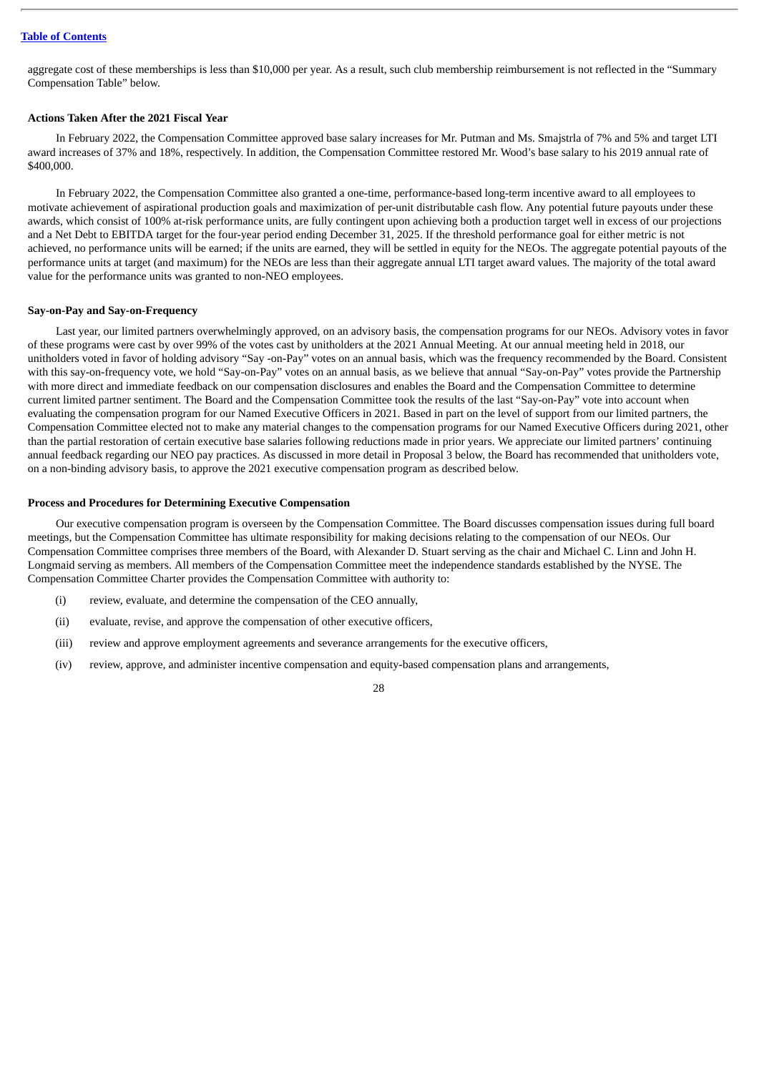aggregate cost of these memberships is less than \$10,000 per year. As a result, such club membership reimbursement is not reflected in the "Summary Compensation Table" below.

#### <span id="page-32-0"></span>**Actions Taken After the 2021 Fiscal Year**

In February 2022, the Compensation Committee approved base salary increases for Mr. Putman and Ms. Smajstrla of 7% and 5% and target LTI award increases of 37% and 18%, respectively. In addition, the Compensation Committee restored Mr. Wood's base salary to his 2019 annual rate of \$400,000.

In February 2022, the Compensation Committee also granted a one-time, performance-based long-term incentive award to all employees to motivate achievement of aspirational production goals and maximization of per-unit distributable cash flow. Any potential future payouts under these awards, which consist of 100% at-risk performance units, are fully contingent upon achieving both a production target well in excess of our projections and a Net Debt to EBITDA target for the four-year period ending December 31, 2025. If the threshold performance goal for either metric is not achieved, no performance units will be earned; if the units are earned, they will be settled in equity for the NEOs. The aggregate potential payouts of the performance units at target (and maximum) for the NEOs are less than their aggregate annual LTI target award values. The majority of the total award value for the performance units was granted to non-NEO employees.

#### <span id="page-32-1"></span>**Say-on-Pay and Say-on-Frequency**

Last year, our limited partners overwhelmingly approved, on an advisory basis, the compensation programs for our NEOs. Advisory votes in favor of these programs were cast by over 99% of the votes cast by unitholders at the 2021 Annual Meeting. At our annual meeting held in 2018, our unitholders voted in favor of holding advisory "Say -on-Pay" votes on an annual basis, which was the frequency recommended by the Board. Consistent with this say-on-frequency vote, we hold "Say-on-Pay" votes on an annual basis, as we believe that annual "Say-on-Pay" votes provide the Partnership with more direct and immediate feedback on our compensation disclosures and enables the Board and the Compensation Committee to determine current limited partner sentiment. The Board and the Compensation Committee took the results of the last "Say-on-Pay" vote into account when evaluating the compensation program for our Named Executive Officers in 2021. Based in part on the level of support from our limited partners, the Compensation Committee elected not to make any material changes to the compensation programs for our Named Executive Officers during 2021, other than the partial restoration of certain executive base salaries following reductions made in prior years. We appreciate our limited partners' continuing annual feedback regarding our NEO pay practices. As discussed in more detail in Proposal 3 below, the Board has recommended that unitholders vote, on a non-binding advisory basis, to approve the 2021 executive compensation program as described below.

#### <span id="page-32-2"></span>**Process and Procedures for Determining Executive Compensation**

Our executive compensation program is overseen by the Compensation Committee. The Board discusses compensation issues during full board meetings, but the Compensation Committee has ultimate responsibility for making decisions relating to the compensation of our NEOs. Our Compensation Committee comprises three members of the Board, with Alexander D. Stuart serving as the chair and Michael C. Linn and John H. Longmaid serving as members. All members of the Compensation Committee meet the independence standards established by the NYSE. The Compensation Committee Charter provides the Compensation Committee with authority to:

- (i) review, evaluate, and determine the compensation of the CEO annually,
- (ii) evaluate, revise, and approve the compensation of other executive officers,
- (iii) review and approve employment agreements and severance arrangements for the executive officers,
- (iv) review, approve, and administer incentive compensation and equity-based compensation plans and arrangements,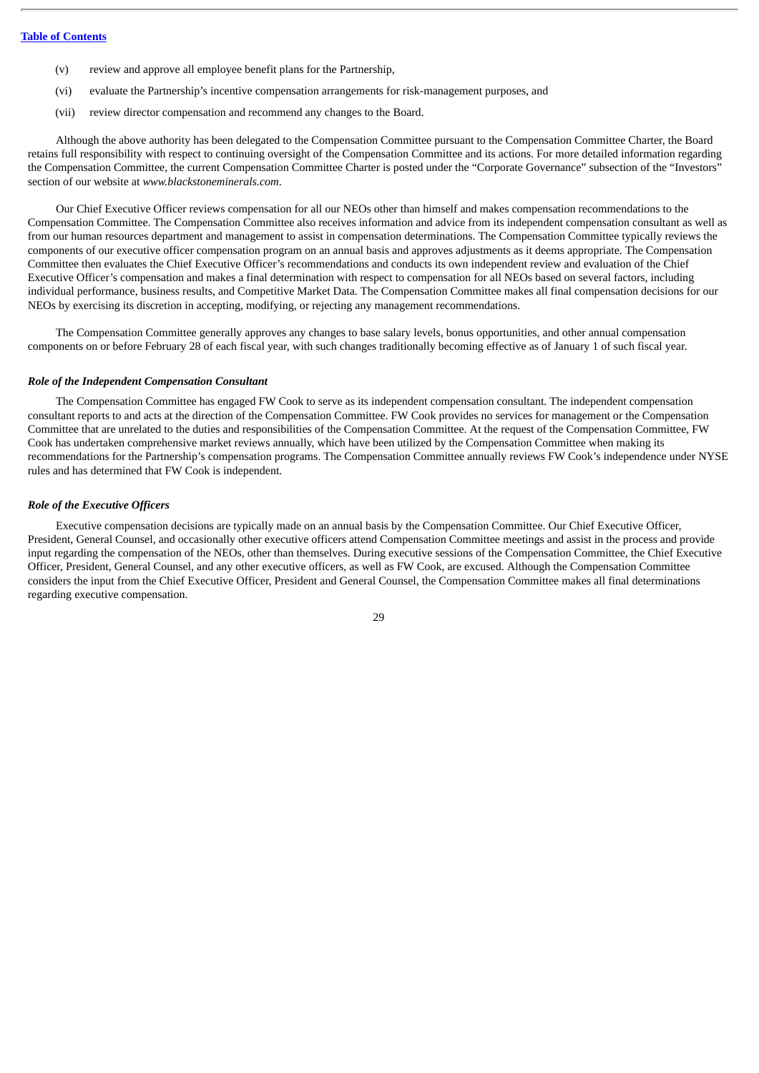- (v) review and approve all employee benefit plans for the Partnership,
- (vi) evaluate the Partnership's incentive compensation arrangements for risk-management purposes, and
- (vii) review director compensation and recommend any changes to the Board.

Although the above authority has been delegated to the Compensation Committee pursuant to the Compensation Committee Charter, the Board retains full responsibility with respect to continuing oversight of the Compensation Committee and its actions. For more detailed information regarding the Compensation Committee, the current Compensation Committee Charter is posted under the "Corporate Governance" subsection of the "Investors" section of our website at *www.blackstoneminerals.com*.

Our Chief Executive Officer reviews compensation for all our NEOs other than himself and makes compensation recommendations to the Compensation Committee. The Compensation Committee also receives information and advice from its independent compensation consultant as well as from our human resources department and management to assist in compensation determinations. The Compensation Committee typically reviews the components of our executive officer compensation program on an annual basis and approves adjustments as it deems appropriate. The Compensation Committee then evaluates the Chief Executive Officer's recommendations and conducts its own independent review and evaluation of the Chief Executive Officer's compensation and makes a final determination with respect to compensation for all NEOs based on several factors, including individual performance, business results, and Competitive Market Data. The Compensation Committee makes all final compensation decisions for our NEOs by exercising its discretion in accepting, modifying, or rejecting any management recommendations.

The Compensation Committee generally approves any changes to base salary levels, bonus opportunities, and other annual compensation components on or before February 28 of each fiscal year, with such changes traditionally becoming effective as of January 1 of such fiscal year.

#### *Role of the Independent Compensation Consultant*

The Compensation Committee has engaged FW Cook to serve as its independent compensation consultant. The independent compensation consultant reports to and acts at the direction of the Compensation Committee. FW Cook provides no services for management or the Compensation Committee that are unrelated to the duties and responsibilities of the Compensation Committee. At the request of the Compensation Committee, FW Cook has undertaken comprehensive market reviews annually, which have been utilized by the Compensation Committee when making its recommendations for the Partnership's compensation programs. The Compensation Committee annually reviews FW Cook's independence under NYSE rules and has determined that FW Cook is independent.

#### *Role of the Executive Officers*

Executive compensation decisions are typically made on an annual basis by the Compensation Committee. Our Chief Executive Officer, President, General Counsel, and occasionally other executive officers attend Compensation Committee meetings and assist in the process and provide input regarding the compensation of the NEOs, other than themselves. During executive sessions of the Compensation Committee, the Chief Executive Officer, President, General Counsel, and any other executive officers, as well as FW Cook, are excused. Although the Compensation Committee considers the input from the Chief Executive Officer, President and General Counsel, the Compensation Committee makes all final determinations regarding executive compensation.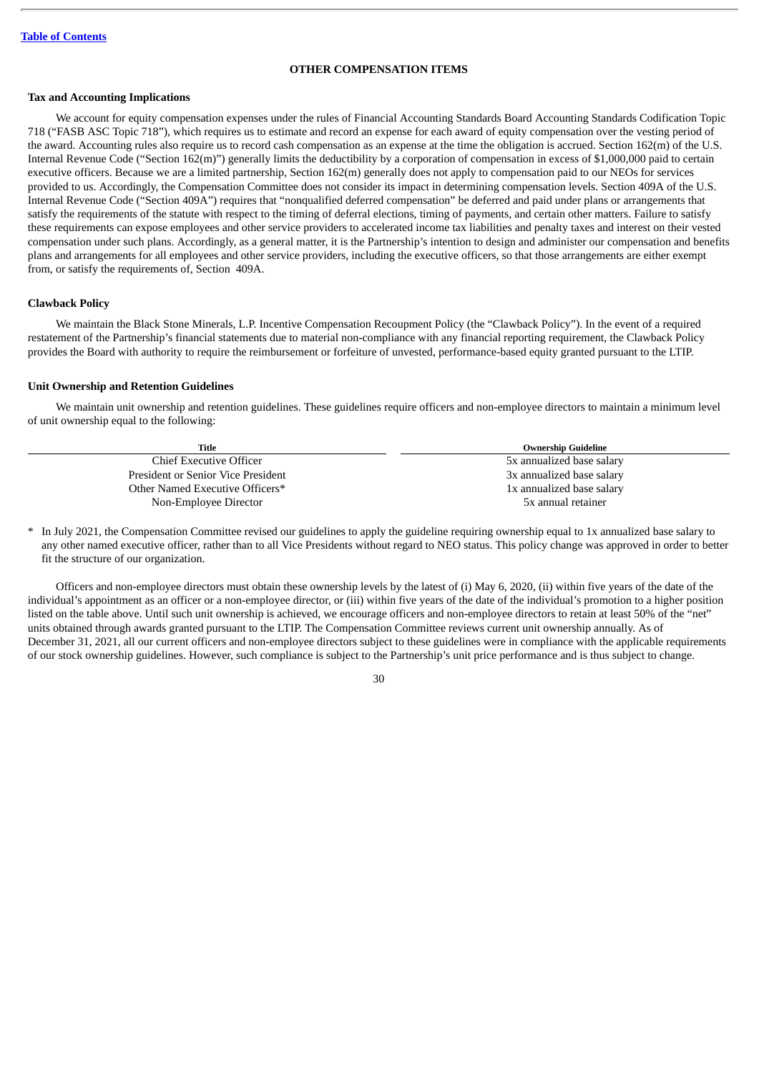#### **OTHER COMPENSATION ITEMS**

#### <span id="page-34-1"></span><span id="page-34-0"></span>**Tax and Accounting Implications**

We account for equity compensation expenses under the rules of Financial Accounting Standards Board Accounting Standards Codification Topic 718 ("FASB ASC Topic 718"), which requires us to estimate and record an expense for each award of equity compensation over the vesting period of the award. Accounting rules also require us to record cash compensation as an expense at the time the obligation is accrued. Section 162(m) of the U.S. Internal Revenue Code ("Section 162(m)") generally limits the deductibility by a corporation of compensation in excess of \$1,000,000 paid to certain executive officers. Because we are a limited partnership, Section 162(m) generally does not apply to compensation paid to our NEOs for services provided to us. Accordingly, the Compensation Committee does not consider its impact in determining compensation levels. Section 409A of the U.S. Internal Revenue Code ("Section 409A") requires that "nonqualified deferred compensation" be deferred and paid under plans or arrangements that satisfy the requirements of the statute with respect to the timing of deferral elections, timing of payments, and certain other matters. Failure to satisfy these requirements can expose employees and other service providers to accelerated income tax liabilities and penalty taxes and interest on their vested compensation under such plans. Accordingly, as a general matter, it is the Partnership's intention to design and administer our compensation and benefits plans and arrangements for all employees and other service providers, including the executive officers, so that those arrangements are either exempt from, or satisfy the requirements of, Section 409A.

#### <span id="page-34-2"></span>**Clawback Policy**

We maintain the Black Stone Minerals, L.P. Incentive Compensation Recoupment Policy (the "Clawback Policy"). In the event of a required restatement of the Partnership's financial statements due to material non-compliance with any financial reporting requirement, the Clawback Policy provides the Board with authority to require the reimbursement or forfeiture of unvested, performance-based equity granted pursuant to the LTIP.

#### <span id="page-34-3"></span>**Unit Ownership and Retention Guidelines**

We maintain unit ownership and retention guidelines. These guidelines require officers and non-employee directors to maintain a minimum level of unit ownership equal to the following:

| Title                              | <b>Ownership Guideline</b> |
|------------------------------------|----------------------------|
| <b>Chief Executive Officer</b>     | 5x annualized base salary  |
| President or Senior Vice President | 3x annualized base salary  |
| Other Named Executive Officers*    | 1x annualized base salary  |
| Non-Employee Director              | 5x annual retainer         |

\* In July 2021, the Compensation Committee revised our guidelines to apply the guideline requiring ownership equal to 1x annualized base salary to any other named executive officer, rather than to all Vice Presidents without regard to NEO status. This policy change was approved in order to better fit the structure of our organization.

Officers and non-employee directors must obtain these ownership levels by the latest of (i) May 6, 2020, (ii) within five years of the date of the individual's appointment as an officer or a non-employee director, or (iii) within five years of the date of the individual's promotion to a higher position listed on the table above. Until such unit ownership is achieved, we encourage officers and non-employee directors to retain at least 50% of the "net" units obtained through awards granted pursuant to the LTIP. The Compensation Committee reviews current unit ownership annually. As of December 31, 2021, all our current officers and non-employee directors subject to these guidelines were in compliance with the applicable requirements of our stock ownership guidelines. However, such compliance is subject to the Partnership's unit price performance and is thus subject to change.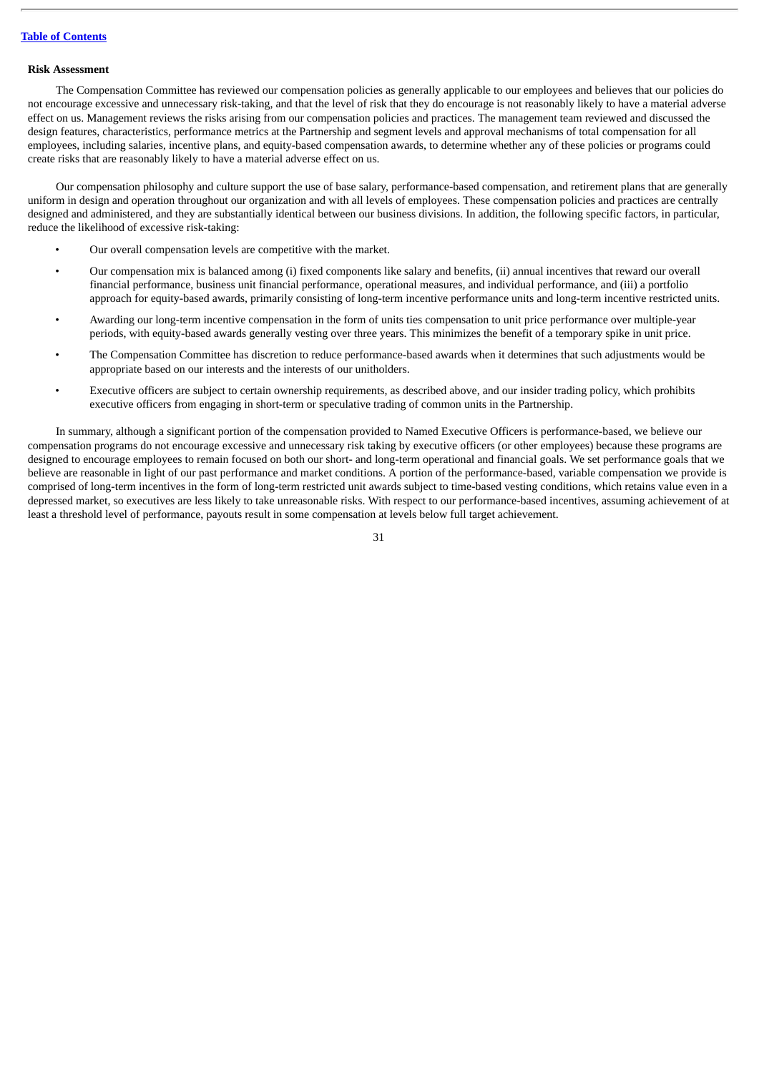#### <span id="page-35-0"></span>**Risk Assessment**

The Compensation Committee has reviewed our compensation policies as generally applicable to our employees and believes that our policies do not encourage excessive and unnecessary risk-taking, and that the level of risk that they do encourage is not reasonably likely to have a material adverse effect on us. Management reviews the risks arising from our compensation policies and practices. The management team reviewed and discussed the design features, characteristics, performance metrics at the Partnership and segment levels and approval mechanisms of total compensation for all employees, including salaries, incentive plans, and equity-based compensation awards, to determine whether any of these policies or programs could create risks that are reasonably likely to have a material adverse effect on us.

Our compensation philosophy and culture support the use of base salary, performance-based compensation, and retirement plans that are generally uniform in design and operation throughout our organization and with all levels of employees. These compensation policies and practices are centrally designed and administered, and they are substantially identical between our business divisions. In addition, the following specific factors, in particular, reduce the likelihood of excessive risk-taking:

- Our overall compensation levels are competitive with the market.
- Our compensation mix is balanced among (i) fixed components like salary and benefits, (ii) annual incentives that reward our overall financial performance, business unit financial performance, operational measures, and individual performance, and (iii) a portfolio approach for equity-based awards, primarily consisting of long-term incentive performance units and long-term incentive restricted units.
- Awarding our long-term incentive compensation in the form of units ties compensation to unit price performance over multiple-year periods, with equity-based awards generally vesting over three years. This minimizes the benefit of a temporary spike in unit price.
- The Compensation Committee has discretion to reduce performance-based awards when it determines that such adjustments would be appropriate based on our interests and the interests of our unitholders.
- Executive officers are subject to certain ownership requirements, as described above, and our insider trading policy, which prohibits executive officers from engaging in short-term or speculative trading of common units in the Partnership.

In summary, although a significant portion of the compensation provided to Named Executive Officers is performance-based, we believe our compensation programs do not encourage excessive and unnecessary risk taking by executive officers (or other employees) because these programs are designed to encourage employees to remain focused on both our short- and long-term operational and financial goals. We set performance goals that we believe are reasonable in light of our past performance and market conditions. A portion of the performance-based, variable compensation we provide is comprised of long-term incentives in the form of long-term restricted unit awards subject to time-based vesting conditions, which retains value even in a depressed market, so executives are less likely to take unreasonable risks. With respect to our performance-based incentives, assuming achievement of at least a threshold level of performance, payouts result in some compensation at levels below full target achievement.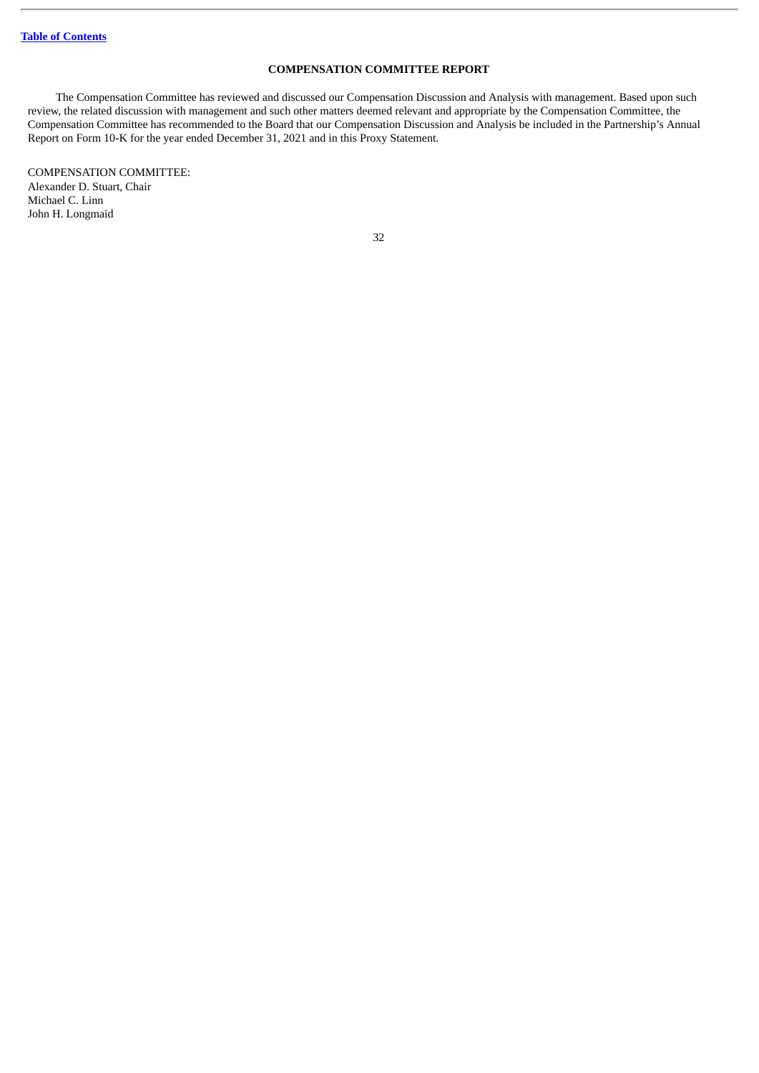## **COMPENSATION COMMITTEE REPORT**

<span id="page-36-0"></span>The Compensation Committee has reviewed and discussed our Compensation Discussion and Analysis with management. Based upon such review, the related discussion with management and such other matters deemed relevant and appropriate by the Compensation Committee, the Compensation Committee has recommended to the Board that our Compensation Discussion and Analysis be included in the Partnership's Annual Report on Form 10-K for the year ended December 31, 2021 and in this Proxy Statement.

COMPENSATION COMMITTEE: Alexander D. Stuart, Chair Michael C. Linn John H. Longmaid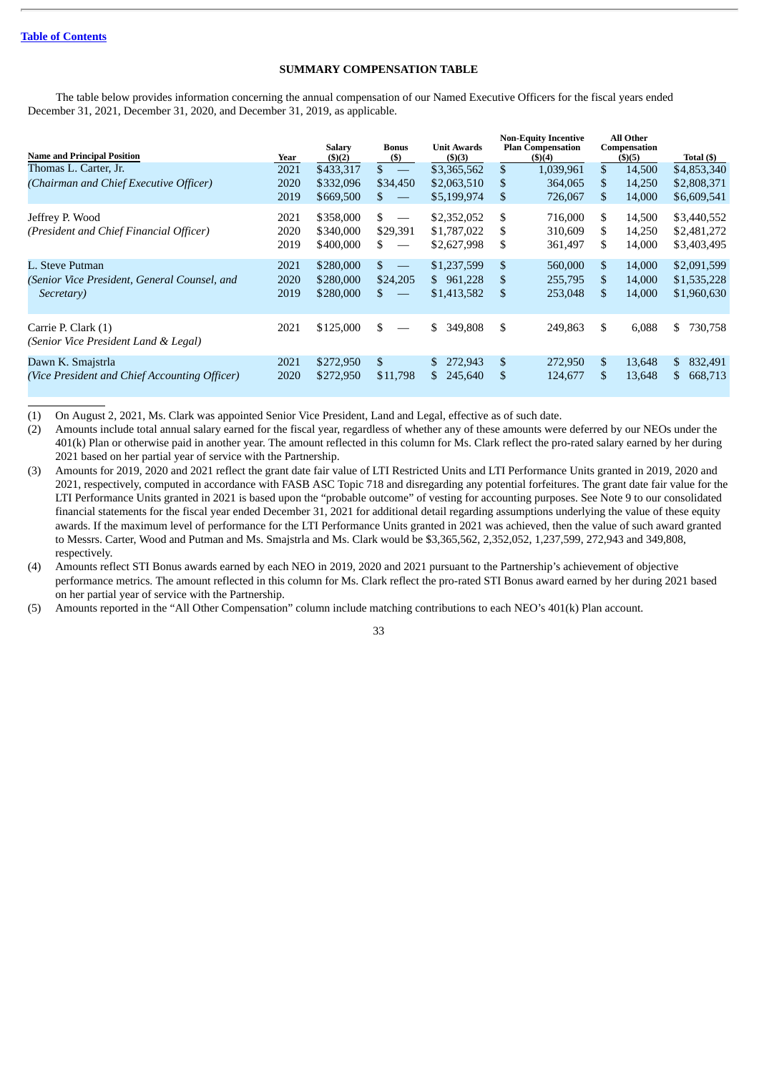#### **SUMMARY COMPENSATION TABLE**

<span id="page-37-0"></span>The table below provides information concerning the annual compensation of our Named Executive Officers for the fiscal years ended December 31, 2021, December 31, 2020, and December 31, 2019, as applicable.

| <b>Name and Principal Position</b>                                            | Year                 | <b>Salary</b><br>(5)(2)             | <b>Bonus</b><br>$($ \$                                                                  | <b>Unit Awards</b><br>$($ \$ $)(3)$          |                   | <b>Non-Equity Incentive</b><br><b>Plan Compensation</b><br>$($ \$ $)(4)$ |                 | All Other<br>Compensation<br>$($ \$)(5) | Total (\$)                                |
|-------------------------------------------------------------------------------|----------------------|-------------------------------------|-----------------------------------------------------------------------------------------|----------------------------------------------|-------------------|--------------------------------------------------------------------------|-----------------|-----------------------------------------|-------------------------------------------|
| Thomas L. Carter, Jr.<br>(Chairman and Chief Executive Officer)               | 2021<br>2020<br>2019 | \$433,317<br>\$332,096<br>\$669,500 | $\mathbb{S}$<br>$\overline{\phantom{0}}$<br>\$34,450<br>\$.<br>$\overline{\phantom{m}}$ | \$3,365,562<br>\$2,063,510<br>\$5,199,974    | \$<br>\$          | 1,039,961<br>364,065<br>726,067                                          | \$<br>\$<br>\$  | 14,500<br>14,250<br>14,000              | \$4,853,340<br>\$2,808,371<br>\$6,609,541 |
| Jeffrey P. Wood<br>(President and Chief Financial Officer)                    | 2021<br>2020<br>2019 | \$358,000<br>\$340,000<br>\$400,000 | \$<br>$\overline{\phantom{m}}$<br>\$29,391<br>S.<br>$\overline{\phantom{m}}$            | \$2,352,052<br>\$1,787,022<br>\$2,627,998    | \$.<br>\$.<br>\$. | 716,000<br>310,609<br>361,497                                            | \$<br>\$<br>\$  | 14.500<br>14,250<br>14,000              | \$3,440,552<br>\$2,481,272<br>\$3,403,495 |
| L. Steve Putman<br>(Senior Vice President, General Counsel, and<br>Secretary) | 2021<br>2020<br>2019 | \$280,000<br>\$280,000<br>\$280,000 | S.<br>\$24,205<br>S.<br>$\hspace{0.05cm}$                                               | \$1,237,599<br>961,228<br>\$.<br>\$1,413,582 | \$<br>\$.<br>\$   | 560,000<br>255,795<br>253,048                                            | \$.<br>\$<br>\$ | 14,000<br>14,000<br>14,000              | \$2,091,599<br>\$1,535,228<br>\$1,960,630 |
| Carrie P. Clark (1)<br>(Senior Vice President Land & Legal)                   | 2021                 | \$125,000                           | \$                                                                                      | \$<br>349,808                                | \$                | 249,863                                                                  | \$              | 6,088                                   | \$<br>730,758                             |
| Dawn K. Smajstrla<br>(Vice President and Chief Accounting Officer)            | 2021<br>2020         | \$272,950<br>\$272,950              | S<br>\$11,798                                                                           | \$.<br>272,943<br>245,640<br>S.              | \$<br>\$          | 272,950<br>124,677                                                       | \$<br>\$        | 13,648<br>13,648                        | 832,491<br>\$.<br>668,713<br>\$.          |

(1) On August 2, 2021, Ms. Clark was appointed Senior Vice President, Land and Legal, effective as of such date.

(2) Amounts include total annual salary earned for the fiscal year, regardless of whether any of these amounts were deferred by our NEOs under the 401(k) Plan or otherwise paid in another year. The amount reflected in this column for Ms. Clark reflect the pro-rated salary earned by her during 2021 based on her partial year of service with the Partnership.

(3) Amounts for 2019, 2020 and 2021 reflect the grant date fair value of LTI Restricted Units and LTI Performance Units granted in 2019, 2020 and 2021, respectively, computed in accordance with FASB ASC Topic 718 and disregarding any potential forfeitures. The grant date fair value for the LTI Performance Units granted in 2021 is based upon the "probable outcome" of vesting for accounting purposes. See Note 9 to our consolidated financial statements for the fiscal year ended December 31, 2021 for additional detail regarding assumptions underlying the value of these equity awards. If the maximum level of performance for the LTI Performance Units granted in 2021 was achieved, then the value of such award granted to Messrs. Carter, Wood and Putman and Ms. Smajstrla and Ms. Clark would be \$3,365,562, 2,352,052, 1,237,599, 272,943 and 349,808, respectively.

(4) Amounts reflect STI Bonus awards earned by each NEO in 2019, 2020 and 2021 pursuant to the Partnership's achievement of objective performance metrics. The amount reflected in this column for Ms. Clark reflect the pro-rated STI Bonus award earned by her during 2021 based on her partial year of service with the Partnership.

(5) Amounts reported in the "All Other Compensation" column include matching contributions to each NEO's 401(k) Plan account.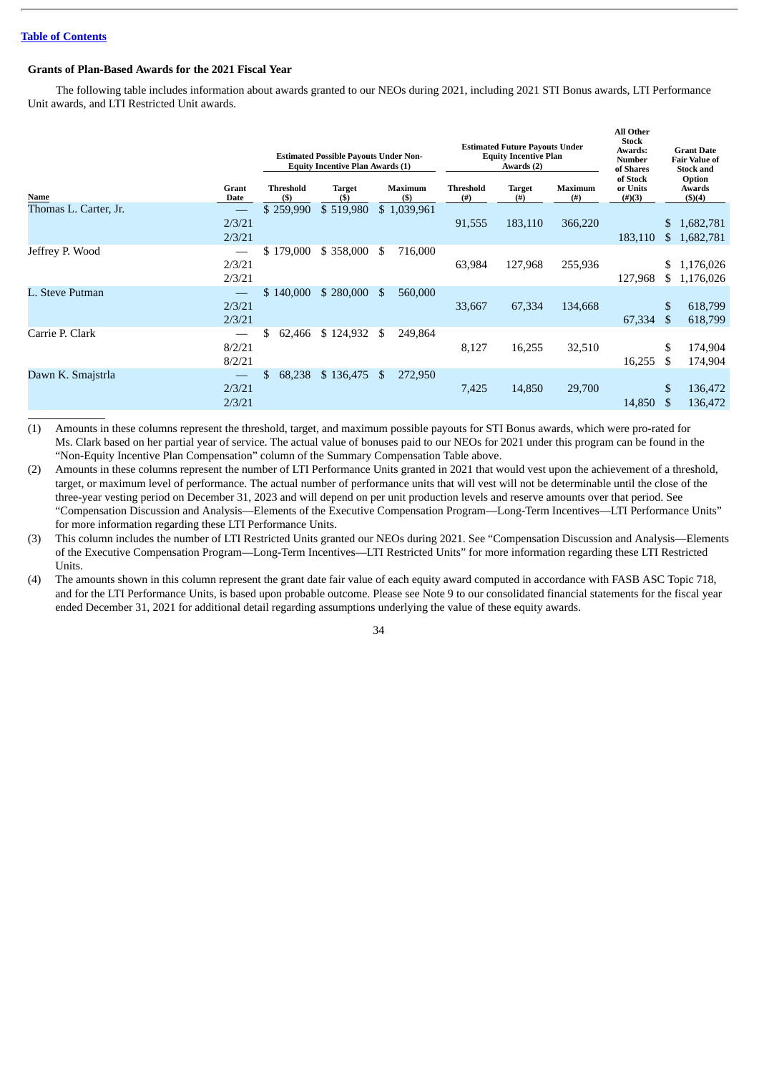#### <span id="page-38-0"></span>**Grants of Plan-Based Awards for the 2021 Fiscal Year**

The following table includes information about awards granted to our NEOs during 2021, including 2021 STI Bonus awards, LTI Performance Unit awards, and LTI Restricted Unit awards.

|                       |                      | <b>Estimated Possible Payouts Under Non-</b><br><b>Equity Incentive Plan Awards (1)</b> |                      |                  | <b>Estimated Future Payouts Under</b><br><b>Equity Incentive Plan</b><br>Awards (2) |                       |                        | <b>All Other</b><br><b>Stock</b><br>Awards:<br><b>Number</b><br>of Shares | <b>Grant Date</b><br><b>Fair Value of</b><br><b>Stock and</b> |  |
|-----------------------|----------------------|-----------------------------------------------------------------------------------------|----------------------|------------------|-------------------------------------------------------------------------------------|-----------------------|------------------------|---------------------------------------------------------------------------|---------------------------------------------------------------|--|
| Name                  | Grant<br><b>Date</b> | <b>Threshold</b><br>$($ \$)                                                             | <b>Target</b><br>(5) | Maximum<br>$($)$ | <b>Threshold</b><br>(# )                                                            | <b>Target</b><br>(# ) | <b>Maximum</b><br>(# ) | of Stock<br>or Units<br>$(\#)(3)$                                         | Option<br>Awards<br>\$)(4)                                    |  |
| Thomas L. Carter, Jr. | 2/3/21<br>2/3/21     | \$259,990                                                                               | \$519,980            | \$1,039,961      | 91,555                                                                              | 183,110               | 366,220                | 183,110                                                                   | \$1,682,781<br>1,682,781<br>\$                                |  |
| Jeffrey P. Wood       | 2/3/21<br>2/3/21     | \$179,000                                                                               | \$358,000            | 716,000<br>-S    | 63,984                                                                              | 127,968               | 255,936                | 127,968                                                                   | 1,176,026<br>\$<br>1,176,026<br>\$                            |  |
| L. Steve Putman       | 2/3/21<br>2/3/21     | \$140,000                                                                               | \$280,000            | 560,000<br>- \$  | 33,667                                                                              | 67,334                | 134,668                | 67,334                                                                    | \$<br>618,799<br>618,799<br>\$                                |  |
| Carrie P. Clark       | 8/2/21<br>8/2/21     | \$<br>62,466                                                                            | \$124,932            | 249,864<br>-S    | 8,127                                                                               | 16,255                | 32,510                 | 16,255                                                                    | \$<br>174,904<br>\$<br>174,904                                |  |
| Dawn K. Smajstrla     | 2/3/21<br>2/3/21     | \$<br>68,238                                                                            | \$136,475            | 272,950<br>-S    | 7,425                                                                               | 14,850                | 29,700                 | 14,850                                                                    | \$<br>136,472<br>136,472<br>\$.                               |  |

(1) Amounts in these columns represent the threshold, target, and maximum possible payouts for STI Bonus awards, which were pro-rated for Ms. Clark based on her partial year of service. The actual value of bonuses paid to our NEOs for 2021 under this program can be found in the "Non-Equity Incentive Plan Compensation" column of the Summary Compensation Table above.

(2) Amounts in these columns represent the number of LTI Performance Units granted in 2021 that would vest upon the achievement of a threshold, target, or maximum level of performance. The actual number of performance units that will vest will not be determinable until the close of the three-year vesting period on December 31, 2023 and will depend on per unit production levels and reserve amounts over that period. See "Compensation Discussion and Analysis—Elements of the Executive Compensation Program—Long-Term Incentives—LTI Performance Units" for more information regarding these LTI Performance Units.

(3) This column includes the number of LTI Restricted Units granted our NEOs during 2021. See "Compensation Discussion and Analysis—Elements of the Executive Compensation Program—Long-Term Incentives—LTI Restricted Units" for more information regarding these LTI Restricted Units.

(4) The amounts shown in this column represent the grant date fair value of each equity award computed in accordance with FASB ASC Topic 718, and for the LTI Performance Units, is based upon probable outcome. Please see Note 9 to our consolidated financial statements for the fiscal year ended December 31, 2021 for additional detail regarding assumptions underlying the value of these equity awards.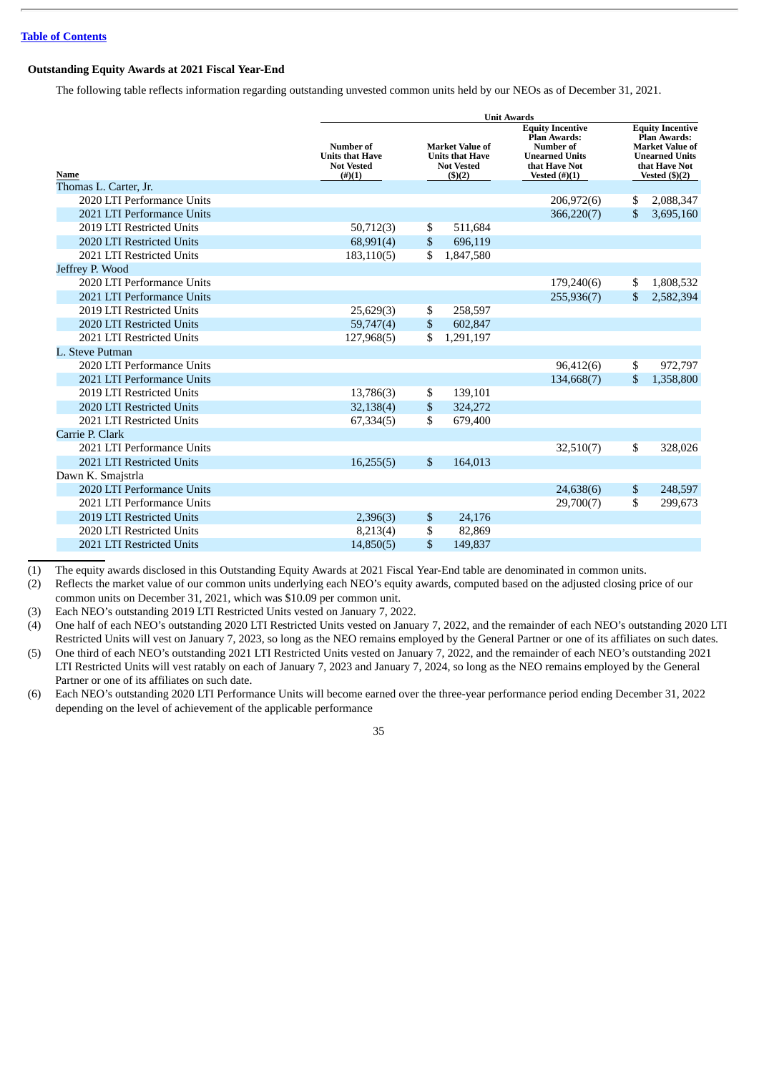## <span id="page-39-0"></span>**Outstanding Equity Awards at 2021 Fiscal Year-End**

The following table reflects information regarding outstanding unvested common units held by our NEOs as of December 31, 2021.

| <b>Unit Awards</b>                                                           |                                                                                   |                         |            |            |           |  |  |  |  |  |                                                                                                                           |  |                                                                                                                                        |
|------------------------------------------------------------------------------|-----------------------------------------------------------------------------------|-------------------------|------------|------------|-----------|--|--|--|--|--|---------------------------------------------------------------------------------------------------------------------------|--|----------------------------------------------------------------------------------------------------------------------------------------|
| <b>Number of</b><br><b>Units that Have</b><br><b>Not Vested</b><br>$(\#)(1)$ | <b>Market Value of</b><br><b>Units that Have</b><br><b>Not Vested</b><br>( \$)(2) |                         |            |            |           |  |  |  |  |  | <b>Equity Incentive</b><br><b>Plan Awards:</b><br>Number of<br><b>Unearned Units</b><br>that Have Not<br>Vested $(\#)(1)$ |  | <b>Equity Incentive</b><br><b>Plan Awards:</b><br><b>Market Value of</b><br><b>Unearned Units</b><br>that Have Not<br>Vested $(\$)(2)$ |
|                                                                              |                                                                                   |                         |            |            |           |  |  |  |  |  |                                                                                                                           |  |                                                                                                                                        |
|                                                                              |                                                                                   |                         |            | \$         | 2,088,347 |  |  |  |  |  |                                                                                                                           |  |                                                                                                                                        |
|                                                                              |                                                                                   |                         | 366,220(7) |            | 3,695,160 |  |  |  |  |  |                                                                                                                           |  |                                                                                                                                        |
| 50,712(3)                                                                    | \$                                                                                | 511,684                 |            |            |           |  |  |  |  |  |                                                                                                                           |  |                                                                                                                                        |
| 68,991(4)                                                                    | \$                                                                                | 696,119                 |            |            |           |  |  |  |  |  |                                                                                                                           |  |                                                                                                                                        |
| 183, 110(5)                                                                  | \$                                                                                | 1,847,580               |            |            |           |  |  |  |  |  |                                                                                                                           |  |                                                                                                                                        |
|                                                                              |                                                                                   |                         |            |            |           |  |  |  |  |  |                                                                                                                           |  |                                                                                                                                        |
|                                                                              |                                                                                   |                         | 179,240(6) | \$         | 1,808,532 |  |  |  |  |  |                                                                                                                           |  |                                                                                                                                        |
|                                                                              |                                                                                   |                         | 255,936(7) | \$         | 2,582,394 |  |  |  |  |  |                                                                                                                           |  |                                                                                                                                        |
| 25,629(3)                                                                    | \$                                                                                | 258,597                 |            |            |           |  |  |  |  |  |                                                                                                                           |  |                                                                                                                                        |
| 59,747(4)                                                                    |                                                                                   | 602,847                 |            |            |           |  |  |  |  |  |                                                                                                                           |  |                                                                                                                                        |
| 127,968(5)                                                                   | \$                                                                                | 1,291,197               |            |            |           |  |  |  |  |  |                                                                                                                           |  |                                                                                                                                        |
|                                                                              |                                                                                   |                         |            |            |           |  |  |  |  |  |                                                                                                                           |  |                                                                                                                                        |
|                                                                              |                                                                                   |                         | 96,412(6)  | \$         | 972,797   |  |  |  |  |  |                                                                                                                           |  |                                                                                                                                        |
|                                                                              |                                                                                   |                         | 134,668(7) | \$         | 1,358,800 |  |  |  |  |  |                                                                                                                           |  |                                                                                                                                        |
| 13,786(3)                                                                    | \$                                                                                | 139,101                 |            |            |           |  |  |  |  |  |                                                                                                                           |  |                                                                                                                                        |
| 32,138(4)                                                                    |                                                                                   | 324,272                 |            |            |           |  |  |  |  |  |                                                                                                                           |  |                                                                                                                                        |
| 67,334(5)                                                                    |                                                                                   | 679,400                 |            |            |           |  |  |  |  |  |                                                                                                                           |  |                                                                                                                                        |
|                                                                              |                                                                                   |                         |            |            |           |  |  |  |  |  |                                                                                                                           |  |                                                                                                                                        |
|                                                                              |                                                                                   |                         | 32,510(7)  | \$         | 328,026   |  |  |  |  |  |                                                                                                                           |  |                                                                                                                                        |
| 16,255(5)                                                                    | $\mathfrak{s}$                                                                    | 164,013                 |            |            |           |  |  |  |  |  |                                                                                                                           |  |                                                                                                                                        |
|                                                                              |                                                                                   |                         |            |            |           |  |  |  |  |  |                                                                                                                           |  |                                                                                                                                        |
|                                                                              |                                                                                   |                         | 24,638(6)  | \$         | 248,597   |  |  |  |  |  |                                                                                                                           |  |                                                                                                                                        |
|                                                                              |                                                                                   |                         | 29,700(7)  | \$         | 299,673   |  |  |  |  |  |                                                                                                                           |  |                                                                                                                                        |
| 2,396(3)                                                                     | \$                                                                                | 24,176                  |            |            |           |  |  |  |  |  |                                                                                                                           |  |                                                                                                                                        |
| 8,213(4)                                                                     | \$                                                                                | 82,869                  |            |            |           |  |  |  |  |  |                                                                                                                           |  |                                                                                                                                        |
| 14,850(5)                                                                    | \$                                                                                | 149,837                 |            |            |           |  |  |  |  |  |                                                                                                                           |  |                                                                                                                                        |
|                                                                              |                                                                                   | \$<br>$\mathbb S$<br>\$ |            | 206,972(6) | \$        |  |  |  |  |  |                                                                                                                           |  |                                                                                                                                        |

(1) The equity awards disclosed in this Outstanding Equity Awards at 2021 Fiscal Year-End table are denominated in common units.

(2) Reflects the market value of our common units underlying each NEO's equity awards, computed based on the adjusted closing price of our common units on December 31, 2021, which was \$10.09 per common unit.

(3) Each NEO's outstanding 2019 LTI Restricted Units vested on January 7, 2022.

(4) One half of each NEO's outstanding 2020 LTI Restricted Units vested on January 7, 2022, and the remainder of each NEO's outstanding 2020 LTI Restricted Units will vest on January 7, 2023, so long as the NEO remains employed by the General Partner or one of its affiliates on such dates. (5) One third of each NEO's outstanding 2021 LTI Restricted Units vested on January 7, 2022, and the remainder of each NEO's outstanding 2021

LTI Restricted Units will vest ratably on each of January 7, 2023 and January 7, 2024, so long as the NEO remains employed by the General Partner or one of its affiliates on such date.

(6) Each NEO's outstanding 2020 LTI Performance Units will become earned over the three-year performance period ending December 31, 2022 depending on the level of achievement of the applicable performance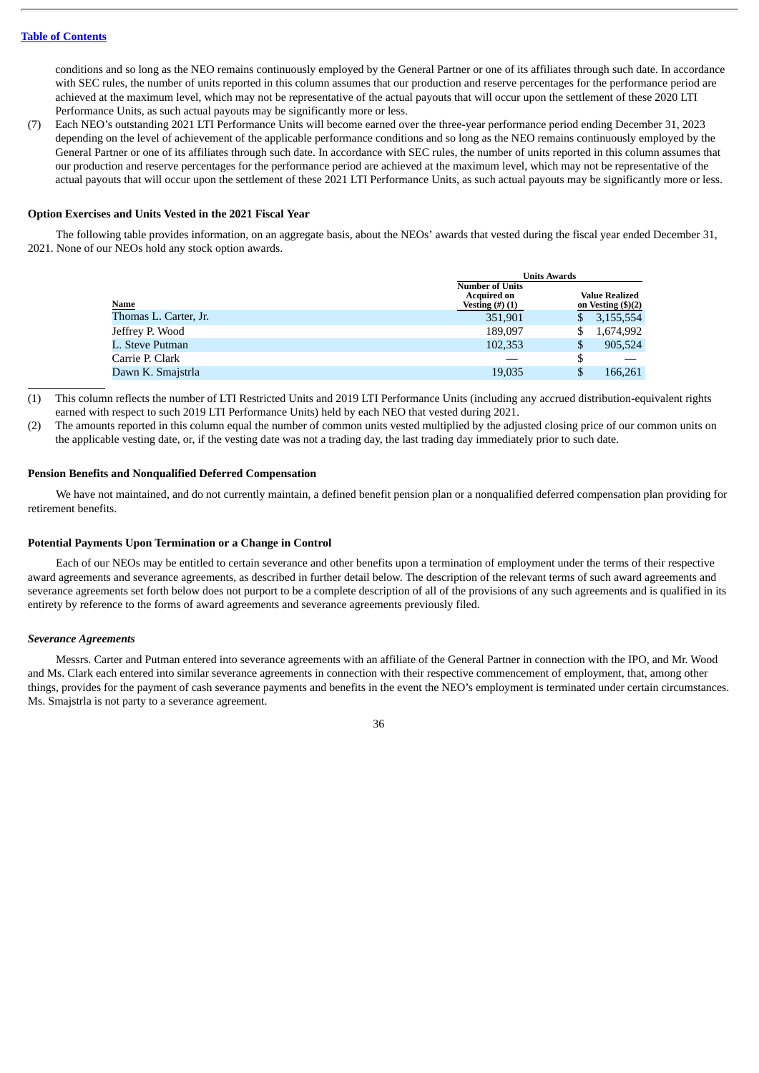conditions and so long as the NEO remains continuously employed by the General Partner or one of its affiliates through such date. In accordance with SEC rules, the number of units reported in this column assumes that our production and reserve percentages for the performance period are achieved at the maximum level, which may not be representative of the actual payouts that will occur upon the settlement of these 2020 LTI Performance Units, as such actual payouts may be significantly more or less.

Each NEO's outstanding 2021 LTI Performance Units will become earned over the three-year performance period ending December 31, 2023 depending on the level of achievement of the applicable performance conditions and so long as the NEO remains continuously employed by the General Partner or one of its affiliates through such date. In accordance with SEC rules, the number of units reported in this column assumes that our production and reserve percentages for the performance period are achieved at the maximum level, which may not be representative of the actual payouts that will occur upon the settlement of these 2021 LTI Performance Units, as such actual payouts may be significantly more or less.

#### <span id="page-40-0"></span>**Option Exercises and Units Vested in the 2021 Fiscal Year**

The following table provides information, on an aggregate basis, about the NEOs' awards that vested during the fiscal year ended December 31, 2021. None of our NEOs hold any stock option awards.

|                       | <b>Units Awards</b>                                               |    |                                              |  |  |
|-----------------------|-------------------------------------------------------------------|----|----------------------------------------------|--|--|
| <b>Name</b>           | <b>Number of Units</b><br><b>Acquired on</b><br>Vesting $(\#)(1)$ |    | <b>Value Realized</b><br>on Vesting $(3)(2)$ |  |  |
| Thomas L. Carter, Jr. | 351,901                                                           |    | 3,155,554                                    |  |  |
| Jeffrey P. Wood       | 189,097                                                           | S  | 1,674,992                                    |  |  |
| L. Steve Putman       | 102,353                                                           | \$ | 905,524                                      |  |  |
| Carrie P. Clark       |                                                                   | \$ |                                              |  |  |
| Dawn K. Smajstrla     | 19,035                                                            | \$ | 166,261                                      |  |  |

- (1) This column reflects the number of LTI Restricted Units and 2019 LTI Performance Units (including any accrued distribution-equivalent rights earned with respect to such 2019 LTI Performance Units) held by each NEO that vested during 2021.
- (2) The amounts reported in this column equal the number of common units vested multiplied by the adjusted closing price of our common units on the applicable vesting date, or, if the vesting date was not a trading day, the last trading day immediately prior to such date.

#### <span id="page-40-1"></span>**Pension Benefits and Nonqualified Deferred Compensation**

We have not maintained, and do not currently maintain, a defined benefit pension plan or a nonqualified deferred compensation plan providing for retirement benefits.

#### <span id="page-40-2"></span>**Potential Payments Upon Termination or a Change in Control**

Each of our NEOs may be entitled to certain severance and other benefits upon a termination of employment under the terms of their respective award agreements and severance agreements, as described in further detail below. The description of the relevant terms of such award agreements and severance agreements set forth below does not purport to be a complete description of all of the provisions of any such agreements and is qualified in its entirety by reference to the forms of award agreements and severance agreements previously filed.

#### *Severance Agreements*

Messrs. Carter and Putman entered into severance agreements with an affiliate of the General Partner in connection with the IPO, and Mr. Wood and Ms. Clark each entered into similar severance agreements in connection with their respective commencement of employment, that, among other things, provides for the payment of cash severance payments and benefits in the event the NEO's employment is terminated under certain circumstances. Ms. Smajstrla is not party to a severance agreement.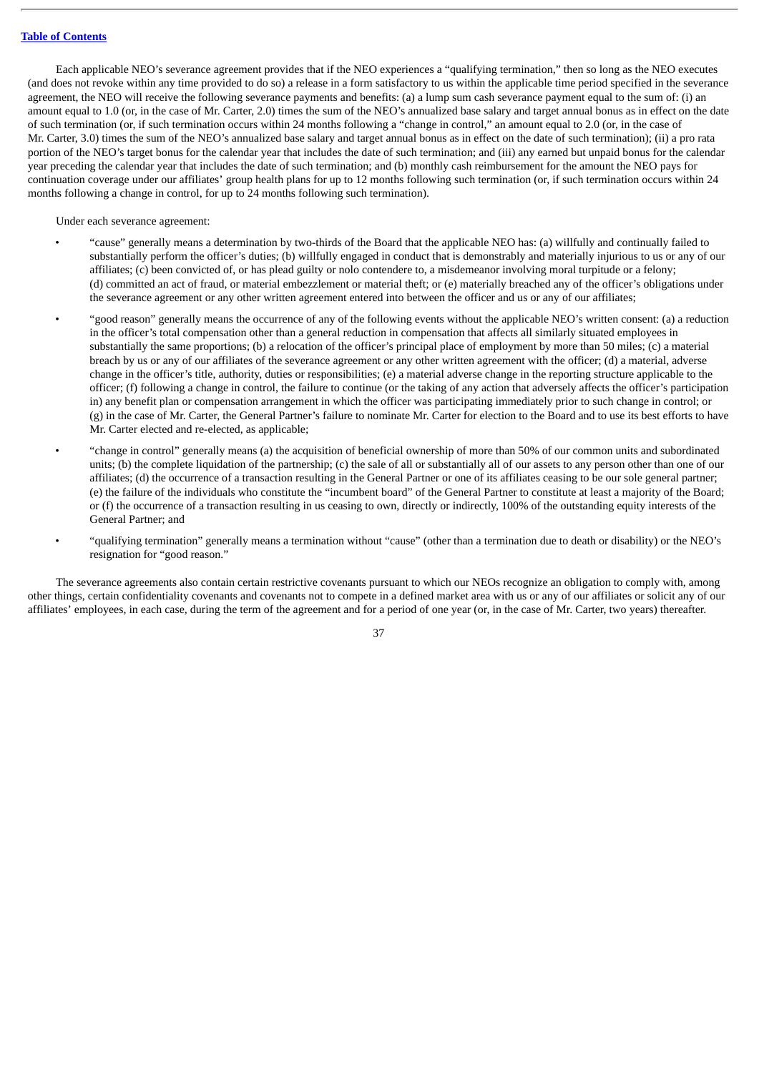Each applicable NEO's severance agreement provides that if the NEO experiences a "qualifying termination," then so long as the NEO executes (and does not revoke within any time provided to do so) a release in a form satisfactory to us within the applicable time period specified in the severance agreement, the NEO will receive the following severance payments and benefits: (a) a lump sum cash severance payment equal to the sum of: (i) an amount equal to 1.0 (or, in the case of Mr. Carter, 2.0) times the sum of the NEO's annualized base salary and target annual bonus as in effect on the date of such termination (or, if such termination occurs within 24 months following a "change in control," an amount equal to 2.0 (or, in the case of Mr. Carter, 3.0) times the sum of the NEO's annualized base salary and target annual bonus as in effect on the date of such termination); (ii) a pro rata portion of the NEO's target bonus for the calendar year that includes the date of such termination; and (iii) any earned but unpaid bonus for the calendar year preceding the calendar year that includes the date of such termination; and (b) monthly cash reimbursement for the amount the NEO pays for continuation coverage under our affiliates' group health plans for up to 12 months following such termination (or, if such termination occurs within 24 months following a change in control, for up to 24 months following such termination).

Under each severance agreement:

- "cause" generally means a determination by two-thirds of the Board that the applicable NEO has: (a) willfully and continually failed to substantially perform the officer's duties; (b) willfully engaged in conduct that is demonstrably and materially injurious to us or any of our affiliates; (c) been convicted of, or has plead guilty or nolo contendere to, a misdemeanor involving moral turpitude or a felony; (d) committed an act of fraud, or material embezzlement or material theft; or (e) materially breached any of the officer's obligations under the severance agreement or any other written agreement entered into between the officer and us or any of our affiliates;
- "good reason" generally means the occurrence of any of the following events without the applicable NEO's written consent: (a) a reduction in the officer's total compensation other than a general reduction in compensation that affects all similarly situated employees in substantially the same proportions; (b) a relocation of the officer's principal place of employment by more than 50 miles; (c) a material breach by us or any of our affiliates of the severance agreement or any other written agreement with the officer; (d) a material, adverse change in the officer's title, authority, duties or responsibilities; (e) a material adverse change in the reporting structure applicable to the officer; (f) following a change in control, the failure to continue (or the taking of any action that adversely affects the officer's participation in) any benefit plan or compensation arrangement in which the officer was participating immediately prior to such change in control; or (g) in the case of Mr. Carter, the General Partner's failure to nominate Mr. Carter for election to the Board and to use its best efforts to have Mr. Carter elected and re-elected, as applicable;
- "change in control" generally means (a) the acquisition of beneficial ownership of more than 50% of our common units and subordinated units; (b) the complete liquidation of the partnership; (c) the sale of all or substantially all of our assets to any person other than one of our affiliates; (d) the occurrence of a transaction resulting in the General Partner or one of its affiliates ceasing to be our sole general partner; (e) the failure of the individuals who constitute the "incumbent board" of the General Partner to constitute at least a majority of the Board; or (f) the occurrence of a transaction resulting in us ceasing to own, directly or indirectly, 100% of the outstanding equity interests of the General Partner; and
- "qualifying termination" generally means a termination without "cause" (other than a termination due to death or disability) or the NEO's resignation for "good reason."

The severance agreements also contain certain restrictive covenants pursuant to which our NEOs recognize an obligation to comply with, among other things, certain confidentiality covenants and covenants not to compete in a defined market area with us or any of our affiliates or solicit any of our affiliates' employees, in each case, during the term of the agreement and for a period of one year (or, in the case of Mr. Carter, two years) thereafter.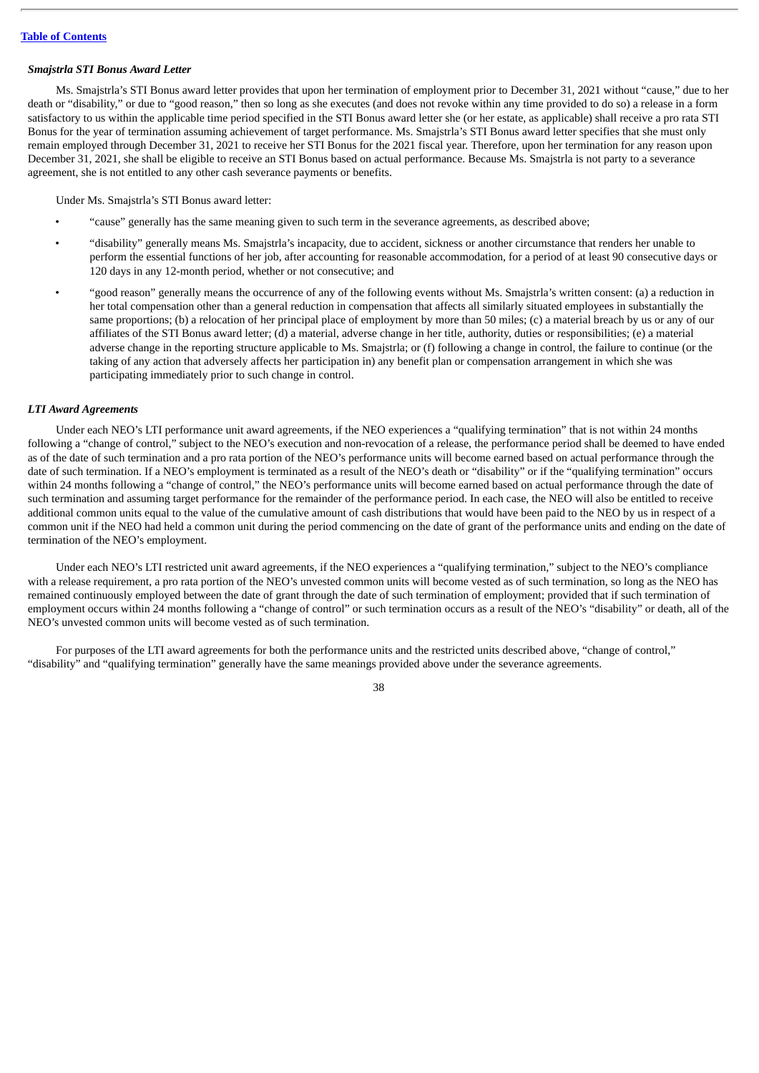#### *Smajstrla STI Bonus Award Letter*

Ms. Smajstrla's STI Bonus award letter provides that upon her termination of employment prior to December 31, 2021 without "cause," due to her death or "disability," or due to "good reason," then so long as she executes (and does not revoke within any time provided to do so) a release in a form satisfactory to us within the applicable time period specified in the STI Bonus award letter she (or her estate, as applicable) shall receive a pro rata STI Bonus for the year of termination assuming achievement of target performance. Ms. Smajstrla's STI Bonus award letter specifies that she must only remain employed through December 31, 2021 to receive her STI Bonus for the 2021 fiscal year. Therefore, upon her termination for any reason upon December 31, 2021, she shall be eligible to receive an STI Bonus based on actual performance. Because Ms. Smajstrla is not party to a severance agreement, she is not entitled to any other cash severance payments or benefits.

Under Ms. Smajstrla's STI Bonus award letter:

- "cause" generally has the same meaning given to such term in the severance agreements, as described above;
- "disability" generally means Ms. Smajstrla's incapacity, due to accident, sickness or another circumstance that renders her unable to perform the essential functions of her job, after accounting for reasonable accommodation, for a period of at least 90 consecutive days or 120 days in any 12-month period, whether or not consecutive; and
- "good reason" generally means the occurrence of any of the following events without Ms. Smajstrla's written consent: (a) a reduction in her total compensation other than a general reduction in compensation that affects all similarly situated employees in substantially the same proportions; (b) a relocation of her principal place of employment by more than 50 miles; (c) a material breach by us or any of our affiliates of the STI Bonus award letter; (d) a material, adverse change in her title, authority, duties or responsibilities; (e) a material adverse change in the reporting structure applicable to Ms. Smajstrla; or (f) following a change in control, the failure to continue (or the taking of any action that adversely affects her participation in) any benefit plan or compensation arrangement in which she was participating immediately prior to such change in control.

#### *LTI Award Agreements*

Under each NEO's LTI performance unit award agreements, if the NEO experiences a "qualifying termination" that is not within 24 months following a "change of control," subject to the NEO's execution and non-revocation of a release, the performance period shall be deemed to have ended as of the date of such termination and a pro rata portion of the NEO's performance units will become earned based on actual performance through the date of such termination. If a NEO's employment is terminated as a result of the NEO's death or "disability" or if the "qualifying termination" occurs within 24 months following a "change of control," the NEO's performance units will become earned based on actual performance through the date of such termination and assuming target performance for the remainder of the performance period. In each case, the NEO will also be entitled to receive additional common units equal to the value of the cumulative amount of cash distributions that would have been paid to the NEO by us in respect of a common unit if the NEO had held a common unit during the period commencing on the date of grant of the performance units and ending on the date of termination of the NEO's employment.

Under each NEO's LTI restricted unit award agreements, if the NEO experiences a "qualifying termination," subject to the NEO's compliance with a release requirement, a pro rata portion of the NEO's unvested common units will become vested as of such termination, so long as the NEO has remained continuously employed between the date of grant through the date of such termination of employment; provided that if such termination of employment occurs within 24 months following a "change of control" or such termination occurs as a result of the NEO's "disability" or death, all of the NEO's unvested common units will become vested as of such termination.

For purposes of the LTI award agreements for both the performance units and the restricted units described above, "change of control," "disability" and "qualifying termination" generally have the same meanings provided above under the severance agreements.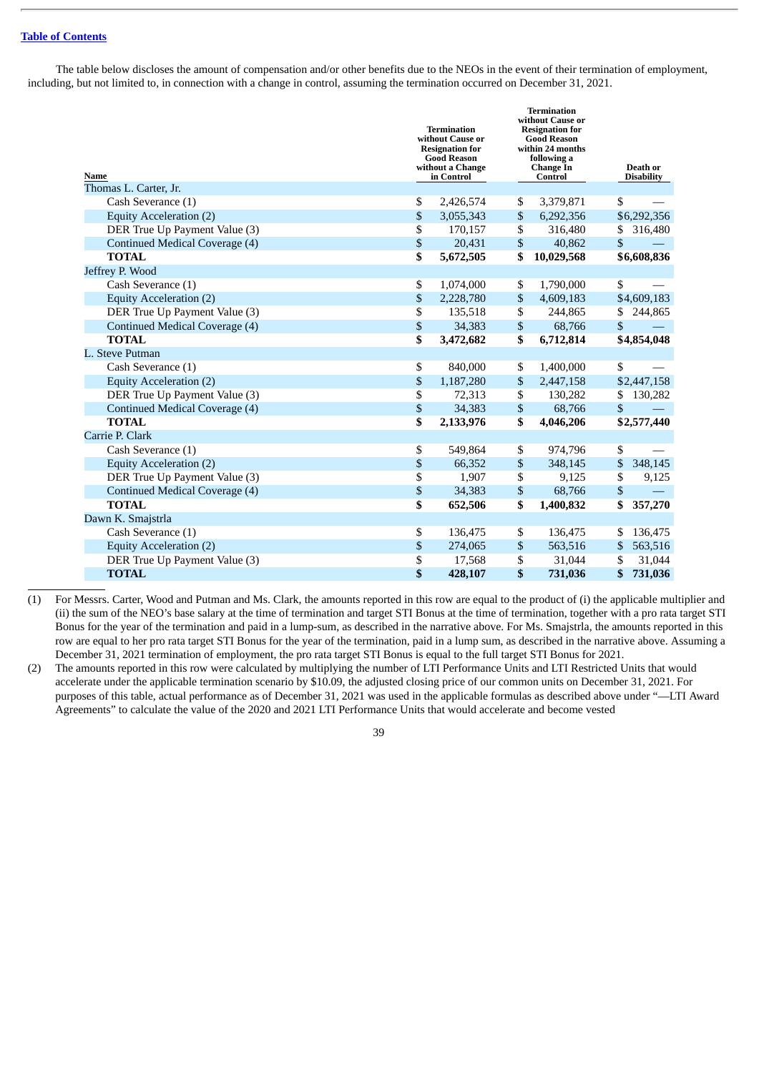The table below discloses the amount of compensation and/or other benefits due to the NEOs in the event of their termination of employment, including, but not limited to, in connection with a change in control, assuming the termination occurred on December 31, 2021.

| Name                           | Termination<br>without Cause or<br><b>Resignation for</b><br><b>Good Reason</b><br>without a Change<br>in Control |           |              | <b>Termination</b><br>without Cause or<br><b>Resignation for</b><br><b>Good Reason</b><br>within 24 months<br>following a<br><b>Change In</b><br>Control | Death or<br><b>Disability</b> |
|--------------------------------|-------------------------------------------------------------------------------------------------------------------|-----------|--------------|----------------------------------------------------------------------------------------------------------------------------------------------------------|-------------------------------|
| Thomas L. Carter, Jr.          |                                                                                                                   |           |              |                                                                                                                                                          |                               |
| Cash Severance (1)             | \$                                                                                                                | 2,426,574 | \$           | 3,379,871                                                                                                                                                | \$                            |
| <b>Equity Acceleration (2)</b> | \$                                                                                                                | 3,055,343 | $\mathbb{S}$ | 6,292,356                                                                                                                                                | \$6,292,356                   |
| DER True Up Payment Value (3)  | \$                                                                                                                | 170,157   | \$           | 316,480                                                                                                                                                  | \$<br>316,480                 |
| Continued Medical Coverage (4) | \$                                                                                                                | 20,431    | \$           | 40,862                                                                                                                                                   | \$                            |
| <b>TOTAL</b>                   | \$                                                                                                                | 5,672,505 | \$           | 10,029,568                                                                                                                                               | \$6,608,836                   |
| Jeffrey P. Wood                |                                                                                                                   |           |              |                                                                                                                                                          |                               |
| Cash Severance (1)             | \$                                                                                                                | 1,074,000 | \$           | 1,790,000                                                                                                                                                | \$                            |
| <b>Equity Acceleration (2)</b> | \$                                                                                                                | 2,228,780 | \$           | 4,609,183                                                                                                                                                | \$4,609,183                   |
| DER True Up Payment Value (3)  | \$                                                                                                                | 135,518   | \$           | 244,865                                                                                                                                                  | \$<br>244,865                 |
| Continued Medical Coverage (4) | \$                                                                                                                | 34,383    | \$           | 68,766                                                                                                                                                   | \$                            |
| <b>TOTAL</b>                   | \$                                                                                                                | 3,472,682 | \$           | 6,712,814                                                                                                                                                | \$4,854,048                   |
| L. Steve Putman                |                                                                                                                   |           |              |                                                                                                                                                          |                               |
| Cash Severance (1)             | \$                                                                                                                | 840,000   | \$           | 1,400,000                                                                                                                                                | \$                            |
| <b>Equity Acceleration (2)</b> | \$                                                                                                                | 1,187,280 | \$           | 2,447,158                                                                                                                                                | \$2,447,158                   |
| DER True Up Payment Value (3)  | \$                                                                                                                | 72,313    | \$           | 130,282                                                                                                                                                  | \$<br>130,282                 |
| Continued Medical Coverage (4) | \$                                                                                                                | 34,383    | \$           | 68,766                                                                                                                                                   | \$                            |
| <b>TOTAL</b>                   | \$                                                                                                                | 2,133,976 | \$           | 4,046,206                                                                                                                                                | \$2,577,440                   |
| Carrie P. Clark                |                                                                                                                   |           |              |                                                                                                                                                          |                               |
| Cash Severance (1)             | \$                                                                                                                | 549,864   | \$           | 974,796                                                                                                                                                  | \$                            |
| <b>Equity Acceleration (2)</b> | \$                                                                                                                | 66,352    | \$           | 348,145                                                                                                                                                  | \$<br>348,145                 |
| DER True Up Payment Value (3)  | \$                                                                                                                | 1,907     | \$           | 9,125                                                                                                                                                    | \$<br>9,125                   |
| Continued Medical Coverage (4) | \$                                                                                                                | 34,383    | \$           | 68,766                                                                                                                                                   | \$                            |
| <b>TOTAL</b>                   | \$                                                                                                                | 652,506   | \$           | 1,400,832                                                                                                                                                | \$<br>357,270                 |
| Dawn K. Smajstrla              |                                                                                                                   |           |              |                                                                                                                                                          |                               |
| Cash Severance (1)             | \$                                                                                                                | 136,475   | \$           | 136,475                                                                                                                                                  | \$<br>136,475                 |
| <b>Equity Acceleration (2)</b> | \$                                                                                                                | 274,065   | \$           | 563,516                                                                                                                                                  | \$<br>563,516                 |
| DER True Up Payment Value (3)  | \$                                                                                                                | 17,568    | \$           | 31,044                                                                                                                                                   | \$<br>31,044                  |
| <b>TOTAL</b>                   | \$                                                                                                                | 428,107   | \$           | 731,036                                                                                                                                                  | \$<br>731,036                 |

(1) For Messrs. Carter, Wood and Putman and Ms. Clark, the amounts reported in this row are equal to the product of (i) the applicable multiplier and (ii) the sum of the NEO's base salary at the time of termination and target STI Bonus at the time of termination, together with a pro rata target STI Bonus for the year of the termination and paid in a lump-sum, as described in the narrative above. For Ms. Smajstrla, the amounts reported in this row are equal to her pro rata target STI Bonus for the year of the termination, paid in a lump sum, as described in the narrative above. Assuming a December 31, 2021 termination of employment, the pro rata target STI Bonus is equal to the full target STI Bonus for 2021.

(2) The amounts reported in this row were calculated by multiplying the number of LTI Performance Units and LTI Restricted Units that would accelerate under the applicable termination scenario by \$10.09, the adjusted closing price of our common units on December 31, 2021. For purposes of this table, actual performance as of December 31, 2021 was used in the applicable formulas as described above under "—LTI Award Agreements" to calculate the value of the 2020 and 2021 LTI Performance Units that would accelerate and become vested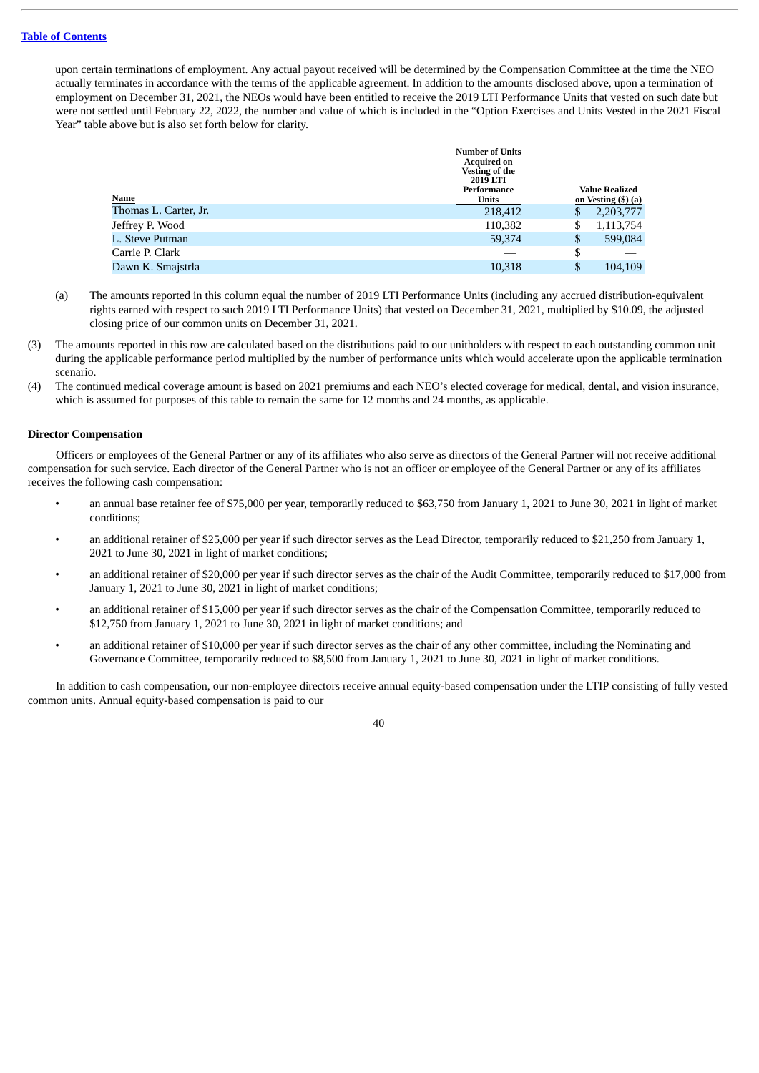upon certain terminations of employment. Any actual payout received will be determined by the Compensation Committee at the time the NEO actually terminates in accordance with the terms of the applicable agreement. In addition to the amounts disclosed above, upon a termination of employment on December 31, 2021, the NEOs would have been entitled to receive the 2019 LTI Performance Units that vested on such date but were not settled until February 22, 2022, the number and value of which is included in the "Option Exercises and Units Vested in the 2021 Fiscal Year" table above but is also set forth below for clarity.

| <b>Name</b>           | <b>Number of Units</b><br><b>Acquired on</b><br><b>Vesting of the</b><br>2019 LTI<br>Performance<br><b>Units</b> | <b>Value Realized</b><br>on Vesting (\$) (a) |
|-----------------------|------------------------------------------------------------------------------------------------------------------|----------------------------------------------|
| Thomas L. Carter, Jr. | 218,412                                                                                                          | \$<br>2,203,777                              |
| Jeffrey P. Wood       | 110,382                                                                                                          | \$<br>1,113,754                              |
| L. Steve Putman       | 59,374                                                                                                           | \$<br>599,084                                |
| Carrie P. Clark       |                                                                                                                  | \$                                           |
| Dawn K. Smajstrla     | 10,318                                                                                                           | \$<br>104,109                                |

- (a) The amounts reported in this column equal the number of 2019 LTI Performance Units (including any accrued distribution-equivalent rights earned with respect to such 2019 LTI Performance Units) that vested on December 31, 2021, multiplied by \$10.09, the adjusted closing price of our common units on December 31, 2021.
- (3) The amounts reported in this row are calculated based on the distributions paid to our unitholders with respect to each outstanding common unit during the applicable performance period multiplied by the number of performance units which would accelerate upon the applicable termination scenario.
- (4) The continued medical coverage amount is based on 2021 premiums and each NEO's elected coverage for medical, dental, and vision insurance, which is assumed for purposes of this table to remain the same for 12 months and 24 months, as applicable.

#### <span id="page-44-0"></span>**Director Compensation**

Officers or employees of the General Partner or any of its affiliates who also serve as directors of the General Partner will not receive additional compensation for such service. Each director of the General Partner who is not an officer or employee of the General Partner or any of its affiliates receives the following cash compensation:

- an annual base retainer fee of \$75,000 per year, temporarily reduced to \$63,750 from January 1, 2021 to June 30, 2021 in light of market conditions;
- an additional retainer of \$25,000 per year if such director serves as the Lead Director, temporarily reduced to \$21,250 from January 1, 2021 to June 30, 2021 in light of market conditions;
- an additional retainer of \$20,000 per year if such director serves as the chair of the Audit Committee, temporarily reduced to \$17,000 from January 1, 2021 to June 30, 2021 in light of market conditions;
- an additional retainer of \$15,000 per year if such director serves as the chair of the Compensation Committee, temporarily reduced to \$12,750 from January 1, 2021 to June 30, 2021 in light of market conditions; and
- an additional retainer of \$10,000 per year if such director serves as the chair of any other committee, including the Nominating and Governance Committee, temporarily reduced to \$8,500 from January 1, 2021 to June 30, 2021 in light of market conditions.

In addition to cash compensation, our non-employee directors receive annual equity-based compensation under the LTIP consisting of fully vested common units. Annual equity-based compensation is paid to our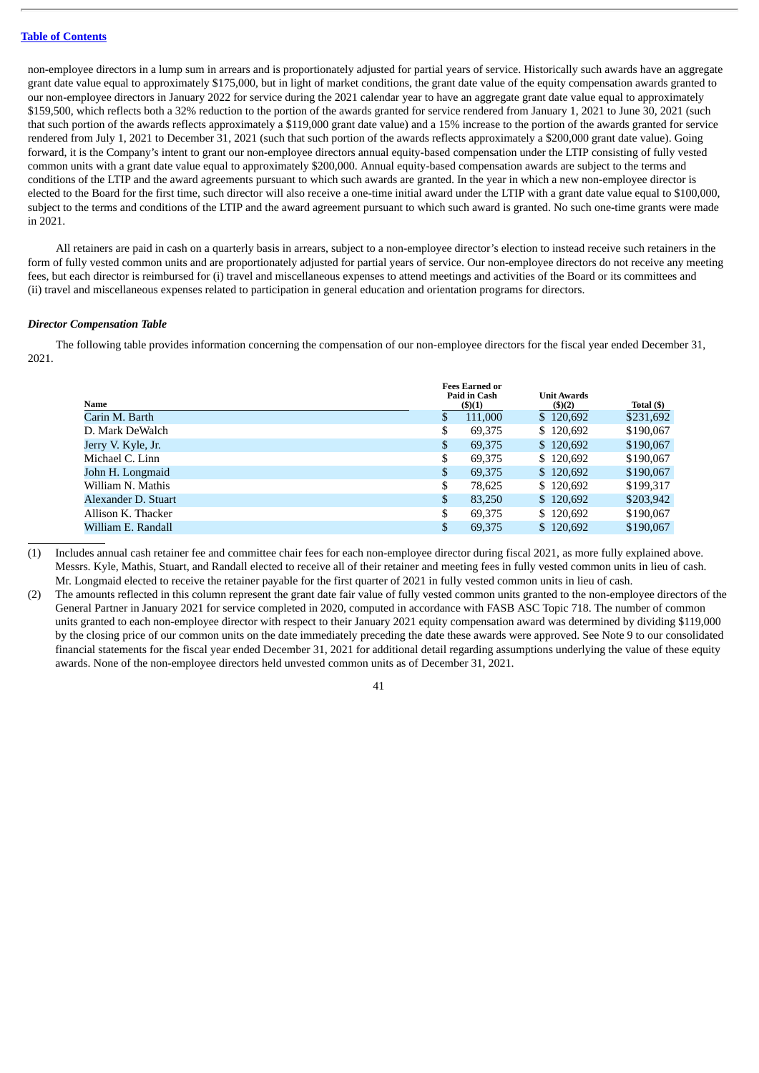non-employee directors in a lump sum in arrears and is proportionately adjusted for partial years of service. Historically such awards have an aggregate grant date value equal to approximately \$175,000, but in light of market conditions, the grant date value of the equity compensation awards granted to our non-employee directors in January 2022 for service during the 2021 calendar year to have an aggregate grant date value equal to approximately \$159,500, which reflects both a 32% reduction to the portion of the awards granted for service rendered from January 1, 2021 to June 30, 2021 (such that such portion of the awards reflects approximately a \$119,000 grant date value) and a 15% increase to the portion of the awards granted for service rendered from July 1, 2021 to December 31, 2021 (such that such portion of the awards reflects approximately a \$200,000 grant date value). Going forward, it is the Company's intent to grant our non-employee directors annual equity-based compensation under the LTIP consisting of fully vested common units with a grant date value equal to approximately \$200,000. Annual equity-based compensation awards are subject to the terms and conditions of the LTIP and the award agreements pursuant to which such awards are granted. In the year in which a new non-employee director is elected to the Board for the first time, such director will also receive a one-time initial award under the LTIP with a grant date value equal to \$100,000, subject to the terms and conditions of the LTIP and the award agreement pursuant to which such award is granted. No such one-time grants were made in 2021.

All retainers are paid in cash on a quarterly basis in arrears, subject to a non-employee director's election to instead receive such retainers in the form of fully vested common units and are proportionately adjusted for partial years of service. Our non-employee directors do not receive any meeting fees, but each director is reimbursed for (i) travel and miscellaneous expenses to attend meetings and activities of the Board or its committees and (ii) travel and miscellaneous expenses related to participation in general education and orientation programs for directors.

#### *Director Compensation Table*

The following table provides information concerning the compensation of our non-employee directors for the fiscal year ended December 31, 2021.

| Name                |              | <b>Fees Earned or</b><br><b>Paid in Cash</b><br>(5)(1) | <b>Unit Awards</b><br>(5)(2) | Total (\$) |
|---------------------|--------------|--------------------------------------------------------|------------------------------|------------|
| Carin M. Barth      | $\mathbb{S}$ | 111,000                                                | \$120,692                    | \$231,692  |
| D. Mark DeWalch     | \$           | 69,375                                                 | \$120,692                    | \$190,067  |
| Jerry V. Kyle, Jr.  | \$           | 69,375                                                 | \$120,692                    | \$190,067  |
| Michael C. Linn     | \$           | 69.375                                                 | \$120,692                    | \$190,067  |
| John H. Longmaid    | \$           | 69,375                                                 | \$120,692                    | \$190,067  |
| William N. Mathis   | \$           | 78.625                                                 | \$120,692                    | \$199,317  |
| Alexander D. Stuart | \$           | 83,250                                                 | \$120,692                    | \$203,942  |
| Allison K. Thacker  | \$           | 69.375                                                 | \$120,692                    | \$190,067  |
| William E. Randall  | \$           | 69.375                                                 | \$120,692                    | \$190,067  |

(1) Includes annual cash retainer fee and committee chair fees for each non-employee director during fiscal 2021, as more fully explained above. Messrs. Kyle, Mathis, Stuart, and Randall elected to receive all of their retainer and meeting fees in fully vested common units in lieu of cash. Mr. Longmaid elected to receive the retainer payable for the first quarter of 2021 in fully vested common units in lieu of cash.

(2) The amounts reflected in this column represent the grant date fair value of fully vested common units granted to the non-employee directors of the General Partner in January 2021 for service completed in 2020, computed in accordance with FASB ASC Topic 718. The number of common units granted to each non-employee director with respect to their January 2021 equity compensation award was determined by dividing \$119,000 by the closing price of our common units on the date immediately preceding the date these awards were approved. See Note 9 to our consolidated financial statements for the fiscal year ended December 31, 2021 for additional detail regarding assumptions underlying the value of these equity awards. None of the non-employee directors held unvested common units as of December 31, 2021.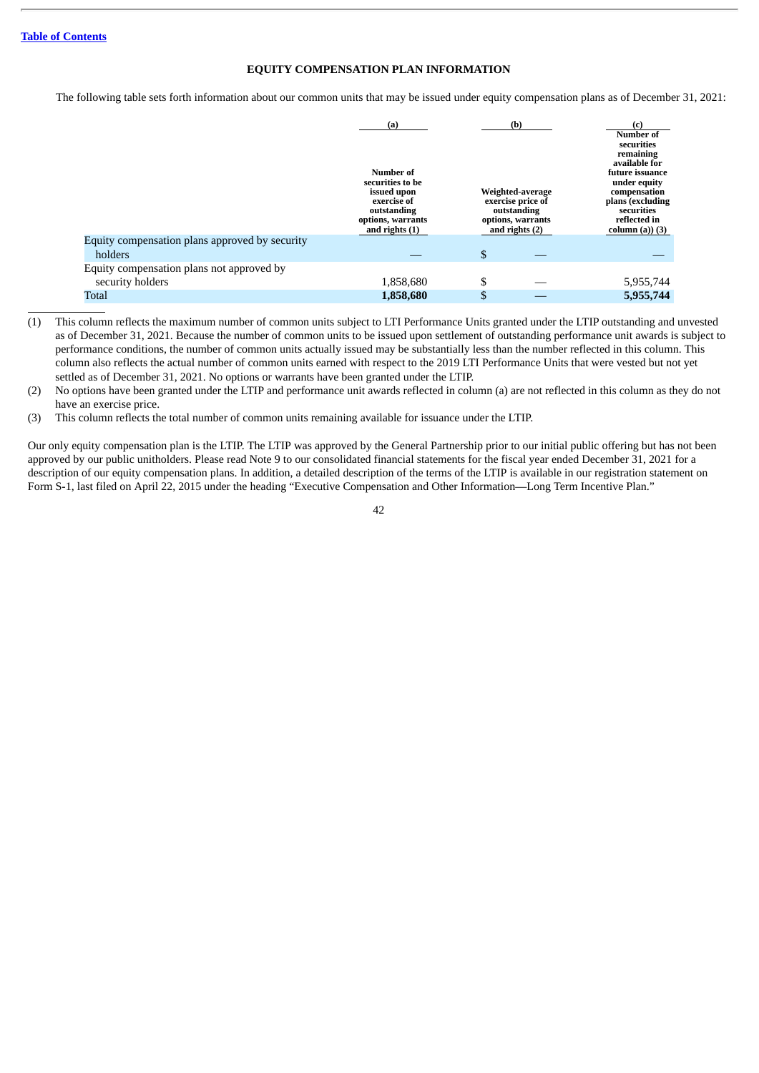#### **EQUITY COMPENSATION PLAN INFORMATION**

<span id="page-46-0"></span>The following table sets forth information about our common units that may be issued under equity compensation plans as of December 31, 2021:

|                                                | (a)<br>Number of<br>securities to be<br>issued upon<br>exercise of<br>outstanding<br>options, warrants<br>and rights (1) | (b)<br>Weighted-average<br>exercise price of<br>outstanding<br>options, warrants<br>and rights (2) | (c)<br><b>Number of</b><br>securities<br>remaining<br>available for<br>future issuance<br>under equity<br>compensation<br>plans (excluding<br>securities<br>reflected in<br>column (a)) $(3)$ |
|------------------------------------------------|--------------------------------------------------------------------------------------------------------------------------|----------------------------------------------------------------------------------------------------|-----------------------------------------------------------------------------------------------------------------------------------------------------------------------------------------------|
| Equity compensation plans approved by security |                                                                                                                          |                                                                                                    |                                                                                                                                                                                               |
| holders                                        |                                                                                                                          | \$                                                                                                 |                                                                                                                                                                                               |
| Equity compensation plans not approved by      |                                                                                                                          |                                                                                                    |                                                                                                                                                                                               |
| security holders                               | 1,858,680                                                                                                                | \$                                                                                                 | 5,955,744                                                                                                                                                                                     |
| Total                                          | 1,858,680                                                                                                                | \$                                                                                                 | 5,955,744                                                                                                                                                                                     |

(1) This column reflects the maximum number of common units subject to LTI Performance Units granted under the LTIP outstanding and unvested as of December 31, 2021. Because the number of common units to be issued upon settlement of outstanding performance unit awards is subject to performance conditions, the number of common units actually issued may be substantially less than the number reflected in this column. This column also reflects the actual number of common units earned with respect to the 2019 LTI Performance Units that were vested but not yet settled as of December 31, 2021. No options or warrants have been granted under the LTIP.

(2) No options have been granted under the LTIP and performance unit awards reflected in column (a) are not reflected in this column as they do not have an exercise price.

(3) This column reflects the total number of common units remaining available for issuance under the LTIP.

Our only equity compensation plan is the LTIP. The LTIP was approved by the General Partnership prior to our initial public offering but has not been approved by our public unitholders. Please read Note 9 to our consolidated financial statements for the fiscal year ended December 31, 2021 for a description of our equity compensation plans. In addition, a detailed description of the terms of the LTIP is available in our registration statement on Form S-1, last filed on April 22, 2015 under the heading "Executive Compensation and Other Information—Long Term Incentive Plan."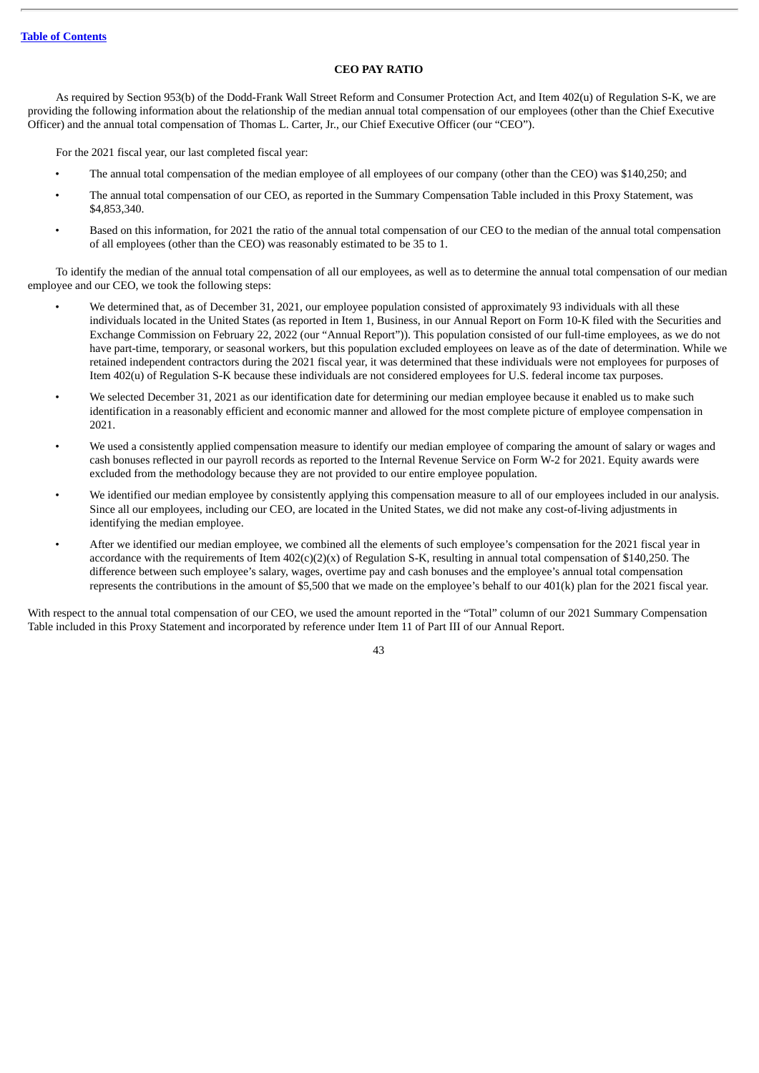#### **CEO PAY RATIO**

<span id="page-47-0"></span>As required by Section 953(b) of the Dodd-Frank Wall Street Reform and Consumer Protection Act, and Item 402(u) of Regulation S-K, we are providing the following information about the relationship of the median annual total compensation of our employees (other than the Chief Executive Officer) and the annual total compensation of Thomas L. Carter, Jr., our Chief Executive Officer (our "CEO").

For the 2021 fiscal year, our last completed fiscal year:

- The annual total compensation of the median employee of all employees of our company (other than the CEO) was \$140,250; and
- The annual total compensation of our CEO, as reported in the Summary Compensation Table included in this Proxy Statement, was \$4,853,340.
- Based on this information, for 2021 the ratio of the annual total compensation of our CEO to the median of the annual total compensation of all employees (other than the CEO) was reasonably estimated to be 35 to 1.

To identify the median of the annual total compensation of all our employees, as well as to determine the annual total compensation of our median employee and our CEO, we took the following steps:

- We determined that, as of December 31, 2021, our employee population consisted of approximately 93 individuals with all these individuals located in the United States (as reported in Item 1, Business, in our Annual Report on Form 10-K filed with the Securities and Exchange Commission on February 22, 2022 (our "Annual Report")). This population consisted of our full-time employees, as we do not have part-time, temporary, or seasonal workers, but this population excluded employees on leave as of the date of determination. While we retained independent contractors during the 2021 fiscal year, it was determined that these individuals were not employees for purposes of Item 402(u) of Regulation S-K because these individuals are not considered employees for U.S. federal income tax purposes.
- We selected December 31, 2021 as our identification date for determining our median employee because it enabled us to make such identification in a reasonably efficient and economic manner and allowed for the most complete picture of employee compensation in 2021.
- We used a consistently applied compensation measure to identify our median employee of comparing the amount of salary or wages and cash bonuses reflected in our payroll records as reported to the Internal Revenue Service on Form W-2 for 2021. Equity awards were excluded from the methodology because they are not provided to our entire employee population.
- We identified our median employee by consistently applying this compensation measure to all of our employees included in our analysis. Since all our employees, including our CEO, are located in the United States, we did not make any cost-of-living adjustments in identifying the median employee.
- After we identified our median employee, we combined all the elements of such employee's compensation for the 2021 fiscal year in accordance with the requirements of Item 402(c)(2)(x) of Regulation S-K, resulting in annual total compensation of \$140,250. The difference between such employee's salary, wages, overtime pay and cash bonuses and the employee's annual total compensation represents the contributions in the amount of \$5,500 that we made on the employee's behalf to our 401(k) plan for the 2021 fiscal year.

With respect to the annual total compensation of our CEO, we used the amount reported in the "Total" column of our 2021 Summary Compensation Table included in this Proxy Statement and incorporated by reference under Item 11 of Part III of our Annual Report.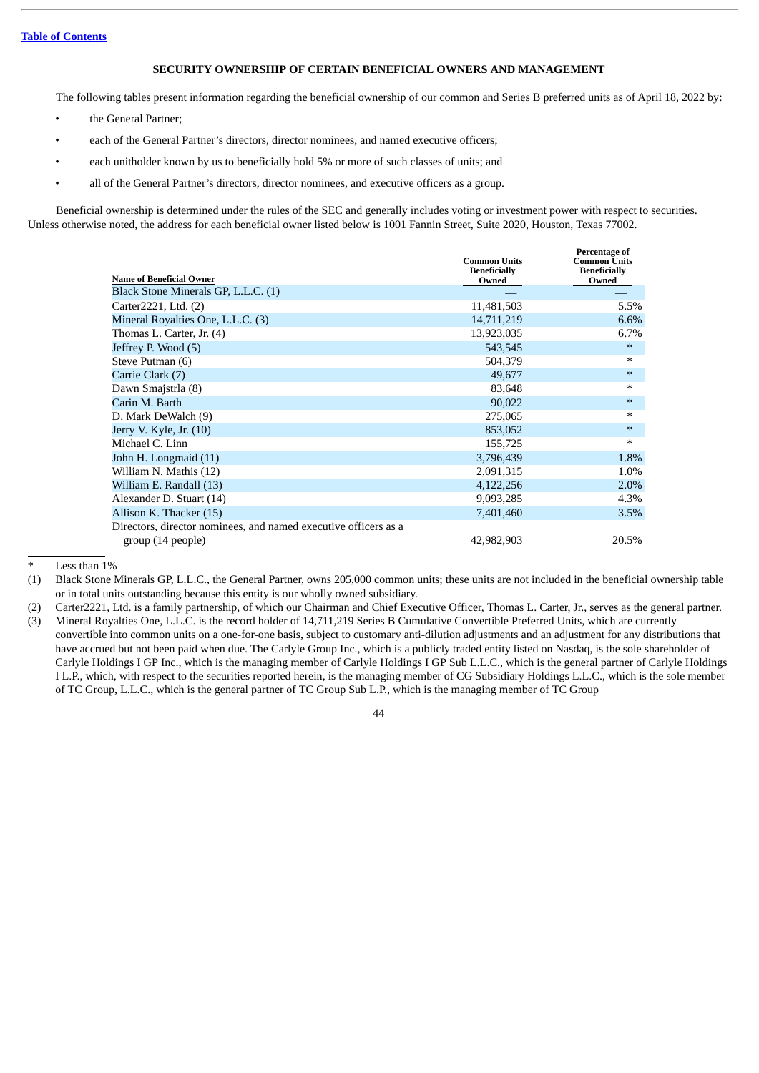## **SECURITY OWNERSHIP OF CERTAIN BENEFICIAL OWNERS AND MANAGEMENT**

<span id="page-48-0"></span>The following tables present information regarding the beneficial ownership of our common and Series B preferred units as of April 18, 2022 by:

- the General Partner;
- each of the General Partner's directors, director nominees, and named executive officers;
- each unitholder known by us to beneficially hold 5% or more of such classes of units; and
- all of the General Partner's directors, director nominees, and executive officers as a group.

Beneficial ownership is determined under the rules of the SEC and generally includes voting or investment power with respect to securities. Unless otherwise noted, the address for each beneficial owner listed below is 1001 Fannin Street, Suite 2020, Houston, Texas 77002.

|                                                                 | <b>Common Units</b><br><b>Beneficially</b> | Percentage of<br><b>Common Units</b><br><b>Beneficially</b> |
|-----------------------------------------------------------------|--------------------------------------------|-------------------------------------------------------------|
| <b>Name of Beneficial Owner</b>                                 | Owned                                      | Owned                                                       |
| Black Stone Minerals GP, L.L.C. (1)                             |                                            |                                                             |
| Carter2221, Ltd. (2)                                            | 11,481,503                                 | 5.5%                                                        |
| Mineral Royalties One, L.L.C. (3)                               | 14,711,219                                 | 6.6%                                                        |
| Thomas L. Carter, Jr. (4)                                       | 13,923,035                                 | 6.7%                                                        |
| Jeffrey P. Wood (5)                                             | 543,545                                    | $\ast$                                                      |
| Steve Putman (6)                                                | 504,379                                    | ∗                                                           |
| Carrie Clark (7)                                                | 49,677                                     | $\ast$                                                      |
| Dawn Smajstrla (8)                                              | 83,648                                     | $\ast$                                                      |
| Carin M. Barth                                                  | 90,022                                     | $\ast$                                                      |
| D. Mark DeWalch (9)                                             | 275,065                                    | $\ast$                                                      |
| Jerry V. Kyle, Jr. (10)                                         | 853,052                                    | $\ast$                                                      |
| Michael C. Linn                                                 | 155,725                                    | ∗                                                           |
| John H. Longmaid (11)                                           | 3,796,439                                  | 1.8%                                                        |
| William N. Mathis (12)                                          | 2,091,315                                  | 1.0%                                                        |
| William E. Randall (13)                                         | 4,122,256                                  | 2.0%                                                        |
| Alexander D. Stuart (14)                                        | 9,093,285                                  | 4.3%                                                        |
| Allison K. Thacker (15)                                         | 7,401,460                                  | 3.5%                                                        |
| Directors, director nominees, and named executive officers as a |                                            |                                                             |
| group (14 people)                                               | 42,982,903                                 | 20.5%                                                       |

Less than  $1%$ 

(1) Black Stone Minerals GP, L.L.C., the General Partner, owns 205,000 common units; these units are not included in the beneficial ownership table or in total units outstanding because this entity is our wholly owned subsidiary.

- (2) Carter2221, Ltd. is a family partnership, of which our Chairman and Chief Executive Officer, Thomas L. Carter, Jr., serves as the general partner. (3) Mineral Royalties One, L.L.C. is the record holder of 14,711,219 Series B Cumulative Convertible Preferred Units, which are currently
- convertible into common units on a one-for-one basis, subject to customary anti-dilution adjustments and an adjustment for any distributions that have accrued but not been paid when due. The Carlyle Group Inc., which is a publicly traded entity listed on Nasdaq, is the sole shareholder of Carlyle Holdings I GP Inc., which is the managing member of Carlyle Holdings I GP Sub L.L.C., which is the general partner of Carlyle Holdings I L.P., which, with respect to the securities reported herein, is the managing member of CG Subsidiary Holdings L.L.C., which is the sole member of TC Group, L.L.C., which is the general partner of TC Group Sub L.P., which is the managing member of TC Group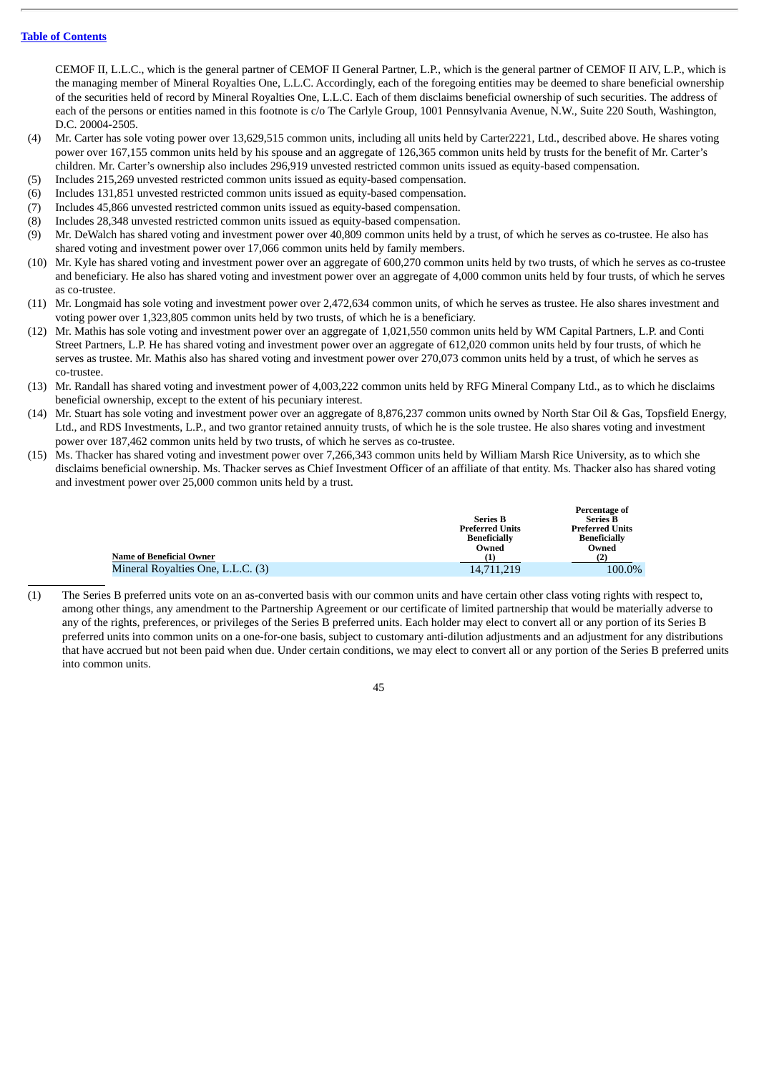CEMOF II, L.L.C., which is the general partner of CEMOF II General Partner, L.P., which is the general partner of CEMOF II AIV, L.P., which is the managing member of Mineral Royalties One, L.L.C. Accordingly, each of the foregoing entities may be deemed to share beneficial ownership of the securities held of record by Mineral Royalties One, L.L.C. Each of them disclaims beneficial ownership of such securities. The address of each of the persons or entities named in this footnote is c/o The Carlyle Group, 1001 Pennsylvania Avenue, N.W., Suite 220 South, Washington, D.C. 20004-2505.

- (4) Mr. Carter has sole voting power over 13,629,515 common units, including all units held by Carter2221, Ltd., described above. He shares voting power over 167,155 common units held by his spouse and an aggregate of 126,365 common units held by trusts for the benefit of Mr. Carter's children. Mr. Carter's ownership also includes 296,919 unvested restricted common units issued as equity-based compensation.
- (5) Includes 215,269 unvested restricted common units issued as equity-based compensation.
- (6) Includes 131,851 unvested restricted common units issued as equity-based compensation.
- (7) Includes 45,866 unvested restricted common units issued as equity-based compensation.
- (8) Includes 28,348 unvested restricted common units issued as equity-based compensation.
- (9) Mr. DeWalch has shared voting and investment power over 40,809 common units held by a trust, of which he serves as co-trustee. He also has shared voting and investment power over 17,066 common units held by family members.
- (10) Mr. Kyle has shared voting and investment power over an aggregate of 600,270 common units held by two trusts, of which he serves as co-trustee and beneficiary. He also has shared voting and investment power over an aggregate of 4,000 common units held by four trusts, of which he serves as co-trustee.
- (11) Mr. Longmaid has sole voting and investment power over 2,472,634 common units, of which he serves as trustee. He also shares investment and voting power over 1,323,805 common units held by two trusts, of which he is a beneficiary.
- (12) Mr. Mathis has sole voting and investment power over an aggregate of 1,021,550 common units held by WM Capital Partners, L.P. and Conti Street Partners, L.P. He has shared voting and investment power over an aggregate of 612,020 common units held by four trusts, of which he serves as trustee. Mr. Mathis also has shared voting and investment power over 270,073 common units held by a trust, of which he serves as co-trustee.
- (13) Mr. Randall has shared voting and investment power of 4,003,222 common units held by RFG Mineral Company Ltd., as to which he disclaims beneficial ownership, except to the extent of his pecuniary interest.
- (14) Mr. Stuart has sole voting and investment power over an aggregate of 8,876,237 common units owned by North Star Oil & Gas, Topsfield Energy, Ltd., and RDS Investments, L.P., and two grantor retained annuity trusts, of which he is the sole trustee. He also shares voting and investment power over 187,462 common units held by two trusts, of which he serves as co-trustee.
- (15) Ms. Thacker has shared voting and investment power over 7,266,343 common units held by William Marsh Rice University, as to which she disclaims beneficial ownership. Ms. Thacker serves as Chief Investment Officer of an affiliate of that entity. Ms. Thacker also has shared voting and investment power over 25,000 common units held by a trust.

|                                   |                        | Percentage of          |
|-----------------------------------|------------------------|------------------------|
|                                   | <b>Series B</b>        | <b>Series B</b>        |
|                                   | <b>Preferred Units</b> | <b>Preferred Units</b> |
|                                   | <b>Beneficially</b>    | <b>Beneficially</b>    |
|                                   | Owned                  | Owned                  |
| <b>Name of Beneficial Owner</b>   |                        |                        |
| Mineral Royalties One, L.L.C. (3) | 14,711,219             | 100.0%                 |

(1) The Series B preferred units vote on an as-converted basis with our common units and have certain other class voting rights with respect to, among other things, any amendment to the Partnership Agreement or our certificate of limited partnership that would be materially adverse to any of the rights, preferences, or privileges of the Series B preferred units. Each holder may elect to convert all or any portion of its Series B preferred units into common units on a one-for-one basis, subject to customary anti-dilution adjustments and an adjustment for any distributions that have accrued but not been paid when due. Under certain conditions, we may elect to convert all or any portion of the Series B preferred units into common units.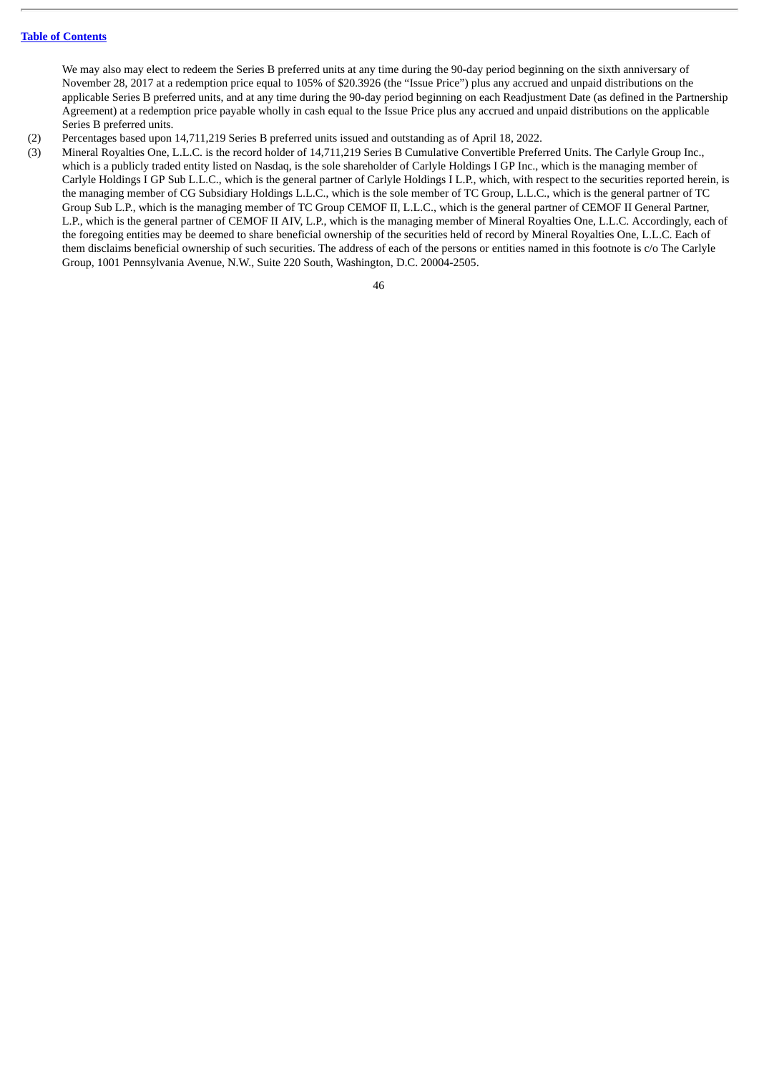We may also may elect to redeem the Series B preferred units at any time during the 90-day period beginning on the sixth anniversary of November 28, 2017 at a redemption price equal to 105% of \$20.3926 (the "Issue Price") plus any accrued and unpaid distributions on the applicable Series B preferred units, and at any time during the 90-day period beginning on each Readjustment Date (as defined in the Partnership Agreement) at a redemption price payable wholly in cash equal to the Issue Price plus any accrued and unpaid distributions on the applicable Series B preferred units.

- (2) Percentages based upon 14,711,219 Series B preferred units issued and outstanding as of April 18, 2022.
- (3) Mineral Royalties One, L.L.C. is the record holder of 14,711,219 Series B Cumulative Convertible Preferred Units. The Carlyle Group Inc., which is a publicly traded entity listed on Nasdaq, is the sole shareholder of Carlyle Holdings I GP Inc., which is the managing member of Carlyle Holdings I GP Sub L.L.C., which is the general partner of Carlyle Holdings I L.P., which, with respect to the securities reported herein, is the managing member of CG Subsidiary Holdings L.L.C., which is the sole member of TC Group, L.L.C., which is the general partner of TC Group Sub L.P., which is the managing member of TC Group CEMOF II, L.L.C., which is the general partner of CEMOF II General Partner, L.P., which is the general partner of CEMOF II AIV, L.P., which is the managing member of Mineral Royalties One, L.L.C. Accordingly, each of the foregoing entities may be deemed to share beneficial ownership of the securities held of record by Mineral Royalties One, L.L.C. Each of them disclaims beneficial ownership of such securities. The address of each of the persons or entities named in this footnote is c/o The Carlyle Group, 1001 Pennsylvania Avenue, N.W., Suite 220 South, Washington, D.C. 20004-2505.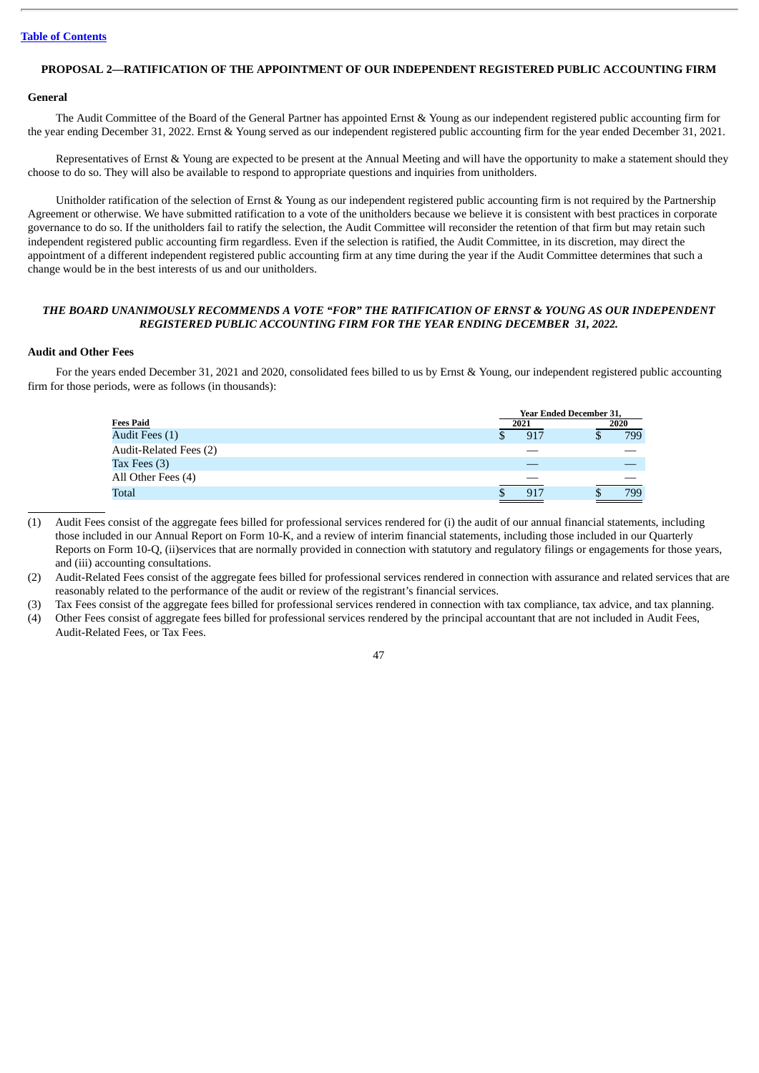## <span id="page-51-0"></span>**PROPOSAL 2—RATIFICATION OF THE APPOINTMENT OF OUR INDEPENDENT REGISTERED PUBLIC ACCOUNTING FIRM**

#### <span id="page-51-1"></span>**General**

The Audit Committee of the Board of the General Partner has appointed Ernst & Young as our independent registered public accounting firm for the year ending December 31, 2022. Ernst & Young served as our independent registered public accounting firm for the year ended December 31, 2021.

Representatives of Ernst & Young are expected to be present at the Annual Meeting and will have the opportunity to make a statement should they choose to do so. They will also be available to respond to appropriate questions and inquiries from unitholders.

Unitholder ratification of the selection of Ernst & Young as our independent registered public accounting firm is not required by the Partnership Agreement or otherwise. We have submitted ratification to a vote of the unitholders because we believe it is consistent with best practices in corporate governance to do so. If the unitholders fail to ratify the selection, the Audit Committee will reconsider the retention of that firm but may retain such independent registered public accounting firm regardless. Even if the selection is ratified, the Audit Committee, in its discretion, may direct the appointment of a different independent registered public accounting firm at any time during the year if the Audit Committee determines that such a change would be in the best interests of us and our unitholders.

#### *THE BOARD UNANIMOUSLY RECOMMENDS A VOTE "FOR" THE RATIFICATION OF ERNST & YOUNG AS OUR INDEPENDENT REGISTERED PUBLIC ACCOUNTING FIRM FOR THE YEAR ENDING DECEMBER 31, 2022.*

#### <span id="page-51-2"></span>**Audit and Other Fees**

For the years ended December 31, 2021 and 2020, consolidated fees billed to us by Ernst & Young, our independent registered public accounting firm for those periods, were as follows (in thousands):

|                        | Year Ended December 31, |      |  |      |
|------------------------|-------------------------|------|--|------|
| <b>Fees Paid</b>       |                         | 2021 |  | 2020 |
| Audit Fees (1)         |                         | 917  |  | 799  |
| Audit-Related Fees (2) |                         |      |  |      |
| Tax Fees $(3)$         |                         |      |  |      |
| All Other Fees (4)     |                         |      |  |      |
| <b>Total</b>           |                         | 917  |  | 799  |

(1) Audit Fees consist of the aggregate fees billed for professional services rendered for (i) the audit of our annual financial statements, including those included in our Annual Report on Form 10-K, and a review of interim financial statements, including those included in our Quarterly Reports on Form 10-Q, (ii)services that are normally provided in connection with statutory and regulatory filings or engagements for those years, and (iii) accounting consultations.

(2) Audit-Related Fees consist of the aggregate fees billed for professional services rendered in connection with assurance and related services that are reasonably related to the performance of the audit or review of the registrant's financial services.

(3) Tax Fees consist of the aggregate fees billed for professional services rendered in connection with tax compliance, tax advice, and tax planning.

(4) Other Fees consist of aggregate fees billed for professional services rendered by the principal accountant that are not included in Audit Fees, Audit-Related Fees, or Tax Fees.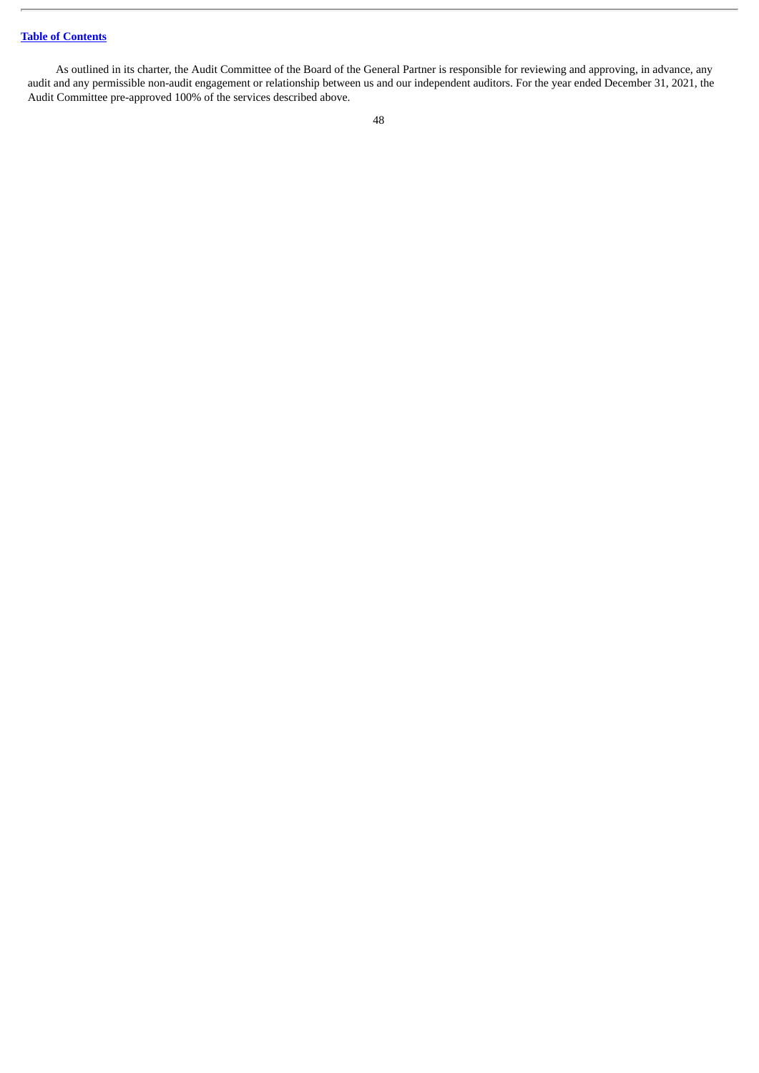As outlined in its charter, the Audit Committee of the Board of the General Partner is responsible for reviewing and approving, in advance, any audit and any permissible non-audit engagement or relationship between us and our independent auditors. For the year ended December 31, 2021, the Audit Committee pre-approved 100% of the services described above.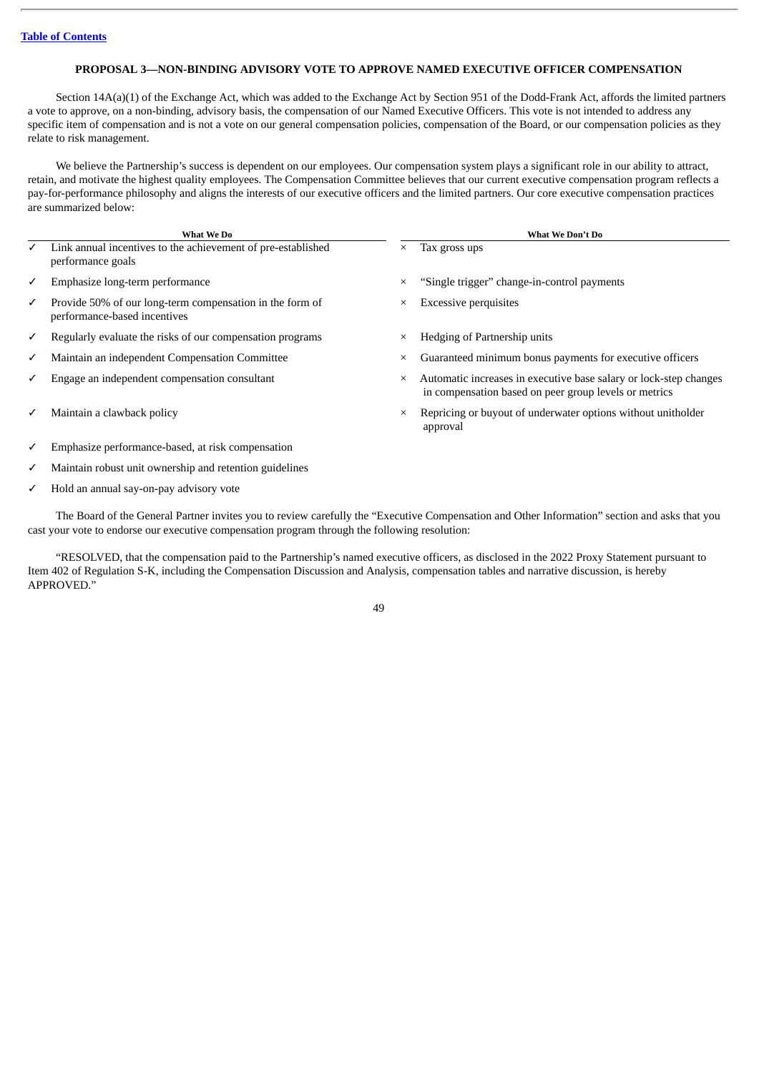## **PROPOSAL 3—NON-BINDING ADVISORY VOTE TO APPROVE NAMED EXECUTIVE OFFICER COMPENSATION**

<span id="page-53-0"></span>Section 14A(a)(1) of the Exchange Act, which was added to the Exchange Act by Section 951 of the Dodd-Frank Act, affords the limited partners a vote to approve, on a non-binding, advisory basis, the compensation of our Named Executive Officers. This vote is not intended to address any specific item of compensation and is not a vote on our general compensation policies, compensation of the Board, or our compensation policies as they relate to risk management.

We believe the Partnership's success is dependent on our employees. Our compensation system plays a significant role in our ability to attract, retain, and motivate the highest quality employees. The Compensation Committee believes that our current executive compensation program reflects a pay-for-performance philosophy and aligns the interests of our executive officers and the limited partners. Our core executive compensation practices are summarized below:

|   | What We Do                                                                               | <b>What We Don't Do</b> |                                                                                                                            |  |  |
|---|------------------------------------------------------------------------------------------|-------------------------|----------------------------------------------------------------------------------------------------------------------------|--|--|
|   | Link annual incentives to the achievement of pre-established<br>performance goals        | $\times$                | Tax gross ups                                                                                                              |  |  |
| ✓ | Emphasize long-term performance                                                          | $\times$                | "Single trigger" change-in-control payments                                                                                |  |  |
| ✓ | Provide 50% of our long-term compensation in the form of<br>performance-based incentives | ×                       | <b>Excessive perquisites</b>                                                                                               |  |  |
| ✓ | Regularly evaluate the risks of our compensation programs                                | $\times$                | Hedging of Partnership units                                                                                               |  |  |
| ✓ | Maintain an independent Compensation Committee                                           | ×                       | Guaranteed minimum bonus payments for executive officers                                                                   |  |  |
| ✓ | Engage an independent compensation consultant                                            | ×                       | Automatic increases in executive base salary or lock-step changes<br>in compensation based on peer group levels or metrics |  |  |
|   | Maintain a clawback policy                                                               | ×                       | Repricing or buyout of underwater options without unitholder<br>approval                                                   |  |  |
|   | Emphasize performance-based, at risk compensation                                        |                         |                                                                                                                            |  |  |
| ✓ | Maintain robust unit ownership and retention guidelines                                  |                         |                                                                                                                            |  |  |
|   | Hold an annual say-on-pay advisory vote                                                  |                         |                                                                                                                            |  |  |

The Board of the General Partner invites you to review carefully the "Executive Compensation and Other Information" section and asks that you cast your vote to endorse our executive compensation program through the following resolution:

"RESOLVED, that the compensation paid to the Partnership's named executive officers, as disclosed in the 2022 Proxy Statement pursuant to Item 402 of Regulation S-K, including the Compensation Discussion and Analysis, compensation tables and narrative discussion, is hereby APPROVED."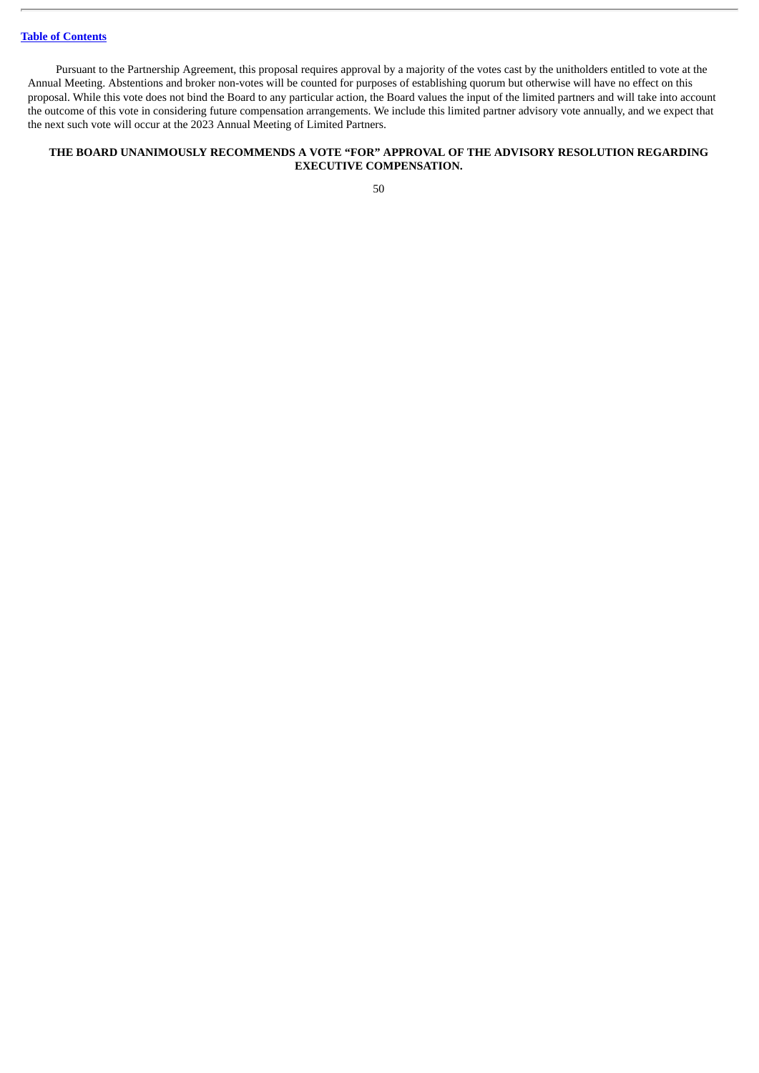Pursuant to the Partnership Agreement, this proposal requires approval by a majority of the votes cast by the unitholders entitled to vote at the Annual Meeting. Abstentions and broker non-votes will be counted for purposes of establishing quorum but otherwise will have no effect on this proposal. While this vote does not bind the Board to any particular action, the Board values the input of the limited partners and will take into account the outcome of this vote in considering future compensation arrangements. We include this limited partner advisory vote annually, and we expect that the next such vote will occur at the 2023 Annual Meeting of Limited Partners.

## **THE BOARD UNANIMOUSLY RECOMMENDS A VOTE "FOR" APPROVAL OF THE ADVISORY RESOLUTION REGARDING EXECUTIVE COMPENSATION.**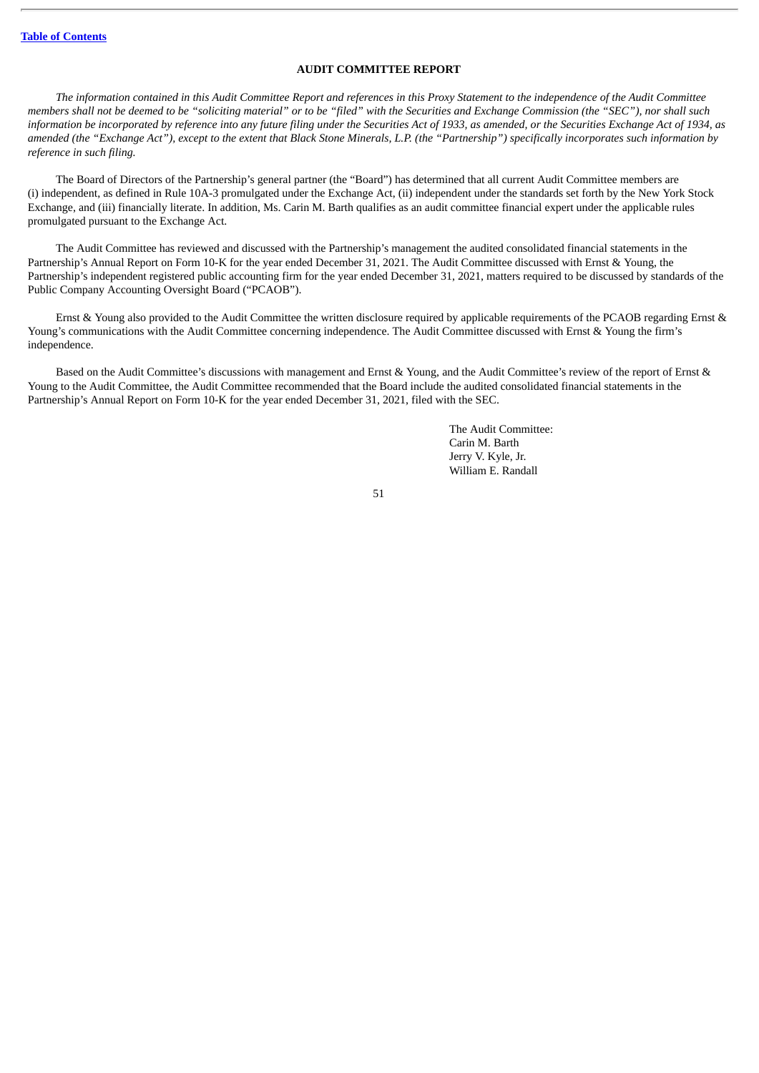## **AUDIT COMMITTEE REPORT**

<span id="page-55-0"></span>The information contained in this Audit Committee Report and references in this Proxy Statement to the independence of the Audit Committee members shall not be deemed to be "soliciting material" or to be "filed" with the Securities and Exchange Commission (the "SEC"), nor shall such information be incorporated by reference into any future filing under the Securities Act of 1933, as amended, or the Securities Exchange Act of 1934, as amended (the "Exchange Act"), except to the extent that Black Stone Minerals, L.P. (the "Partnership") specifically incorporates such information by *reference in such filing.*

The Board of Directors of the Partnership's general partner (the "Board") has determined that all current Audit Committee members are (i) independent, as defined in Rule 10A-3 promulgated under the Exchange Act, (ii) independent under the standards set forth by the New York Stock Exchange, and (iii) financially literate. In addition, Ms. Carin M. Barth qualifies as an audit committee financial expert under the applicable rules promulgated pursuant to the Exchange Act.

The Audit Committee has reviewed and discussed with the Partnership's management the audited consolidated financial statements in the Partnership's Annual Report on Form 10-K for the year ended December 31, 2021. The Audit Committee discussed with Ernst & Young, the Partnership's independent registered public accounting firm for the year ended December 31, 2021, matters required to be discussed by standards of the Public Company Accounting Oversight Board ("PCAOB").

Ernst & Young also provided to the Audit Committee the written disclosure required by applicable requirements of the PCAOB regarding Ernst & Young's communications with the Audit Committee concerning independence. The Audit Committee discussed with Ernst & Young the firm's independence.

Based on the Audit Committee's discussions with management and Ernst & Young, and the Audit Committee's review of the report of Ernst & Young to the Audit Committee, the Audit Committee recommended that the Board include the audited consolidated financial statements in the Partnership's Annual Report on Form 10-K for the year ended December 31, 2021, filed with the SEC.

> The Audit Committee: Carin M. Barth Jerry V. Kyle, Jr. William E. Randall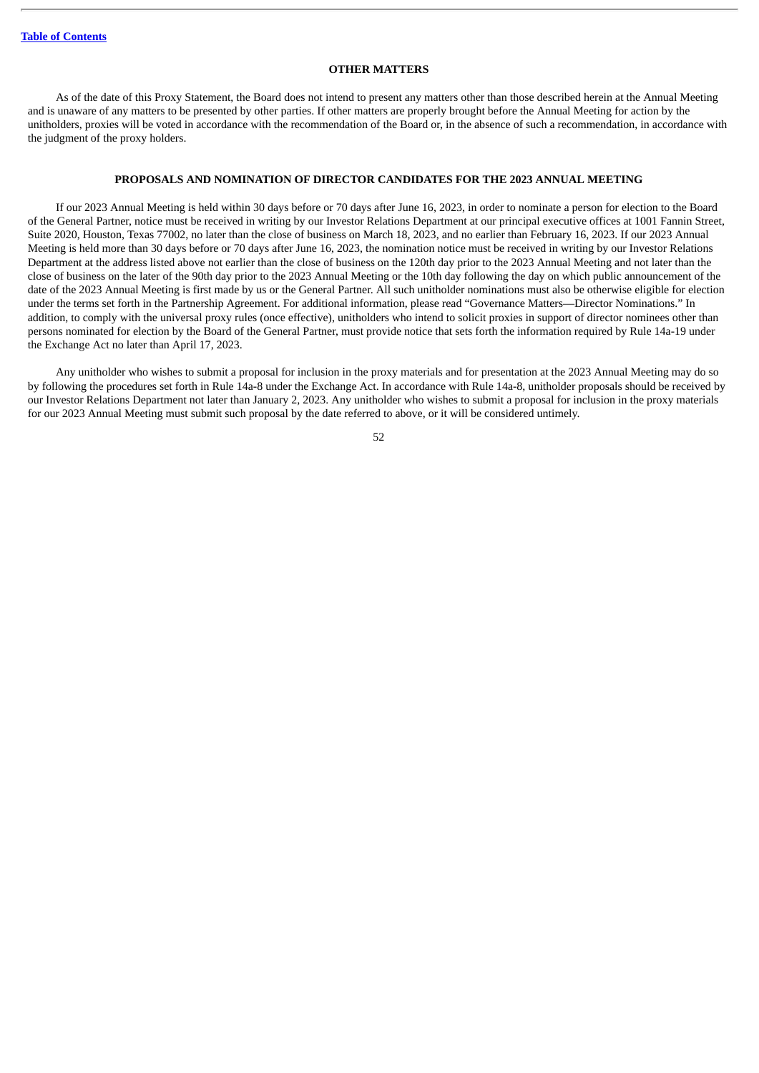#### **OTHER MATTERS**

<span id="page-56-0"></span>As of the date of this Proxy Statement, the Board does not intend to present any matters other than those described herein at the Annual Meeting and is unaware of any matters to be presented by other parties. If other matters are properly brought before the Annual Meeting for action by the unitholders, proxies will be voted in accordance with the recommendation of the Board or, in the absence of such a recommendation, in accordance with the judgment of the proxy holders.

### **PROPOSALS AND NOMINATION OF DIRECTOR CANDIDATES FOR THE 2023 ANNUAL MEETING**

<span id="page-56-1"></span>If our 2023 Annual Meeting is held within 30 days before or 70 days after June 16, 2023, in order to nominate a person for election to the Board of the General Partner, notice must be received in writing by our Investor Relations Department at our principal executive offices at 1001 Fannin Street, Suite 2020, Houston, Texas 77002, no later than the close of business on March 18, 2023, and no earlier than February 16, 2023. If our 2023 Annual Meeting is held more than 30 days before or 70 days after June 16, 2023, the nomination notice must be received in writing by our Investor Relations Department at the address listed above not earlier than the close of business on the 120th day prior to the 2023 Annual Meeting and not later than the close of business on the later of the 90th day prior to the 2023 Annual Meeting or the 10th day following the day on which public announcement of the date of the 2023 Annual Meeting is first made by us or the General Partner. All such unitholder nominations must also be otherwise eligible for election under the terms set forth in the Partnership Agreement. For additional information, please read "Governance Matters—Director Nominations." In addition, to comply with the universal proxy rules (once effective), unitholders who intend to solicit proxies in support of director nominees other than persons nominated for election by the Board of the General Partner, must provide notice that sets forth the information required by Rule 14a-19 under the Exchange Act no later than April 17, 2023.

Any unitholder who wishes to submit a proposal for inclusion in the proxy materials and for presentation at the 2023 Annual Meeting may do so by following the procedures set forth in Rule 14a-8 under the Exchange Act. In accordance with Rule 14a-8, unitholder proposals should be received by our Investor Relations Department not later than January 2, 2023. Any unitholder who wishes to submit a proposal for inclusion in the proxy materials for our 2023 Annual Meeting must submit such proposal by the date referred to above, or it will be considered untimely.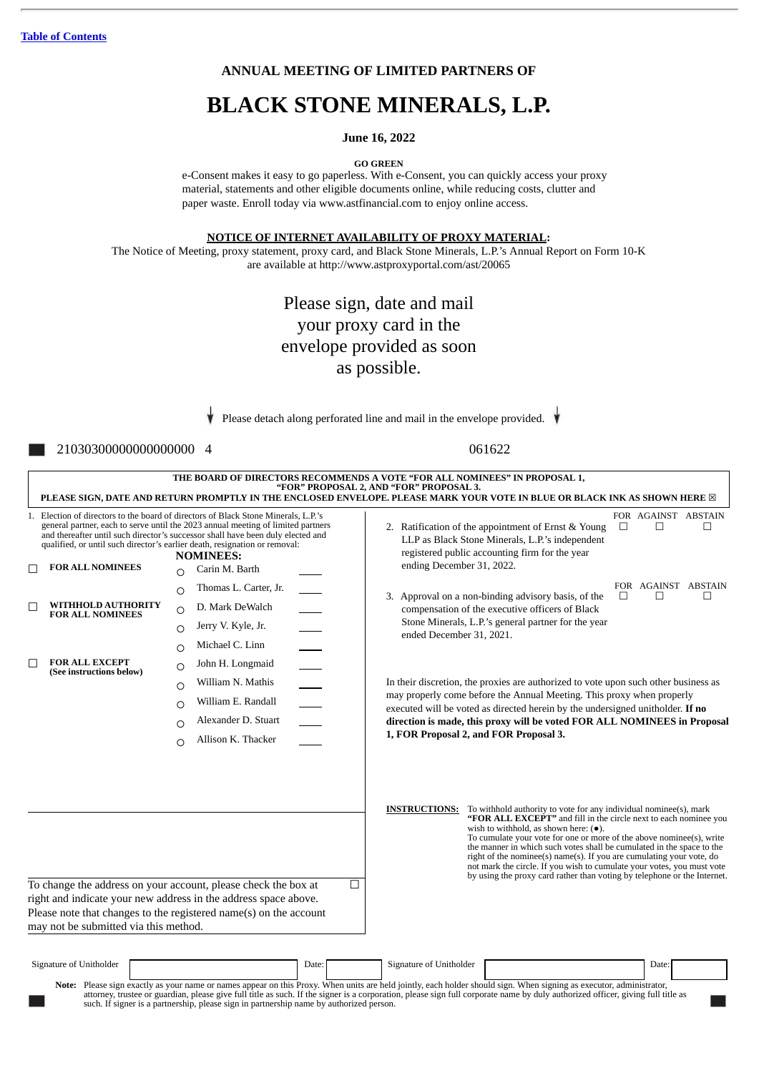## **ANNUAL MEETING OF LIMITED PARTNERS OF**

# **BLACK STONE MINERALS, L.P.**

**June 16, 2022**

**GO GREEN**

e-Consent makes it easy to go paperless. With e-Consent, you can quickly access your proxy material, statements and other eligible documents online, while reducing costs, clutter and paper waste. Enroll today via www.astfinancial.com to enjoy online access.

#### **NOTICE OF INTERNET AVAILABILITY OF PROXY MATERIAL:**

The Notice of Meeting, proxy statement, proxy card, and Black Stone Minerals, L.P.'s Annual Report on Form 10-K are available at http://www.astproxyportal.com/ast/20065

## Please sign, date and mail your proxy card in the envelope provided as soon as possible.

Please detach along perforated line and mail in the envelope provided.  $\overrightarrow{v}$ 

## 21030300000000000000 4 061622

|                                                                                                                                                                                                                  | THE BOARD OF DIRECTORS RECOMMENDS A VOTE "FOR ALL NOMINEES" IN PROPOSAL 1,<br>"FOR" PROPOSAL 2, AND "FOR" PROPOSAL 3.<br>PLEASE SIGN, DATE AND RETURN PROMPTLY IN THE ENCLOSED ENVELOPE. PLEASE MARK YOUR VOTE IN BLUE OR BLACK INK AS SHOWN HERE ⊠                                                                                                                |                                               |                                                                                                          |       |                                                                                                                                                                                                                                                                                                                                                                      |                                                                                                                                                                                                                                                                                                                                                                                                                                                                                                                                                                                          |                                         |   |  |
|------------------------------------------------------------------------------------------------------------------------------------------------------------------------------------------------------------------|--------------------------------------------------------------------------------------------------------------------------------------------------------------------------------------------------------------------------------------------------------------------------------------------------------------------------------------------------------------------|-----------------------------------------------|----------------------------------------------------------------------------------------------------------|-------|----------------------------------------------------------------------------------------------------------------------------------------------------------------------------------------------------------------------------------------------------------------------------------------------------------------------------------------------------------------------|------------------------------------------------------------------------------------------------------------------------------------------------------------------------------------------------------------------------------------------------------------------------------------------------------------------------------------------------------------------------------------------------------------------------------------------------------------------------------------------------------------------------------------------------------------------------------------------|-----------------------------------------|---|--|
| П                                                                                                                                                                                                                | 1. Election of directors to the board of directors of Black Stone Minerals, L.P.'s<br>general partner, each to serve until the 2023 annual meeting of limited partners<br>and thereafter until such director's successor shall have been duly elected and<br>qualified, or until such director's earlier death, resignation or removal:<br><b>FOR ALL NOMINEES</b> | ◯                                             | <b>NOMINEES:</b><br>Carin M. Barth                                                                       |       | ending December 31, 2022.                                                                                                                                                                                                                                                                                                                                            | 2. Ratification of the appointment of Ernst & Young<br>LLP as Black Stone Minerals, L.P.'s independent<br>registered public accounting firm for the year                                                                                                                                                                                                                                                                                                                                                                                                                                 | FOR AGAINST ABSTAIN<br>$\Box$<br>$\Box$ | □ |  |
| □                                                                                                                                                                                                                | WITHHOLD AUTHORITY<br><b>FOR ALL NOMINEES</b>                                                                                                                                                                                                                                                                                                                      | O<br>$\circ$<br>$\circ$                       | Thomas L. Carter, Jr.<br>D. Mark DeWalch<br>Jerry V. Kyle, Jr.<br>Michael C. Linn                        |       | ended December 31, 2021.                                                                                                                                                                                                                                                                                                                                             | 3. Approval on a non-binding advisory basis, of the<br>compensation of the executive officers of Black<br>Stone Minerals, L.P.'s general partner for the year                                                                                                                                                                                                                                                                                                                                                                                                                            | FOR AGAINST ABSTAIN<br>$\Box$<br>□      | п |  |
| □                                                                                                                                                                                                                | <b>FOR ALL EXCEPT</b><br>(See instructions below)                                                                                                                                                                                                                                                                                                                  | O<br>$\circ$<br>O<br>$\circ$<br>O<br>$\Omega$ | John H. Longmaid<br>William N. Mathis<br>William E. Randall<br>Alexander D. Stuart<br>Allison K. Thacker |       | In their discretion, the proxies are authorized to vote upon such other business as<br>may properly come before the Annual Meeting. This proxy when properly<br>executed will be voted as directed herein by the undersigned unitholder. If no<br>direction is made, this proxy will be voted FOR ALL NOMINEES in Proposal<br>1, FOR Proposal 2, and FOR Proposal 3. |                                                                                                                                                                                                                                                                                                                                                                                                                                                                                                                                                                                          |                                         |   |  |
| $\Box$<br>To change the address on your account, please check the box at<br>right and indicate your new address in the address space above.<br>Please note that changes to the registered name(s) on the account |                                                                                                                                                                                                                                                                                                                                                                    |                                               |                                                                                                          |       |                                                                                                                                                                                                                                                                                                                                                                      | To withhold authority to vote for any individual nominee(s), mark<br><b>INSTRUCTIONS:</b><br>"FOR ALL EXCEPT" and fill in the circle next to each nominee you<br>wish to withhold, as shown here: $(•)$ .<br>To cumulate your vote for one or more of the above nominee(s), write<br>the manner in which such votes shall be cumulated in the space to the<br>right of the nominee(s) name(s). If you are cumulating your vote, do<br>not mark the circle. If you wish to cumulate your votes, you must vote<br>by using the proxy card rather than voting by telephone or the Internet. |                                         |   |  |
|                                                                                                                                                                                                                  | may not be submitted via this method.<br>Signature of Unitholder                                                                                                                                                                                                                                                                                                   |                                               |                                                                                                          | Date: | Signature of Unitholder                                                                                                                                                                                                                                                                                                                                              |                                                                                                                                                                                                                                                                                                                                                                                                                                                                                                                                                                                          | Date:                                   |   |  |
|                                                                                                                                                                                                                  |                                                                                                                                                                                                                                                                                                                                                                    |                                               | such. If signer is a partnership, please sign in partnership name by authorized person.                  |       |                                                                                                                                                                                                                                                                                                                                                                      | Note: Please sign exactly as your name or names appear on this Proxy. When units are held jointly, each holder should sign. When signing as executor, administrator,<br>attorney, trustee or guardian, please give full title as such. If the signer is a corporation, please sign full corporate name by duly authorized officer, giving full title as                                                                                                                                                                                                                                  |                                         |   |  |